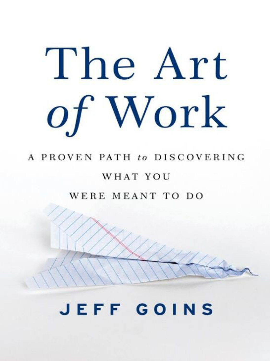# The Art of Work

#### A PROVEN PATH to DISCOVERING

#### WHAT YOU

#### WERE MEANT TO DO

### JEFF GOINS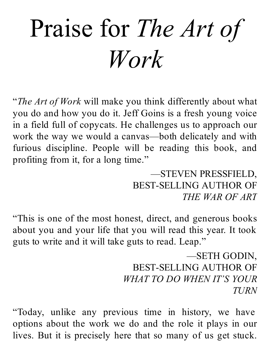# Praise for *The Art of Work*

"*The Art of Work* will make you think differently about what you do and how you do it. Jeff Goins is a fresh young voice in a field full of copycats. He challenges us to approach our work the way we would a canvas—both delicately and with furious discipline. People will be reading this book, and profiting from it, for a long time."

> —STEVEN PRESSFIELD, BEST-SELLING AUTHOR OF *THE WAR OF ART*

"This is one of the most honest, direct, and generous books about you and your life that you will read this year. It took guts to write and it will take guts to read. Leap."

> —SETH GODIN, BEST-SELLING AUTHOR OF *WHAT TO DO WHEN IT'S YOUR TURN*

"Today, unlike any previous time in history, we have options about the work we do and the role it plays in our lives. But it is precisely here that so many of us get stuck.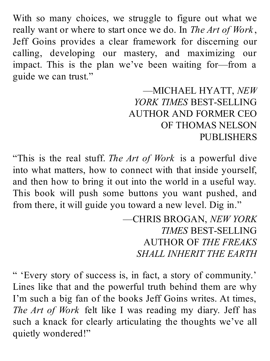With so many choices, we struggle to figure out what we really want or where to start once we do. In *The Art of Work* , Jeff Goins provides a clear framework for discerning our calling, developing our mastery, and maximizing our impact. This is the plan we've been waiting for—from a guide we can trust."

> —MICHAEL HYATT, *NEW YORK TIMES* BEST-SELLING AUTHOR AND FORMER CEO OF THOMAS NELSON **PUBLISHERS**

"This is the real stuff. *The Art of Work* is a powerful dive into what matters, how to connect with that inside yourself, and then how to bring it out into the world in a useful way. This book will push some buttons you want pushed, and from there, it will guide you toward a new level. Dig in."

> —CHRIS BROGAN, *NEW YORK TIMES* BEST-SELLING AUTHOR OF *THE FREAKS SHALL INHERIT THE EARTH*

" 'Every story of success is, in fact, a story of community.' Lines like that and the powerful truth behind them are why I'm such a big fan of the books Jeff Goins writes. At times, *The Art of Work* felt like I was reading my diary. Jeff has such a knack for clearly articulating the thoughts we've all quietly wondered!"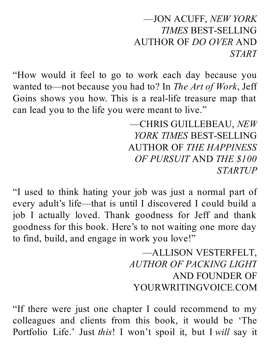—JON ACUFF, *NEW YORK TIMES* BEST-SELLING AUTHOR OF *DO OVER* AND *START*

"How would it feel to go to work each day because you wanted to—not because you had to? In *The Art of Work*, Jeff Goins shows you how. This is a real-life treasure map that can lead you to the life you were meant to live."

> —CHRIS GUILLEBEAU, *NEW YORK TIMES* BEST-SELLING AUTHOR OF *THE HAPPINESS OF PURSUIT* AND *THE \$100 STARTUP*

"I used to think hating your job was just a normal part of every adult's life—that is until I discovered I could build a job I actually loved. Thank goodness for Jeff and thank goodness for this book. Here's to not waiting one more day to find, build, and engage in work you love!"

> —ALLISON VESTERFELT, *AUTHOR OF PACKING LIGHT* AND FOUNDER OF YOURWRITINGVOICE.COM

"If there were just one chapter I could recommend to my colleagues and clients from this book, it would be 'The Portfolio Life.' Just *this*! I won't spoil it, but I *will* say it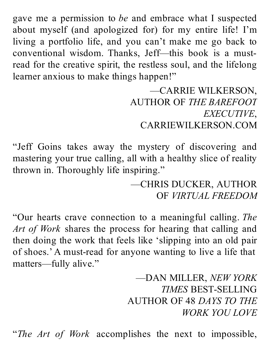gave me a permission to *be* and embrace what I suspected about myself (and apologized for) for my entire life! I'm living a portfolio life, and you can't make me go back to conventional wisdom. Thanks, Jeff—this book is a mustread for the creative spirit, the restless soul, and the lifelong learner anxious to make things happen!"

> —CARRIE WILKERSON, AUTHOR OF *THE BAREFOOT EXECUTIVE*, CARRIEWILKERSON.COM

"Jeff Goins takes away the mystery of discovering and mastering your true calling, all with a healthy slice of reality thrown in. Thoroughly life inspiring."

> —CHRIS DUCKER, AUTHOR OF *VIRTUAL FREEDOM*

"Our hearts crave connection to a meaningful calling. *The Art of Work* shares the process for hearing that calling and then doing the work that feels like 'slipping into an old pair of shoes.' A must-read for anyone wanting to live a life that matters—fully alive."

> —DAN MILLER, *NEW YORK TIMES* BEST-SELLING AUTHOR OF 48 *DAYS TO THE WORK YOU LOVE*

"*The Art of Work* accomplishes the next to impossible,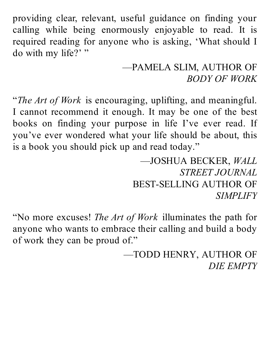providing clear, relevant, useful guidance on finding your calling while being enormously enjoyable to read. It is required reading for anyone who is asking, 'What should I do with my life?' "

#### —PAMELA SLIM, AUTHOR OF *BODY OF WORK*

"*The Art of Work* is encouraging, uplifting, and meaningful. I cannot recommend it enough. It may be one of the best books on finding your purpose in life I've ever read. If you've ever wondered what your life should be about, this is a book you should pick up and read today."

> —JOSHUA BECKER, *WALL STREET JOURNAL* BEST-SELLING AUTHOR OF *SIMPLIFY*

"No more excuses! *The Art of Work* illuminates the path for anyone who wants to embrace their calling and build a body of work they can be proud of."

> —TODD HENRY, AUTHOR OF *DIE EMPTY*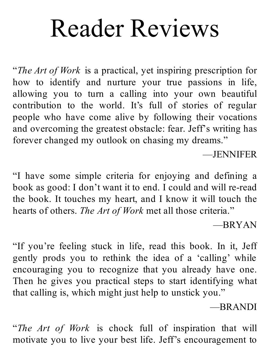# Reader Reviews

"*The Art of Work* is a practical, yet inspiring prescription for how to identify and nurture your true passions in life, allowing you to turn a calling into your own beautiful contribution to the world. It's full of stories of regular people who have come alive by following their vocations and overcoming the greatest obstacle: fear. Jeff's writing has forever changed my outlook on chasing my dreams."

—JENNIFER

"I have some simple criteria for enjoying and defining a book as good: I don't want it to end. I could and will re-read the book. It touches my heart, and I know it will touch the hearts of others. *The Art of Work* met all those criteria."

#### —BRYAN

"If you're feeling stuck in life, read this book. In it, Jeff gently prods you to rethink the idea of a 'calling' while encouraging you to recognize that you already have one. Then he gives you practical steps to start identifying what that calling is, which might just help to unstick you."

—BRANDI

"*The Art of Work* is chock full of inspiration that will motivate you to live your best life. Jeff's encouragement to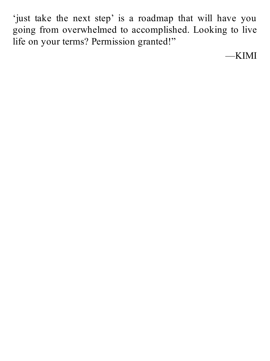'just take the next step' is a roadmap that will have you going from overwhelmed to accomplished. Looking to live life on your terms? Permission granted!"

—KIMI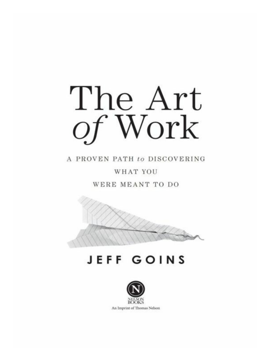# The Art of Work

A PROVEN PATH to DISCOVERING

#### WHAT YOU

WERE MEANT TO DO



#### **JEFF GOINS**

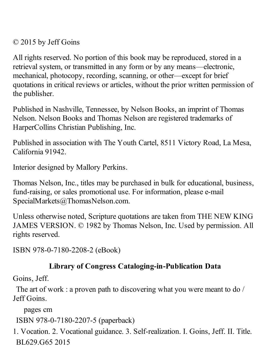© 2015 by Jeff Goins

All rights reserved. No portion of this book may be reproduced, stored in a retrieval system, or transmitted in any form or by any means—electronic, mechanical, photocopy, recording, scanning, or other—except for brief quotations in critical reviews or articles, without the prior written permission of the publisher.

Published in Nashville, Tennessee, by Nelson Books, an imprint of Thomas Nelson. Nelson Books and Thomas Nelson are registered trademarks of HarperCollins Christian Publishing, Inc.

Published in association with The Youth Cartel, 8511 Victory Road, La Mesa, California 91942.

Interior designed by Mallory Perkins.

Thomas Nelson, Inc., titles may be purchased in bulk for educational, business, fund-raising, or sales promotional use. For information, please e-mail SpecialMarkets@ThomasNelson.com.

Unless otherwise noted, Scripture quotations are taken from THE NEW KING JAMES VERSION. © 1982 by Thomas Nelson, Inc. Used by permission. All rights reserved.

ISBN 978-0-7180-2208-2 (eBook)

#### **Library of Congress Cataloging-in-Publication Data**

Goins, Jeff.

The art of work : a proven path to discovering what you were meant to do / Jeff Goins.

pages cm

ISBN 978-0-7180-2207-5 (paperback)

1. Vocation. 2. Vocational guidance. 3. Self-realization. I. Goins, Jeff. II. Title. BL629.G65 2015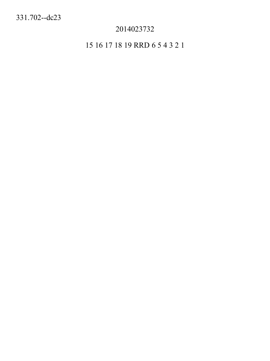331.702--dc23

#### 

16 17 18 19 RRD 6 5 4 3 2 1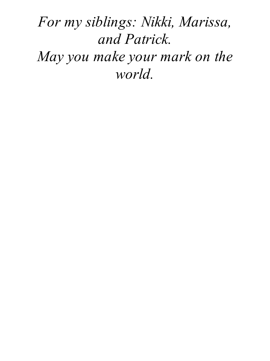*For my siblings: Nikki, Marissa, and Patrick. May you make your mark on the world.*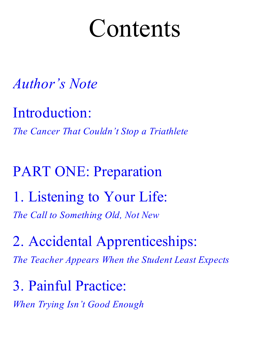# [Conten](#page-33-0)[t](#page-34-0)s

#### *[Author](#page-65-0) ' s Note*

#### [Introduction:](#page-65-1)

*The Cancer That [Couldn't](#page-91-0) Stop a Triathlete*

### PART ONE: Preparation

#### 1. Listening to Your Life:

*The Call to Something Old, Not New*

2. Accidental Apprenticeships: *The Teacher Appears When the Student Least Expects*

#### 3. Painful Practice: *When Trying Isn't Good Enough*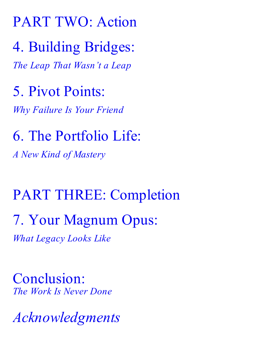### PART TWO: Action

#### 4. [Building](#page-197-0) Bridges: *The Leap That [Wasn't](#page-198-0) a Leap*

5. Pivot [Points:](#page-198-1) *Why Failure Is Your Friend*

6. The [Portfolio](#page-221-1) Life: *A New Kind of [Mastery](#page-235-0)*

### PART THREE: Completion

### 7. Your Magnum Opus:

*What Legacy Looks Like*

Conclusion: *The Work Is Never Done*

*Acknowledgments*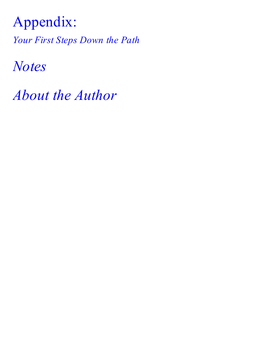### Appendix:

*Your First Steps Down the Path*

*Notes*

*About the Author*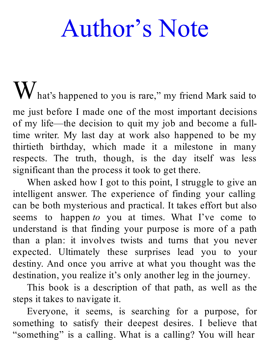# Author's Note

W hat's happened to you is rare," my friend Mark said to me just before I made one of the most important decisions of my life—the decision to quit my job and become a fulltime writer. My last day at work also happened to be my thirtieth birthday, which made it a milestone in many respects. The truth, though, is the day itself was less significant than the process it took to get there.

When asked how I got to this point, I struggle to give an intelligent answer. The experience of finding your calling can be both mysterious and practical. It takes effort but also seems to happen *to* you at times. What I've come to understand is that finding your purpose is more of a path than a plan: it involves twists and turns that you never expected. Ultimately these surprises lead you to your destiny. And once you arrive at what you thought was the destination, you realize it's only another leg in the journey.

This book is a description of that path, as well as the steps it takes to navigate it.

Everyone, it seems, is searching for a purpose, for something to satisfy their deepest desires. I believe that "something" is a calling. What is a calling? You will hear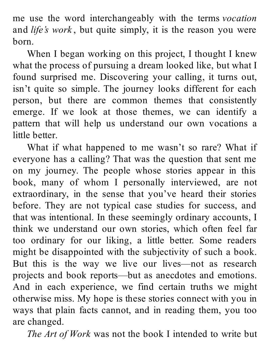me use the word interchangeably with the terms *vocation* and *life's work* , but quite simply, it is the reason you were born.

When I began working on this project, I thought I knew what the process of pursuing a dream looked like, but what I found surprised me. Discovering your calling, it turns out, isn't quite so simple. The journey looks different for each person, but there are common themes that consistently emerge. If we look at those themes, we can identify a pattern that will help us understand our own vocations a little better.

What if what happened to me wasn't so rare? What if everyone has a calling? That was the question that sent me on my journey. The people whose stories appear in this book, many of whom I personally interviewed, are not extraordinary, in the sense that you've heard their stories before. They are not typical case studies for success, and that was intentional. In these seemingly ordinary accounts, I think we understand our own stories, which often feel far too ordinary for our liking, a little better. Some readers might be disappointed with the subjectivity of such a book. But this is the way we live our lives—not as research projects and book reports—but as anecdotes and emotions. And in each experience, we find certain truths we might otherwise miss. My hope is these stories connect with you in ways that plain facts cannot, and in reading them, you too are changed.

*The Art of Work* was not the book I intended to write but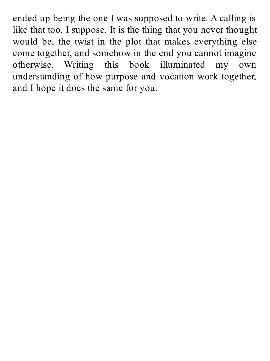ended up being the one I was supposed to write. A calling is like that too, I suppose. It is the thing that you never thought would be, the twist in the plot that makes everything else come together, and somehow in the end you cannot imagine otherwise. Writing this book illuminated my own understanding of how purpose and vocation work together, and I hope it does the same for you.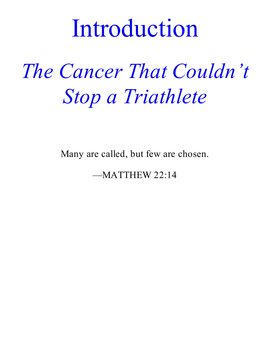# Introduction

## *The Cancer That Couldn 't Stop a Triathlete*

Many are called, but few are chosen.

—MATTHEW 22:14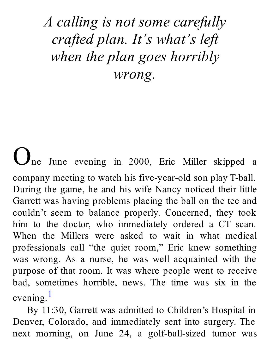### *A calling is not some carefully crafted plan. It' s what' s left when the plan goes horribly wrong.*

One June evening in 2000, Eric Miller skipped <sup>a</sup> company meeting to watch his five-year-old son play T-ball. During the game, he and his wife Nancy noticed their little Garrett was having problems placing the ball on the tee and couldn't seem to balance properly. Concerned, they took him to the doctor, who immediately ordered a CT scan. When the Millers were asked to wait in what medical professionals call "the quiet room," Eric knew something was wrong. As a nurse, he was well acquainted with the purpose of that room. It was where people went to receive bad, sometimes horrible, news. The time was six in the evening.<sup>1</sup>

By 11:30, Garrett was admitted to Children's Hospital in Denver, Colorado, and immediately sent into surgery. The next morning, on June 24, a golf-ball-sized tumor was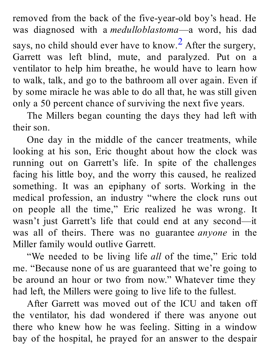removed from the back of the five-year-old boy's head. He was diagnosed with a *medulloblastoma*—a word, his dad says, no child should ever have to know.<sup>2</sup> After the surgery, Garrett was left blind, mute, and paralyzed. Put on a ventilator to help him breathe, he would have to learn how to walk, talk, and go to the bathroom all over again. Even if by some miracle he was able to do all that, he was still given only a 50 percent chance of surviving the next five years.

The Millers began counting the days they had left with their son.

One day in the middle of the cancer treatments, while looking at his son, Eric thought about how the clock was running out on Garrett's life. In spite of the challenges facing his little boy, and the worry this caused, he realized something. It was an epiphany of sorts. Working in the medical profession, an industry "where the clock runs out on people all the time," Eric realized he was wrong. It wasn't just Garrett's life that could end at any second—it was all of theirs. There was no guarantee *anyone* in the Miller family would outlive Garrett.

"We needed to be living life *all* of the time," Eric told me. "Because none of us are guaranteed that we're going to be around an hour or two from now." Whatever time they had left, the Millers were going to live life to the fullest.

After Garrett was moved out of the ICU and taken off the ventilator, his dad wondered if there was anyone out there who knew how he was feeling. Sitting in a window bay of the hospital, he prayed for an answer to the despair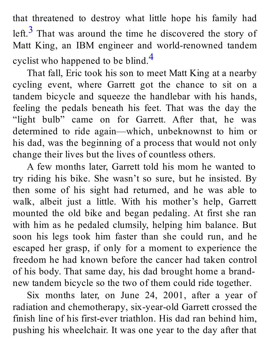that threatened to destroy what little hope his family had left. $3$  That was around the time he discovered the story of Matt King, an IBM engineer and world-renowned tandem cyclist who happened to be blind.<sup>4</sup>

That fall, Eric took his son to meet Matt King at a nearby cycling event, where Garrett got the chance to sit on a tandem bicycle and squeeze the handlebar with his hands, feeling the pedals beneath his feet. That was the day the "light bulb" came on for Garrett. After that, he was determined to ride again—which, unbeknownst to him or his dad, was the beginning of a process that would not only change their lives but the lives of countless others.

A few months later, Garrett told his mom he wanted to try riding his bike. She wasn't so sure, but he insisted. By then some of his sight had returned, and he was able to walk, albeit just a little. With his mother's help, Garrett mounted the old bike and began pedaling. At first she ran with him as he pedaled clumsily, helping him balance. But soon his legs took him faster than she could run, and he escaped her grasp, if only for a moment to experience the freedom he had known before the cancer had taken control of his body. That same day, his dad brought home a brandnew tandem bicycle so the two of them could ride together.

Six months later, on June 24, 2001, after a year of radiation and chemotherapy, six-year-old Garrett crossed the finish line of his first-ever triathlon. His dad ran behind him, pushing his wheelchair. It was one year to the day after that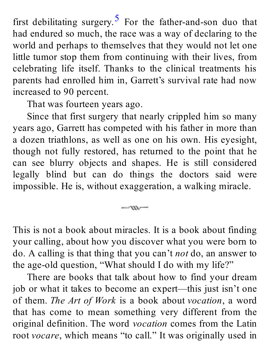first debilitating surgery.<sup>5</sup> For the father-and-son duo that had endured so much, the race was a way of declaring to the world and perhaps to themselves that they would not let one little tumor stop them from continuing with their lives, from celebrating life itself. Thanks to the clinical treatments his parents had enrolled him in, Garrett's survival rate had now increased to 90 percent.

That was fourteen years ago.

Since that first surgery that nearly crippled him so many years ago, Garrett has competed with his father in more than a dozen triathlons, as well as one on his own. His eyesight, though not fully restored, has returned to the point that he can see blurry objects and shapes. He is still considered legally blind but can do things the doctors said were impossible. He is, without exaggeration, a walking miracle.

This is not a book about miracles. It is a book about finding your calling, about how you discover what you were born to do. A calling is that thing that you can't *not* do, an answer to the age-old question, "What should I do with my life?"

 $-20$ 

There are books that talk about how to find your dream job or what it takes to become an expert—this just isn't one of them. *The Art of Work* is a book about *vocation*, a word that has come to mean something very different from the original definition. The word *vocation* comes from the Latin root *vocare*, which means "to call." It was originally used in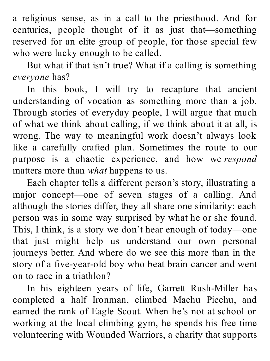a religious sense, as in a call to the priesthood. And for centuries, people thought of it as just that—something reserved for an elite group of people, for those special few who were lucky enough to be called.

But what if that isn't true? What if a calling is something *everyone* has?

In this book, I will try to recapture that ancient understanding of vocation as something more than a job. Through stories of everyday people, I will argue that much of what we think about calling, if we think about it at all, is wrong. The way to meaningful work doesn't always look like a carefully crafted plan. Sometimes the route to our purpose is a chaotic experience, and how we *respond* matters more than *what* happens to us.

Each chapter tells a different person's story, illustrating a major concept—one of seven stages of a calling. And although the stories differ, they all share one similarity: each person was in some way surprised by what he or she found. This, I think, is a story we don't hear enough of today—one that just might help us understand our own personal journeys better. And where do we see this more than in the story of a five-year-old boy who beat brain cancer and went on to race in a triathlon?

In his eighteen years of life, Garrett Rush-Miller has completed a half Ironman, climbed Machu Picchu, and earned the rank of Eagle Scout. When he's not at school or working at the local climbing gym, he spends his free time volunteering with Wounded Warriors, a charity that supports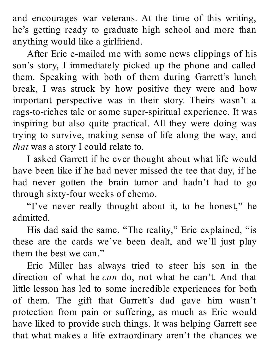and encourages war veterans. At the time of this writing, he's getting ready to graduate high school and more than anything would like a girlfriend.

After Eric e-mailed me with some news clippings of his son's story, I immediately picked up the phone and called them. Speaking with both of them during Garrett's lunch break, I was struck by how positive they were and how important perspective was in their story. Theirs wasn't a rags-to-riches tale or some super-spiritual experience. It was inspiring but also quite practical. All they were doing was trying to survive, making sense of life along the way, and *that* was a story I could relate to.

I asked Garrett if he ever thought about what life would have been like if he had never missed the tee that day, if he had never gotten the brain tumor and hadn't had to go through sixty-four weeks of chemo.

"I've never really thought about it, to be honest," he admitted.

His dad said the same. "The reality," Eric explained, "is these are the cards we've been dealt, and we'll just play them the best we can."

Eric Miller has always tried to steer his son in the direction of what he *can* do, not what he can't. And that little lesson has led to some incredible experiences for both of them. The gift that Garrett's dad gave him wasn't protection from pain or suffering, as much as Eric would have liked to provide such things. It was helping Garrett see that what makes a life extraordinary aren't the chances we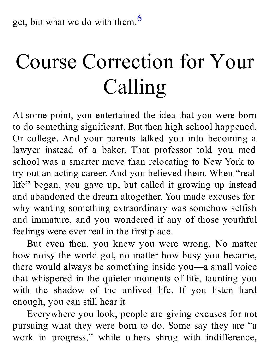get, but what we do with them.<sup>6</sup>

### Course Correction for Your Calling

At some point, you entertained the idea that you were born to do something significant. But then high school happened. Or college. And your parents talked you into becoming a lawyer instead of a baker. That professor told you med school was a smarter move than relocating to New York to try out an acting career. And you believed them. When "real life" began, you gave up, but called it growing up instead and abandoned the dream altogether. You made excuses for why wanting something extraordinary was somehow selfish and immature, and you wondered if any of those youthful feelings were ever real in the first place.

But even then, you knew you were wrong. No matter how noisy the world got, no matter how busy you became, there would always be something inside you—a small voice that whispered in the quieter moments of life, taunting you with the shadow of the unlived life. If you listen hard enough, you can still hear it.

Everywhere you look, people are giving excuses for not pursuing what they were born to do. Some say they are "a work in progress," while others shrug with indifference,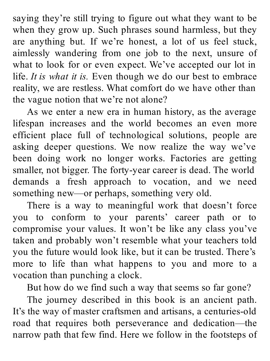saying they're still trying to figure out what they want to be when they grow up. Such phrases sound harmless, but they are anything but. If we're honest, a lot of us feel stuck, aimlessly wandering from one job to the next, unsure of what to look for or even expect. We've accepted our lot in life. *It is what it is.* Even though we do our best to embrace reality, we are restless. What comfort do we have other than the vague notion that we're not alone?

As we enter a new era in human history, as the average lifespan increases and the world becomes an even more efficient place full of technological solutions, people are asking deeper questions. We now realize the way we've been doing work no longer works. Factories are getting smaller, not bigger. The forty-year career is dead. The world demands a fresh approach to vocation, and we need something new—or perhaps, something very old.

There is a way to meaningful work that doesn't force you to conform to your parents' career path or to compromise your values. It won't be like any class you've taken and probably won't resemble what your teachers told you the future would look like, but it can be trusted. There's more to life than what happens to you and more to a vocation than punching a clock.

But how do we find such a way that seems so far gone?

The journey described in this book is an ancient path. It's the way of master craftsmen and artisans, a centuries-old road that requires both perseverance and dedication—the narrow path that few find. Here we follow in the footsteps of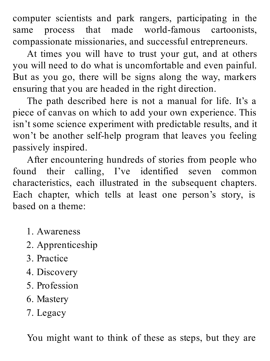computer scientists and park rangers, participating in the same process that made world-famous cartoonists, compassionate missionaries, and successful entrepreneurs.

At times you will have to trust your gut, and at others you will need to do what is uncomfortable and even painful. But as you go, there will be signs along the way, markers ensuring that you are headed in the right direction.

The path described here is not a manual for life. It's a piece of canvas on which to add your own experience. This isn't some science experiment with predictable results, and it won't be another self-help program that leaves you feeling passively inspired.

After encountering hundreds of stories from people who found their calling, I've identified seven common characteristics, each illustrated in the subsequent chapters. Each chapter, which tells at least one person's story, is based on a theme:

- 1. Awareness
- 2. Apprenticeship
- 3. Practice
- 4. Discovery
- 5. Profession
- 6. Mastery
- 7. Legacy

You might want to think of these as steps, but they are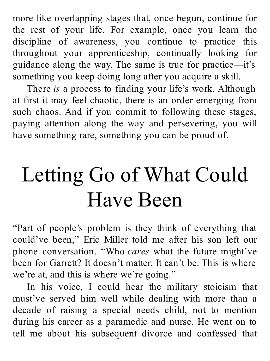more like overlapping stages that, once begun, continue for the rest of your life. For example, once you learn the discipline of awareness, you continue to practice this throughout your apprenticeship, continually looking for guidance along the way. The same is true for practice—it's something you keep doing long after you acquire a skill.

There *is* a process to finding your life's work. Although at first it may feel chaotic, there is an order emerging from such chaos. And if you commit to following these stages, paying attention along the way and persevering, you will have something rare, something you can be proud of.

### Letting Go of What Could Have Been

"Part of people's problem is they think of everything that could've been," Eric Miller told me after his son left our phone conversation. "Who *cares* what the future might've been for Garrett? It doesn't matter. It can't be. This is where we're at, and this is where we're going."

In his voice, I could hear the military stoicism that must've served him well while dealing with more than a decade of raising a special needs child, not to mention during his career as a paramedic and nurse. He went on to tell me about his subsequent divorce and confessed that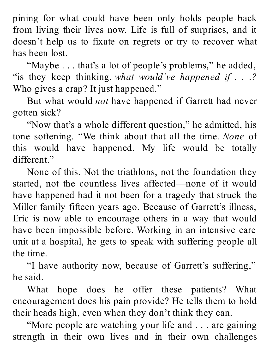pining for what could have been only holds people back from living their lives now. Life is full of surprises, and it doesn't help us to fixate on regrets or try to recover what has been lost.

"Maybe . . . that's a lot of people's problems," he added, "is they keep thinking, *what would've happened if . . .?* Who gives a crap? It just happened."

But what would *not* have happened if Garrett had never gotten sick?

"Now that's a whole different question," he admitted, his tone softening. "We think about that all the time. *None* of this would have happened. My life would be totally different."

None of this. Not the triathlons, not the foundation they started, not the countless lives affected—none of it would have happened had it not been for a tragedy that struck the Miller family fifteen years ago. Because of Garrett's illness, Eric is now able to encourage others in a way that would have been impossible before. Working in an intensive care unit at a hospital, he gets to speak with suffering people all the time.

"I have authority now, because of Garrett's suffering," he said.

What hope does he offer these patients? What encouragement does his pain provide? He tells them to hold their heads high, even when they don't think they can.

"More people are watching your life and . . . are gaining strength in their own lives and in their own challenges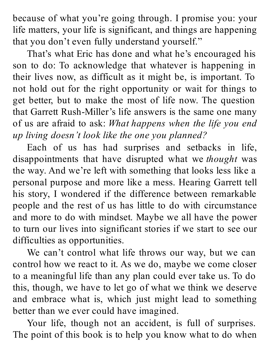because of what you're going through. I promise you: your life matters, your life is significant, and things are happening that you don't even fully understand yourself."

That's what Eric has done and what he's encouraged his son to do: To acknowledge that whatever is happening in their lives now, as difficult as it might be, is important. To not hold out for the right opportunity or wait for things to get better, but to make the most of life now. The question that Garrett Rush-Miller's life answers is the same one many of us are afraid to ask: *What happens when the life you end up living doesn't look like the one you planned?*

Each of us has had surprises and setbacks in life, disappointments that have disrupted what we *thought* was the way. And we're left with something that looks less like a personal purpose and more like a mess. Hearing Garrett tell his story, I wondered if the difference between remarkable people and the rest of us has little to do with circumstance and more to do with mindset. Maybe we all have the power to turn our lives into significant stories if we start to see our difficulties as opportunities.

We can't control what life throws our way, but we can control how we react to it. As we do, maybe we come closer to a meaningful life than any plan could ever take us. To do this, though, we have to let go of what we think we deserve and embrace what is, which just might lead to something better than we ever could have imagined.

Your life, though not an accident, is full of surprises. The point of this book is to help you know what to do when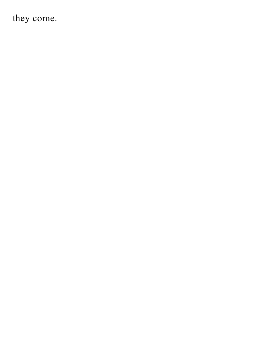they come.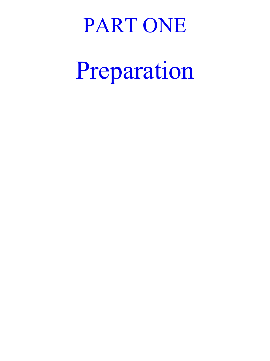<span id="page-33-0"></span>PART ONE Preparation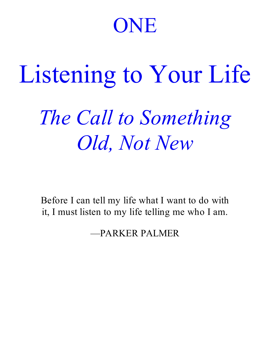### <span id="page-34-0"></span>ONE

# Listening to Your Life

### *The Call to Something Old, Not New*

Before I can tell my life what I want to do with it, I must listen to my life telling me who I am.

—PARKER PALMER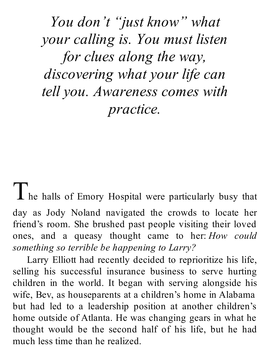*You don 't "just know " what your calling is. You must listen for clues along the way, discovering what your life can tell you. Awareness comes with practice.*

The halls of Emory Hospital were particularly busy that day as Jody Noland navigated the crowds to locate her friend's room. She brushed past people visiting their loved ones, and a queasy thought came to her: *How could something so terrible be happening to Larry?*

Larry Elliott had recently decided to reprioritize his life, selling his successful insurance business to serve hurting children in the world. It began with serving alongside his wife, Bev, as houseparents at a children's home in Alabama but had led to a leadership position at another children's home outside of Atlanta. He was changing gears in what he thought would be the second half of his life, but he had much less time than he realized.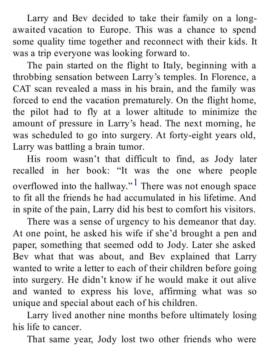Larry and Bev decided to take their family on a longawaited vacation to Europe. [T](#page-248-0)his was a chance to spend some quality time together and reconnect with their kids. It was a trip everyone was looking forward to.

The pain started on the flight to Italy, beginning with a throbbing sensation between Larry's temples. In Florence, a CAT scan revealed a mass in his brain, and the family was forced to end the vacation prematurely. On the flight home, the pilot had to fly at a lower altitude to minimize the amount of pressure in Larry's head. The next morning, he was scheduled to go into surgery. At forty-eight years old, Larry was battling a brain tumor.

His room wasn't that difficult to find, as Jody later recalled in her book: "It was the one where people overflowed into the hallway."<sup>1</sup> There was not enough space to fit all the friends he had accumulated in his lifetime. And in spite of the pain, Larry did his best to comfort his visitors.

There was a sense of urgency to his demeanor that day. At one point, he asked his wife if she'd brought a pen and paper, something that seemed odd to Jody. Later she asked Bev what that was about, and Bev explained that Larry wanted to write a letter to each of their children before going into surgery. He didn't know if he would make it out alive and wanted to express his love, affirming what was so unique and special about each of his children.

Larry lived another nine months before ultimately losing his life to cancer.

That same year, Jody lost two other friends who were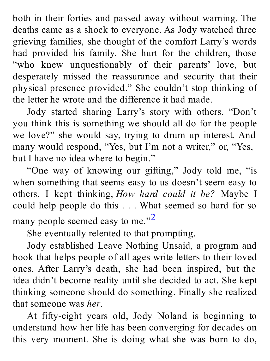both in their forties and passed away without warning. The deaths came as a shock to everyone. As Jody watched three grieving families, she thought of the comfort Larry's words had provided his family. She hurt for the children, those "who knew unquestionably of [t](#page-248-1)heir parents' love, but desperately missed the reassurance and security that their physical presence provided." She couldn't stop thinking of the letter he wrote and the difference it had made.

Jody started sharing Larry's story with others. "Don't you think this is something we should all do for the people we love?" she would say, trying to drum up interest. And many would respond, "Yes, but I'm not a writer," or, "Yes, but I have no idea where to begin."

"One way of knowing our gifting," Jody told me, "is when something that seems easy to us doesn't seem easy to others. I kept thinking, *How hard could it be?* Maybe I could help people do this . . . What seemed so hard for so many people seemed easy to me." $2$ 

She eventually relented to that prompting.

Jody established Leave Nothing Unsaid, a program and book that helps people of all ages write letters to their loved ones. After Larry's death, she had been inspired, but the idea didn't become reality until she decided to act. She kept thinking someone should do something. Finally she realized that someone was *her*.

At fifty-eight years old, Jody Noland is beginning to understand how her life has been converging for decades on this very moment. She is doing what she was born to do,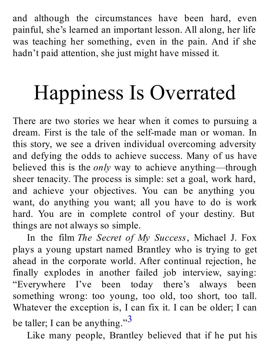and although the circumstances have been hard, even painful, she's learned an important lesson. All along, her life was teaching her something, even in the pain. And if she hadn't paid attention, she just might have missed it.

#### Happiness Is Overrated

There are two stories we hear when it comes to pursuing a dream. First is the tale of the self-made man or woman. In this story, we see a driven individual overcoming adversity and defying the odds to achieve success. Many of us have believed this is the *only* wa[y](#page-248-2) to achieve anything—through sheer tenacity. The process is simple: set a goal, work hard, and achieve your objectives. You can be anything you want, do anything you want; all you have to do is work hard. You are in complete control of your destiny. But things are not always so simple.

In the film *The Secret of My Success*, Michael J. Fox plays a young upstart named Brantley who is trying to get ahead in the corporate world. After continual rejection, he finally explodes in another failed job interview, saying: "Everywhere I've been today there's always been something wrong: too young, too old, too short, too tall. Whatever the exception is, I can fix it. I can be older; I can be taller; I can be anything." $3$ 

Like many people, Brantley believed that if he put his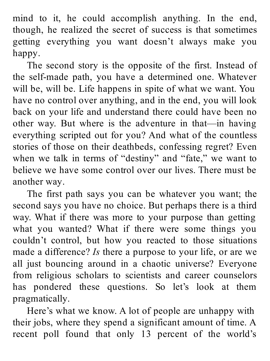mind to it, he could accomplish anything. In the end, though, he realized the secret of success is that sometimes getting everything you want doesn't always make you happy.

The second story is the opposite of the first. Instead of the self-made path, you have a determined one. Whatever will be, will be. Life happens in spite of what we want. You have no control over anything, and in the end, you will look back on your life and understand there could have been no other way. But where is the adventure in that—in having everything scripted out for you? And what of the countless stories of those on their deathbeds, confessing regret? Even when we talk in terms of "destiny" and "fate," we want to believe we have some control over our lives. There must be another way.

The first path says you can be whatever you want; the second says you have no choice. But perhaps there is a third way. What if there was more to your purpose than getting what you wanted? What if there were some things you couldn't control, but how you reacted to those situations made a difference? *Is* there a purpose to your life, or are we all just bouncing around in a chaotic universe? Everyone from religious scholars to scientists and career counselors has pondered these questions. So let's look at them pragmatically.

Here's what we know. A lot of people are unhappy with their jobs, where they spend a significant amount of time. A recent poll found that only 13 percent of the world's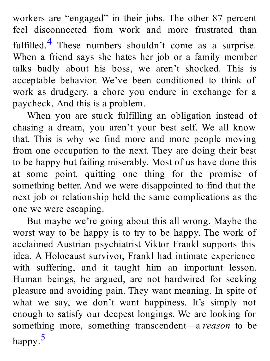workers are "engaged" in their jobs. The other 87 percent feel disconnected from work and more frustrated than fulfilled.<sup>4</sup> These numbers shouldn't come as a surprise. When a friend says she hates her job or a family member talks badly about his boss, we aren't shocked. This is acceptable behavior. We've been conditioned to think of work as drudgery, a chore you endure in exchange for a paycheck. And this is a problem.

When you are stuck fulfilling an obligation instead of chasing a dream, you aren't your best self. We all know that. This is why we find more and more people moving from one occupation to the next. They are doing their best to be happy but failing miserably. Most of us have done this at some point, quitting one thing for the promise of somet[hin](#page-248-3)g better. And we were disappointed to find that the next job or relationship held the same complications as the one we were escaping.

But maybe we're going about this all wrong. Maybe the worst way to be happy is to try to be happy. The work of acclaimed Austrian psychiatrist Viktor Frankl supports this idea. A Holocaust survivor, Frankl had intimate experience with suffering, and it taught him an important lesson. Human beings, he argued, are not hardwired for seeking pleasure and avoiding pain. They want meaning. In spite of what we say, we don't want happiness. It's simply not enough to satisfy our deepest longings. We are looking for something more, something transcendent—a *reason* to be happy.<sup>5</sup>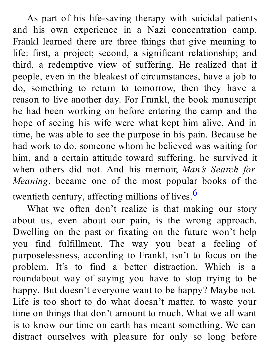As part of his life-saving therapy with suicidal patients and his own experience in a Nazi concentration camp, Frankl learned there are three things that [giv](#page-248-4)e meaning to life: first, a project; second, a significant relationship; and third, a redemptive view of suffering. He realized that if people, even in the bleakest of circumstances, have a job to do, something to return to tomorrow, then they have a reason to live another day. For Frankl, the book manuscript he had been working on before entering the camp and the hope of seeing his wife were what kept him alive. And in time, he was able to see the purpose in his pain. Because he had work to do, someone whom he believed was waiting for him, and a certain attitude toward suffering, he survived it when others did not. And his memoir, *Man's Search for Meaning*, became one of the most popular books of the twentieth century, affecting millions of lives.<sup>6</sup>

What we often don't realize is that making our story about us, even about our pain, is the wrong approach. Dwelling on the past or fixating on the future won't help you find fulfillment. The way you beat a feeling of purposelessness, according to Frankl, isn't to focus on the problem. It's to find a better distraction. Which is a roundabout way of saying you have to stop trying to be happy. But doesn't everyone want to be happy? Maybe not. Life is too short to do what doesn't matter, to waste your time on things that don't amount to much. What we all want is to know our time on earth has meant something. We can distract ourselves with pleasure for only so long before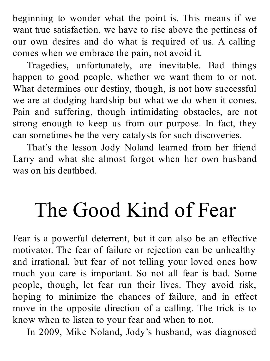beginning to wonder what the point is. This means if we want true satisfaction, we have to rise above the pettiness of our own desires and do what is required of us. A calling comes when we embrace the pain, not avoid it.

Tragedies, unfortunately, are inevitable. Bad things happen to good people, whether we want them to or not. What determines our destiny, though, is not how successful we are at dodging hardship but what we do when it comes. Pain and suffering, though intimidating obstacles, are not strong enough to keep us from our purpose. In fact, they can sometimes be the very catalysts for such discoveries.

That's the lesson Jody Noland learned from her friend Larry and what she almost forgot when her own husband was on his deathbed.

## The Good Kind of Fear

Fear is a powerful deterrent, but it can also be an effective motivator. The fear of failure or rejection can be unhealthy and irrational, but fear of not telling your loved ones how much you care is important. So not all fear is bad. Some people, though, let fear run their lives. They avoid risk, hoping to minimize the chances of failure, and in effect move in the opposite direction of a calling. The trick is to know when to listen to your fear and when to not.

In 2009, Mike Noland, Jody's husband, was diagnosed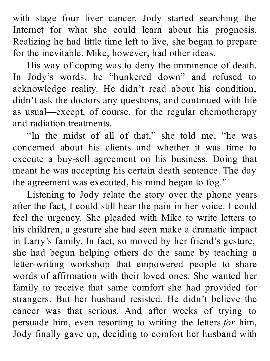with stage four liver cancer. Jody started searching the Internet for what she could learn about his prognosis. Realizing he had little time left to live, she began to prepare for the inevitable. Mike, however, had other ideas.

His way of coping was to deny the imminence of death. In Jody's words, he "hunkered down" and refused to acknowledge reality. He didn't read about his condition, didn't ask the doctors any questions, and continued with life as usual—except, of course, for the regular chemotherapy and radiation treatments.

"In the midst of all of that," she told me, "he was concerned about his clients and whether it was time to execute a buy-sell agreement on his business. Doing that meant he was accepting his certain death sentence. The day the agreement was executed, his mind began to fog."

Listening to Jody relate the story over the phone years after the fact, I could still hear the pain in her voice. I could feel the urgency. She pleaded with Mike to write letters to his children, a gesture she had seen make a dramatic impact in Larry's family. In fact, so moved by her friend's gesture, she had begun helping others do the same by teaching a letter-writing workshop that empowered people to share words of affirmation with their loved ones. She wanted her family to receive that same comfort she had provided for strangers. But her husband resisted. He didn't believe the cancer was that serious. And after weeks of trying to persuade him, even resorting to writing the letters *for* him, Jody finally gave up, deciding to comfort her husband with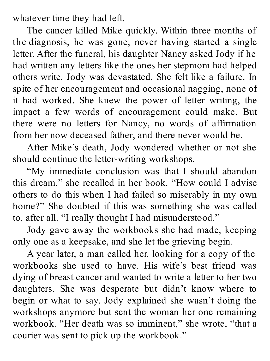whatever time they had left.

The cancer killed Mike quickly. Within three months of the diagnosis, he was gone, never having started a single letter. After the funeral, his daughter Nancy asked Jody if he had written any letters like the ones her stepmom had helped others write. Jody was devastated. She felt like a failure. In spite of her encouragement and occasional nagging, none of it had worked. She knew the power of letter writing, the impact a few words of encouragement could make. But there were no letters for Nancy, no words of affirmation from her now deceased father, and there never would be.

After Mike's death, Jody wondered whether or not she should continue the letter-writing workshops.

"My immediate conclusion was that I should abandon this dream," she recalled in her book. "How could I advise others to do this when I had failed so miserably in my own home?" She doubted if this was something she was called to, after all. "I really thought I had misunderstood."

Jody gave away the workbooks she had made, keeping only one as a keepsake, and she let the grieving begin.

A year later, a man called her, looking for a copy of the workbooks she used to have. His wife's best friend was dying of breast cancer and wanted to write a letter to her two daughters. She was desperate but didn't know where to begin or what to say. Jody explained she wasn't doing the workshops anymore but sent the woman her one remaining workbook. "Her death was so imminent," she wrote, "that a courier was sent to pick up the workbook."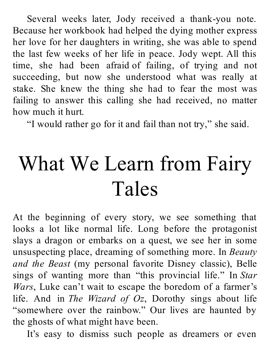Several weeks later, Jody received a thank-you note. Because her workbook had helped the dying mother express her love for her daughters in writing, she was able to spend the last few weeks of her life in peace. Jody wept. All this time, she had been afraid of failing, of trying and not succeeding, but now she understood what was really at stake. She knew the thing she had to fear the most was failing to answer this calling she had received, no matter how much it hurt.

"I would rather go for it and fail than not try," she said.

# What We Learn from Fairy Tales

At the beginning of every story, we see something that looks a lot like normal life. Long before the protagonist slays a dragon or embarks on a quest, we see her in some unsuspecting place, dreaming of something more. In *Beauty and the Beast* (my personal favorite Disney classic), Belle sings of wanting more than "this provincial life." In *Star Wars*, Luke can't wait to escape the boredom of a farmer's life. And in *The Wizard of Oz*, Dorothy sings about life "somewhere over the rainbow." Our lives are haunted by the ghosts of what might have been.

It's easy to dismiss such people as dreamers or even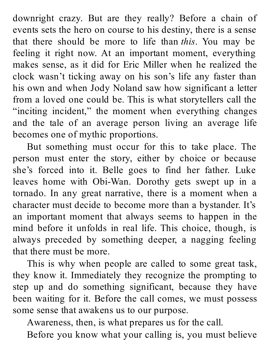downright crazy. But are they really? Before a chain of events sets the hero on course to his destiny, there is a sense that there should be more to life than *this*. You may be feeling it right now. At an important moment, everything makes sense, as it did for Eric Miller when he realized the clock wasn't ticking away on his son's life any faster than his own and when Jody Noland saw how significant a letter from a loved one could be. This is what storytellers call the "inciting incident," the moment when everything changes and the tale of an average person living an average life becomes one of mythic proportions.

But something must occur for this to take place. The person must enter the story, either by choice or because she's forced into it. Belle goes to find her father. Luke leaves home with Obi-Wan. Dorothy gets swept up in a tornado. In any great narrative, there is a moment when a character must decide to become more than a bystander. It's an important moment that always seems to happen in the mind before it unfolds in real life. This choice, though, is always preceded by something deeper, a nagging feeling that there must be more.

This is why when people are called to some great task, they know it. Immediately they recognize the prompting to step up and do something significant, because they have been waiting for it. Before the call comes, we must possess some sense that awakens us to our purpose.

Awareness, then, is what prepares us for the call.

Before you know what your calling is, you must believe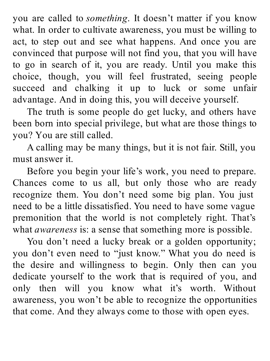you are called to *something*. It doesn't matter if you know what. In order to cultivate awareness, you must be willing to act, to step out and see what happens. And once you are convinced that purpose will not find you, that you will have to go in search of it, you are ready. Until you make this choice, though, you will feel frustrated, seeing people succeed and chalking it up to luck or some unfair advantage. And in doing this, you will deceive yourself.

The truth is some people do get lucky, and others have been born into special privilege, but what are those things to you? You are still called.

A calling may be many things, but it is not fair. Still, you must answer it.

Before you begin your life's work, you need to prepare. Chances come to us all, but only those who are ready recognize them. You don't need some big plan. You just need to be a little dissatisfied. You need to have some vague premonition that the world is not completely right. That's what *awareness* is: a sense that something more is possible.

You don't need a lucky break or a golden opportunity; you don't even need to "just know." What you do need is the desire and willingness to begin. Only then can you dedicate yourself to the work that is required of you, and only then will you know what it's worth. Without awareness, you won't be able to recognize the opportunities that come. And they always come to those with open eyes.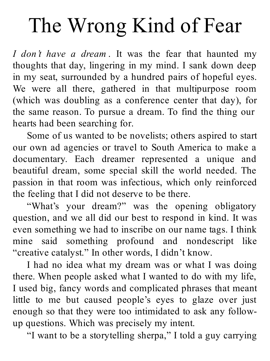# The Wrong Kind of Fear

*I don't have a dream* . It was the fear that haunted my thoughts that day, lingering in my mind. I sank down deep in my seat, surrounded by a hundred pairs of hopeful eyes. We were all there, gathered in that multipurpose room (which was doubling as a conference center that day), for the same reason. To pursue a dream. To find the thing our hearts had been searching for.

Some of us wanted to be novelists; others aspired to start our own ad agencies or travel to South America to make a documentary. Each dreamer represented a unique and beautiful dream, some special skill the world needed. The passion in that room was infectious, which only reinforced the feeling that I did not deserve to be there.

"What's your dream?" was the opening obligatory question, and we all did our best to respond in kind. It was even something we had to inscribe on our name tags. I think mine said something profound and nondescript like "creative catalyst." In other words, I didn't know.

I had no idea what my dream was or what I was doing there. When people asked what I wanted to do with my life, I used big, fancy words and complicated phrases that meant little to me but caused people's eyes to glaze over just enough so that they were too intimidated to ask any followup questions. Which was precisely my intent.

"I want to be a storytelling sherpa," I told a guy carrying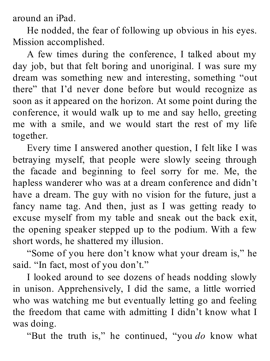around an iPad.

He nodded, the fear of following up obvious in his eyes. Mission accomplished.

A few times during the conference, I talked about my day job, but that felt boring and unoriginal. I was sure my dream was something new and interesting, something "out there" that I'd never done before but would recognize as soon as it appeared on the horizon. At some point during the conference, it would walk up to me and say hello, greeting me with a smile, and we would start the rest of my life together.

Every time I answered another question, I felt like I was betraying myself, that people were slowly seeing through the facade and beginning to feel sorry for me. Me, the hapless wanderer who was at a dream conference and didn't have a dream. The guy with no vision for the future, just a fancy name tag. And then, just as I was getting ready to excuse myself from my table and sneak out the back exit, the opening speaker stepped up to the podium. With a few short words, he shattered my illusion.

"Some of you here don't know what your dream is," he said. "In fact, most of you don't."

I looked around to see dozens of heads nodding slowly in unison. Apprehensively, I did the same, a little worried who was watching me but eventually letting go and feeling the freedom that came with admitting I didn't know what I was doing.

"But the truth is," he continued, "you *do* know what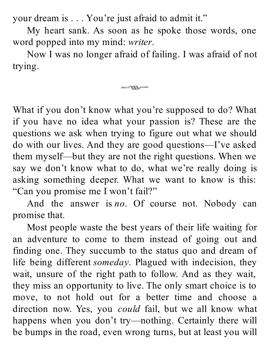your dream is . . . You're just afraid to admit it."

My heart sank. As soon as he spoke those words, one word popped into my mind: *writer*.

Now I was no longer afraid of failing. I was afraid of not trying.

 $\label{eq:reduced} \begin{minipage}{0.5\linewidth} \begin{minipage}{0.5\linewidth} \hline \textbf{1} & \textbf{1} & \textbf{1} & \textbf{1} & \textbf{1} & \textbf{1} & \textbf{1} & \textbf{1} & \textbf{1} & \textbf{1} & \textbf{1} & \textbf{1} & \textbf{1} & \textbf{1} & \textbf{1} & \textbf{1} & \textbf{1} & \textbf{1} & \textbf{1} & \textbf{1} & \textbf{1} & \textbf{1} & \textbf{1} & \textbf{1} & \textbf{1} & \textbf{1} & \$ 

What if you don't know what you're supposed to do? What if you have no idea what your passion is? These are the questions we ask when trying to figure out what we should do with our lives. And they are good questions—I've asked them myself—but they are not the right questions. When we say we don't know what to do, what we're really doing is asking something deeper. What we want to know is this: "Can you promise me I won't fail?"

And the answer is *no*. Of course not. Nobody can promise that.

Most people waste the best years of their life waiting for an adventure to come to them instead of going out and finding one. They succumb to the status quo and dream of life being different *someday*. Plagued with indecision, they wait, unsure of the right path to follow. And as they wait, they miss an opportunity to live. The only smart choice is to move, to not hold out for a better time and choose a direction now. Yes, you *could* fail, but we all know what happens when you don't try—nothing. Certainly there will be bumps in the road, even wrong turns, but at least you will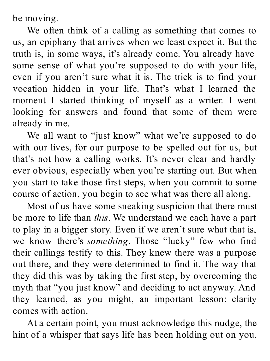be moving.

We often think of a calling as something that comes to us, an epiphany that arrives when we least expect it. But the truth is, in some ways, it's already come. You already have some sense of what you're supposed to do with your life, even if you aren't sure what it is. The trick is to find your vocation hidden in your life. That's what I learned the moment I started thinking of myself as a writer. I went looking for answers and found that some of them were already in me.

We all want to "just know" what we're supposed to do with our lives, for our purpose to be spelled out for us, but that's not how a calling works. It's never clear and hardly ever obvious, especially when you're starting out. But when you start to take those first steps, when you commit to some course of action, you begin to see what was there all along.

Most of us have some sneaking suspicion that there must be more to life than *this*. We understand we each have a part to play in a bigger story. Even if we aren't sure what that is, we know there's *something*. Those "lucky" few who find their callings testify to this. They knew there was a purpose out there, and they were determined to find it. The way that they did this was by taking the first step, by overcoming the myth that "you just know" and deciding to act anyway. And they learned, as you might, an important lesson: clarity comes with action.

At a certain point, you must acknowledge this nudge, the hint of a whisper that says life has been holding out on you.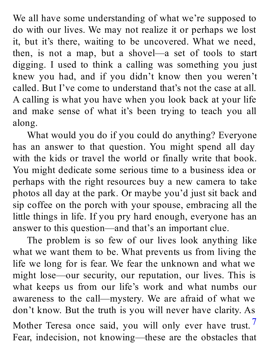We all have some understanding of what we're supposed to do with our lives. We may not realize it or perhaps we lost it, but it's there, waiting to be uncovered. What we need, then, is not a map, but a shovel—a set of tools to start digging. I used to think a calling was something you just knew you had, and if you didn't know then you weren't called. But I've come to understand that's not the case at all. A calling is what you have when you look back at your life and make sense of what it's been trying to teach you all along.

What would you do if you could do anything? Everyone has an answer to that question. You might spend all day with the kids or travel the world or finally write that book. You might dedicate some serious time to a business idea [or](#page-248-5) perhaps with the right resources buy a new camera to take photos all day at the park. Or maybe you'd just sit back and sip coffee on the porch with your spouse, embracing all the little things in life. If you pry hard enough, everyone has an answer to this question—and that's an important clue.

The problem is so few of our lives look anything like what we want them to be. What prevents us from living the life we long for is fear. We fear the unknown and what we might lose—our security, our reputation, our lives. This is what keeps us from our life's work and what numbs our awareness to the call—mystery. We are afraid of what we don't know. But the truth is you will never have clarity. As

Mother Teresa once said, you will only ever have trust.<sup>7</sup> Fear, indecision, not knowing—these are the obstacles that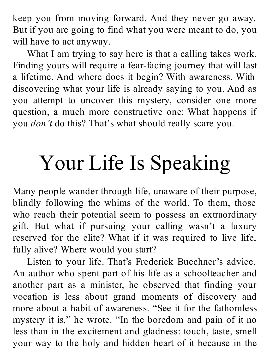keep you from moving forward. And they never go away. But if you are going to find what you were meant to do, you will have to act anyway.

What I am trying to say here is that a calling takes work. Finding yours will require a fear-facing journey that will last a lifetime. And where does it begin? With awareness. With discovering what your life is already saying to you. And as you attempt to uncover this mystery, consider one more question, a much more constructive one: What happens if you *don't* do this? That's what should really scare you.

## Your Life Is Speaking

Many people wander through life, unaware of their purpose, blindly following the whims of the world. To them, those who reach their potential seem to possess an extraordinary gift. But what if pursuing your calling wasn't a luxury reserved for the elite? What if it was required to live life, fully alive? Where would you start?

Listen to your life. That's Frederick Buechner's advice. An author who spent part of his life as a schoolteacher and another part as a minister, he observed that finding your vocation is less about grand moments of discovery and more about a habit of awareness. "See it for the fathomless mystery it is," he wrote. "In the boredom and pain of it no less than in the excitement and gladness: touch, taste, smell your way to the holy and hidden heart of it because in the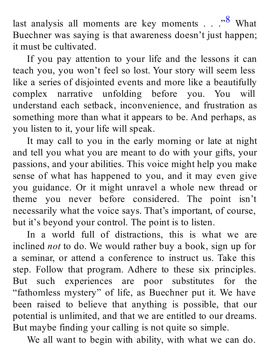last analysis all moments are key moments . . . "8 What Buechner was saying is that awareness doesn't just happen; it must be cultivated.

If you pay attention to your life and the lessons it can teach you, you won't feel so lost. Your story will seem less like a series of disjointed events and more like a beautifully complex narrative unfolding before you. You will understand each setback, inconvenience, and frustration as something more than what it appears to be. And perhaps, as you listen to it, your life will speak.

It may call to you in the early morning or late at night and tell you what you are meant to do with your gifts, your passions, and your abilities. This voice might help you make sense of what has happened to you, and it may even give you guidance. Or it might unravel a whole new thread or theme you never before considered. The point isn't necessarily what the voice says. That's important, of course, but it's beyond your control. The point is to listen.

In a world full of distractions, this is what we are inclined *not* to do. We would rather buy a book, sign up for a seminar, or attend a conference to instruct us. Take this step. Follow that program. Adhere to these six principles. But such experiences are poor substitutes for the "fathomless mystery" of life, as Buechner put it. We have been raised to believe that anything is possible, that our potential is unlimited, and that we are entitled to our dreams. But maybe finding your calling is not quite so simple.

We all want to begin with ability, with what we can do.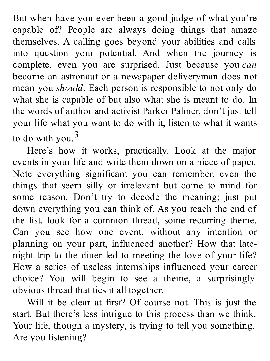But when have you ever been a good judge of what you're capable of? People are always doing things that amaze themselves. A calling goes beyond your abilities and calls into question your potential. And when the journey is complete, even you are surprised. Just because you *can* become an astronaut or a newspaper deliveryman does not mean you *should*. Each person is responsible to not only do what she is capable of but also what she is meant to do. In the words of author and activist Parker Palmer, don't just tell your life what you want to do with it; listen to what it wants to do with you. $3$ 

Here's how it works, practically. Look at the major events in your life and write them down on a piece of paper. Note everything significant you can remember, even the things that seem silly or irrelevant but come to mind for some reason. Don't try to decode the meaning; just put down everything you can think of. As you reach the end of the list, look for a common thread, some recurring theme. Can you see how one event, without any intention or planning on your part, influenced another? How that latenight trip to the diner led to meeting the love of your life? How a series of useless internships influenced your career choice? You will begin to see a theme, a surprisingly obvious thread that ties it all together.

Will it be clear at first? Of course not. This is just the start. But there's less intrigue to this process than we think. Your life, though a mystery, is trying to tell you something. Are you listening?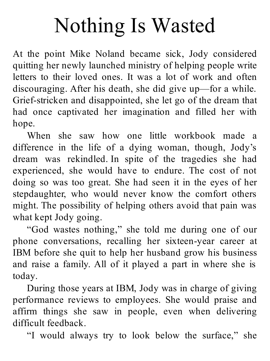# Nothing Is Wasted

At the point Mike Noland became sick, Jody considered quitting her newly launched ministry of helping people write letters to their loved ones. It was a lot of work and often discouraging. After his death, she did give up—for a while. Grief-stricken and disappointed, she let go of the dream that had once captivated her imagination and filled her with hope.

When she saw how one little workbook made a difference in the life of a dying woman, though, Jody's dream was rekindled. In spite of the tragedies she had experienced, she would have to endure. The cost of not doing so was too great. She had seen it in the eyes of her stepdaughter, who would never know the comfort others might. The possibility of helping others avoid that pain was what kept Jody going.

"God wastes nothing," she told me during one of our phone conversations, recalling her sixteen-year career at IBM before she quit to help her husband grow his business and raise a family. All of it played a part in where she is today.

During those years at IBM, Jody was in charge of giving performance reviews to employees. She would praise and affirm things she saw in people, even when delivering difficult feedback.

"I would always try to look below the surface," she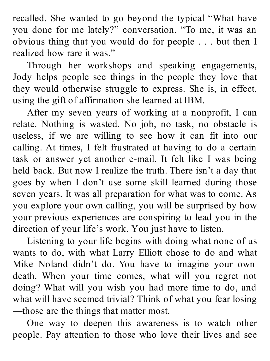recalled. She wanted to go beyond the typical "What have you done for me lately?" conversation. "To me, it was an obvious thing that you would do for people . . . but then I realized how rare it was."

Through her workshops and speaking engagements, Jody helps people see things in the people they love that they would otherwise struggle to express. She is, in effect, using the gift of affirmation she learned at IBM.

After my seven years of working at a nonprofit, I can relate. Nothing is wasted. No job, no task, no obstacle is useless, if we are willing to see how it can fit into our calling. At times, I felt frustrated at having to do a certain task or answer yet another e-mail. It felt like I was being held back. But now I realize the truth. There isn't a day that goes by when I don't use some skill learned during those seven years. It was all preparation for what was to come. As you explore your own calling, you will be surprised by how your previous experiences are conspiring to lead you in the direction of your life's work. You just have to listen.

Listening to your life begins with doing what none of us wants to do, with what Larry Elliott chose to do and what Mike Noland didn't do. You have to imagine your own death. When your time comes, what will you regret not doing? What will you wish you had more time to do, and what will have seemed trivial? Think of what you fear losing —those are the things that matter most.

One way to deepen this awareness is to watch other people. Pay attention to those who love their lives and see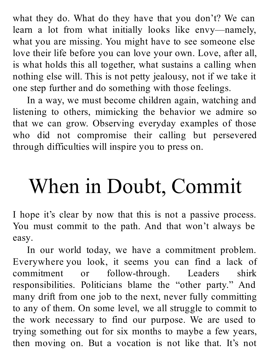what they do. What do they have that you don't? We can learn a lot from what initially looks like envy—namely, what you are missing. You might have to see someone else love their life before you can love your own. Love, after all, is what holds this all together, what sustains a calling when nothing else will. This is not petty jealousy, not if we take it one step further and do something with those feelings.

In a way, we must become children again, watching and listening to others, mimicking the behavior we admire so that we can grow. Observing everyday examples of those who did not compromise their calling but persevered through difficulties will inspire you to press on.

#### When in Doubt, Commit

I hope it's clear by now that this is not a passive process. You must commit to the path. And that won't always be easy.

In our world today, we have a commitment problem. Everywhere you look, it seems you can find a lack of commitment or follow-through. Leaders shirk responsibilities. Politicians blame the "other party." And many drift from one job to the next, never fully committing to any of them. On some level, we all struggle to commit to the work necessary to find our purpose. We are used to trying something out for six months to maybe a few years, then moving on. But a vocation is not like that. It's not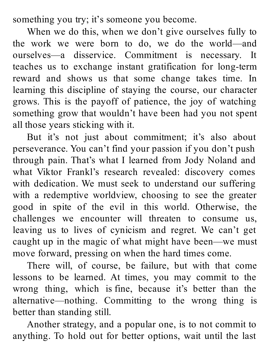something you try; it's someone you become.

When we do this, when we don't give ourselves fully to the work we were born to do, we do the world—and ourselves—a disservice. Commitment is necessary. It teaches us to exchange instant gratification for long-term reward and shows us that some change takes time. In learning this discipline of staying the course, our character grows. This is the payoff of patience, the joy of watching something grow that wouldn't have been had you not spent all those years sticking with it.

But it's not just about commitment; it's also about perseverance. You can't find your passion if you don't push through pain. That's what I learned from Jody Noland and what Viktor Frankl's research revealed: discovery comes with dedication. We must seek to understand our suffering with a redemptive worldview, choosing to see the greater good in spite of the evil in this world. Otherwise, the challenges we encounter will threaten to consume us, leaving us to lives of cynicism and regret. We can't get caught up in the magic of what might have been—we must move forward, pressing on when the hard times come.

There will, of course, be failure, but with that come lessons to be learned. At times, you may commit to the wrong thing, which is fine, because it's better than the alternative—nothing. Committing to the wrong thing is better than standing still.

Another strategy, and a popular one, is to not commit to anything. To hold out for better options, wait until the last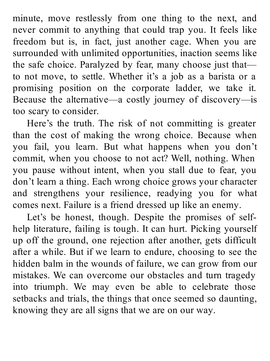minute, move restlessly from one thing to the next, and never commit to anything that could trap you. It feels like freedom but is, in fact, just another cage. When you are surrounded with unlimited opportunities, inaction seems like the safe choice. Paralyzed by fear, many choose just that to not move, to settle. Whether it's a job as a barista or a promising position on the corporate ladder, we take it. Because the alternative—a costly journey of discovery—is too scary to consider.

Here's the truth. The risk of not committing is greater than the cost of making the wrong choice. Because when you fail, you learn. But what happens when you don't commit, when you choose to not act? Well, nothing. When you pause without intent, when you stall due to fear, you don't learn a thing. Each wrong choice grows your character and strengthens your resilience, readying you for what comes next. Failure is a friend dressed up like an enemy.

Let's be honest, though. Despite the promises of selfhelp literature, failing is tough. It can hurt. Picking yourself up off the ground, one rejection after another, gets difficult after a while. But if we learn to endure, choosing to see the hidden balm in the wounds of failure, we can grow from our mistakes. We can overcome our obstacles and turn tragedy into triumph. We may even be able to celebrate those setbacks and trials, the things that once seemed so daunting, knowing they are all signs that we are on our way.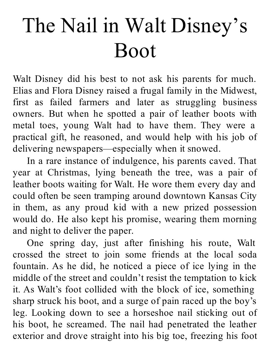# The Nail in Walt Disney's Boot

Walt Disney did his best to not ask his parents for much. Elias and Flora Disney raised a frugal family in the Midwest, first as failed farmers and later as struggling business owners. But when he spotted a pair of leather boots with metal toes, young Walt had to have them. They were a practical gift, he reasoned, and would help with his job of delivering newspapers—especially when it snowed.

In a rare instance of indulgence, his parents caved. That year at Christmas, lying beneath the tree, was a pair of leather boots waiting for Walt. He wore them every day and could often be seen tramping around downtown Kansas City in them, as any proud kid with a new prized possession would do. He also kept his promise, wearing them morning and night to deliver the paper.

One spring day, just after finishing his route, Walt crossed the street to join some friends at the local soda fountain. As he did, he noticed a piece of ice lying in the middle of the street and couldn't resist the temptation to kick it. As Walt's foot collided with the block of ice, something sharp struck his boot, and a surge of pain raced up the boy's leg. Looking down to see a horseshoe nail sticking out of his boot, he screamed. The nail had penetrated the leather exterior and drove straight into his big toe, freezing his foot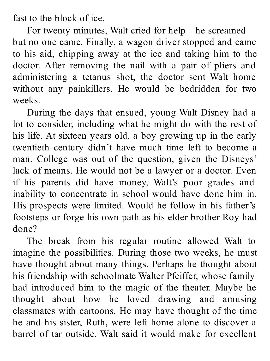fast to the block of ice.

For twenty minutes, Walt cried for help—he screamed but no one came. Finally, a wagon driver stopped and came to his aid, chipping away at the ice and taking him to the doctor. After removing the nail with a pair of pliers and administering a tetanus shot, the doctor sent Walt home without any painkillers. He would be bedridden for two weeks.

During the days that ensued, young Walt Disney had a lot to consider, including what he might do with the rest of his life. At sixteen years old, a boy growing up in the early twentieth century didn't have much time left to become a man. College was out of the question, given the Disneys' lack of means. He would not be a lawyer or a doctor. Even if his parents did have money, Walt's poor grades and inability to concentrate in school would have done him in. His prospects were limited. Would he follow in his father's footsteps or forge his own path as his elder brother Roy had done?

The break from his regular routine allowed Walt to imagine the possibilities. During those two weeks, he must have thought about many things. Perhaps he thought about his friendship with schoolmate Walter Pfeiffer, whose family had introduced him to the magic of the theater. Maybe he thought about how he loved drawing and amusing classmates with cartoons. He may have thought of the time he and his sister, Ruth, were left home alone to discover a barrel of tar outside. Walt said it would make for excellent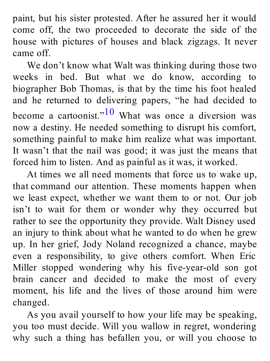paint, but his sister protested. After he assured her it would come off, the two proceeded to decorate the side of the house with pictures of houses and black zigzags. It never came off.

We don't know what Walt was thinking during those two weeks in bed. But what we do know, according to biographer Bob Thomas, is that by the time his foot healed and he returned to delivering papers, "he had decided to become a cartoonist."<sup>10</sup> What was once a diversion was now a destiny. He needed something to disrupt his comfort, something painful to make him realize what was important. It wasn't that the nail was good; it was just the means that forced him to listen. And as painful as it was, it worked.

At times we all need moments that force us to wake up, that command our attention. These moments happen when we least expect, whether we want them to or not. Our job isn't to wait for them or wonder why they occurred but rather to see the opportunity they provide. Walt Disney used an injury to think about what he wanted to do when he grew up. In her grief, Jody Noland recognized a chance, maybe even a responsibility, to give others comfort. When Eric Miller stopped wondering why his five-year-old son got brain cancer and decided to make the most of every moment, his life and the lives of those around him were changed.

As you avail yourself to how your life may be speaking, you too must decide. Will you wallow in regret, wondering why such a thing has befallen you, or will you choose to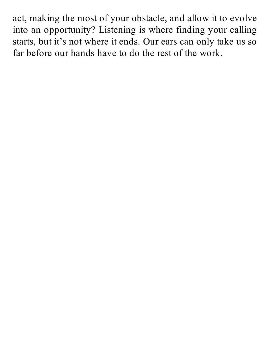act, making the most of your obstacle, and allow it to evolve into an opportunity? Listening is where finding your calling starts, but it's not where it ends. Our ears can only take us so far before our hands have to do the rest of the work.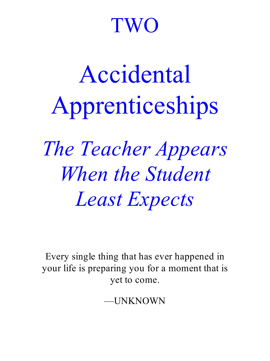#### [TWO](#page-13-0)

# Accidental Apprenticeships

*The Teacher Appears When the Student Least Expects*

Every single thing that has ever happened in your life is preparing you for a moment that is yet to come.

—UNKNOWN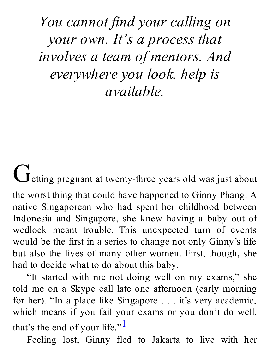*You cannot find your calling on your own. It' s a process that involves a team of mentors. And everywhere you look, help is available.*

 $\int$  $\int$ etting pregnant at twenty-three years old was just about

the worst thing that could have happened to Ginny Phang. A native Singaporean who had spent her childhood between Indonesia and Singapore, she knew having a baby out of wedlock meant trouble. This unexpected turn of events would be the first in a series to change not only Ginny's life but also the lives of many other women. First, though, she had to decide what to do about this baby.

"It started with me not doing well on my exams," she told me on a Skype call late one afternoon (early morning for her). "In a place like Singapore . . . it's very academic, which means if you fail your exams or you don't do well, that's the end of your life." $\frac{1}{2}$ 

Feeling lost, Ginny fled to Jakarta to live with her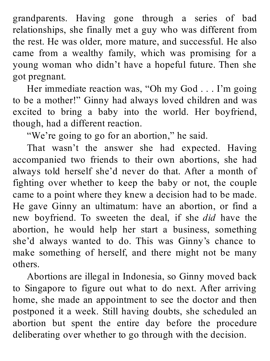grandparents. Having gone through a series of bad relationships, she finally met a guy who was different from the rest. He was older, more mature, and successful. He also came from a wealthy family, which was promising for a young woman who didn't have a hopeful future. Then she got pregnant.

Her immediate reaction was, "Oh my God . . . I'm going to be a mother!" Ginny had always loved children and was excited to bring a baby into the world. Her boyfriend, though, had a different reaction.

"We're going to go for an abortion," he said.

That wasn't the answer she had expected. Having accompanied two friends to their own abortions, she had always told herself she'd never do that. After a month of fighting over whether to keep the baby or not, the couple came to a point where they knew a decision had to be made. He gave Ginny an ultimatum: have an abortion, or find a new boyfriend. To sweeten the deal, if she *did* have the abortion, he would help her start a business, something she'd always wanted to do. This was Ginny's chance to make something of herself, and there might not be many others.

Abortions are illegal in Indonesia, so Ginny moved back to Singapore to figure out what to do next. After arriving home, she made an appointment to see the doctor and then postponed it a week. Still having doubts, she scheduled an abortion but spent the entire day before the procedure deliberating over whether to go through with the decision.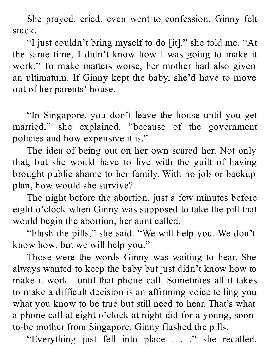She prayed, cried, even went to confession. Ginny felt stuck.

"I just couldn't bring myself to do [it]," she told me. "At the same time, I didn't know how I was going to make it work." To make matters worse, her mother had also given an ultimatum. If Ginny kept the baby, she'd have to move out of her parents' house.

"In Singapore, you don't leave the house until you get married," she explained, "because of the government policies and how expensive it is."

The idea of being out on her own scared her. Not only that, but she would have to live with the guilt of having brought public shame to her family. With no job or backup plan, how would she survive?

The night before the abortion, just a few minutes before eight o'clock when Ginny was supposed to take the pill that would begin the abortion, her aunt called.

"Flush the pills," she said. "We will help you. We don't know how, but we will help you."

Those were the words Ginny was waiting to hear. She always wanted to keep the baby but just didn't know how to make it work—until that phone call. Sometimes all it takes to make a difficult decision is an affirming voice telling you what you know to be true but still need to hear. That's what a phone call at eight o'clock at night did for a young, soonto-be mother from Singapore. Ginny flushed the pills.

"Everything just fell into place . . ." she recalled.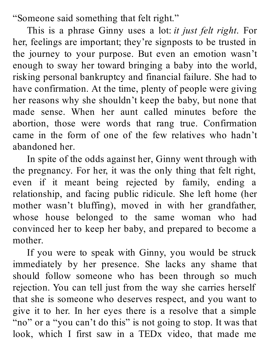"Someone said something that felt right."

This is a phrase Ginny uses a lot: *it just felt right*. For her, feelings are important; they're signposts to be trusted in the journey to your purpose. But even an emotion wasn't enough to sway her toward bringing a baby into the world, risking personal bankruptcy and financial failure. She had to have confirmation. At the time, plenty of people were giving her reasons why she shouldn't keep the baby, but none that made sense. When her aunt called minutes before the abortion, those were words that rang true. Confirmation came in the form of one of the few relatives who hadn't abandoned her.

In spite of the odds against her, Ginny went through with the pregnancy. For her, it was the only thing that felt right, even if it meant being rejected by family, ending a relationship, and facing public ridicule. She left home (her mother wasn't bluffing), moved in with her grandfather, whose house belonged to the same woman who had convinced her to keep her baby, and prepared to become a mother.

If you were to speak with Ginny, you would be struck immediately by her presence. She lacks any shame that should follow someone who has been through so much rejection. You can tell just from the way she carries herself that she is someone who deserves respect, and you want to give it to her. In her eyes there is a resolve that a simple "no" or a "you can't do this" is not going to stop. It was that look, which I first saw in a TEDx video, that made me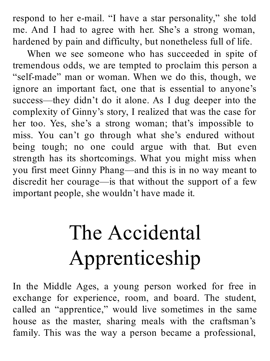respond to her e-mail. "I have a star personality," she told me. And I had to agree with her. She's a strong woman, hardened by pain and difficulty, but nonetheless full of life.

When we see someone who has succeeded in spite of tremendous odds, we are tempted to proclaim this person a "self-made" man or woman. When we do this, though, we ignore an important fact, one that is essential to anyone's success—they didn't do it alone. As I dug deeper into the complexity of Ginny's story, I realized that was the case for her too. Yes, she's a strong woman; that's impossible to miss. You can't go through what she's endured without being tough; no one could argue with that. But even strength has its shortcomings. What you might miss when you first meet Ginny Phang—and this is in no way meant to discredit her courage—is that without the support of a few important people, she wouldn't have made it.

# The Accidental Apprenticeship

In the Middle Ages, a young person worked for free in exchange for experience, room, and board. The student, called an "apprentice," would live sometimes in the same house as the master, sharing meals with the craftsman's family. This was the way a person became a professional,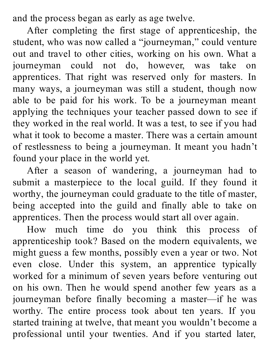and the process began as early as age twelve.

After completing the first stage of apprenticeship, the student, who was now called a "journeyman," could venture out and travel to other cities, working on his own. What a journeyman could not do, however, was take on apprentices. That right was reserved only for masters. In many ways, a journeyman was still a student, though now able to be paid for his work. To be a journeyman meant applying the techniques your teacher passed down to see if they worked in the real world. It was a test, to see if you had what it took to become a master. There was a certain amount of restlessness to being a journeyman. It meant you hadn't found your place in the world yet.

After a season of wandering, a journeyman had to submit a masterpiece to the local guild. If they found it worthy, the journeyman could graduate to the title of master, being accepted into the guild and finally able to take on apprentices. Then the process would start all over again.

How much time do you think this process of apprenticeship took? Based on the modern equivalents, we might guess a few months, possibly even a year or two. Not even close. Under this system, an apprentice typically worked for a minimum of seven years before venturing out on his own. Then he would spend another few years as a journeyman before finally becoming a master—if he was worthy. The entire process took about ten years. If you started training at twelve, that meant you wouldn't become a professional until your twenties. And if you started later,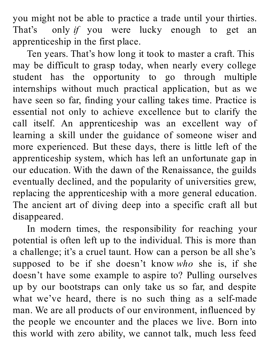you might not be able to practice a trade until your thirties. That's only *if* you were lucky enough to get an apprenticeship in the first place.

Ten years. That's how long it took to master a craft. This may be difficult to grasp today, when nearly every college student has the opportunity to go through multiple internships without much practical application, but as we have seen so far, finding your calling takes time. Practice is essential not only to achieve excellence but to clarify the call itself. An apprenticeship was an excellent way of learning a skill under the guidance of someone wiser and more experienced. But these days, there is little left of the apprenticeship system, which has left an unfortunate gap in our education. With the dawn of the Renaissance, the guilds eventually declined, and the popularity of universities grew, replacing the apprenticeship with a more general education. The ancient art of diving deep into a specific craft all but disappeared.

In modern times, the responsibility for reaching your potential is often left up to the individual. This is more than a challenge; it's a cruel taunt. How can a person be all she's supposed to be if she doesn't know *who* she is, if she doesn't have some example to aspire to? Pulling ourselves up by our bootstraps can only take us so far, and despite what we've heard, there is no such thing as a self-made man. We are all products of our environment, influenced by the people we encounter and the places we live. Born into this world with zero ability, we cannot talk, much less feed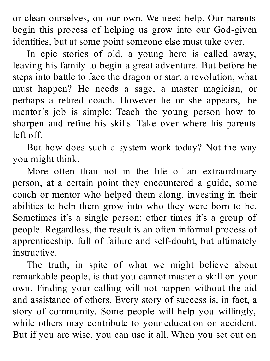or clean ourselves, on our own. We need help. Our parents begin this process of helping us grow into our God-given identities, but at some point someone else must take over.

In epic stories of old, a young hero is called away, leaving his family to begin a great adventure. But before he steps into battle to face the dragon or start a revolution, what must happen? He needs a sage, a master magician, or perhaps a retired coach. However he or she appears, the mentor's job is simple: Teach the young person how to sharpen and refine his skills. Take over where his parents left off.

But how does such a system work today? Not the way you might think.

More often than not in the life of an extraordinary person, at a certain point they encountered a guide, some coach or mentor who helped them along, investing in their abilities to help them grow into who they were born to be. Sometimes it's a single person; other times it's a group of people. Regardless, the result is an often informal process of apprenticeship, full of failure and self-doubt, but ultimately instructive.

The truth, in spite of what we might believe about remarkable people, is that you cannot master a skill on your own. Finding your calling will not happen without the aid and assistance of others. Every story of success is, in fact, a story of community. Some people will help you willingly, while others may contribute to your education on accident. But if you are wise, you can use it all. When you set out on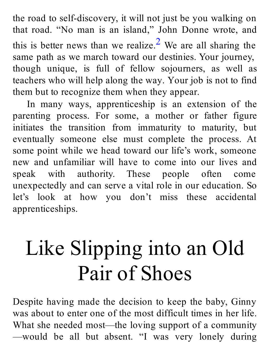the road to self-discovery, it will not just be you walking on that road. "No man is an island," John Donne wrote, and this is better news than we realize.<sup>2</sup> We are all sharing the same path as we march toward our destinies. Your journey, though unique, is full of fellow sojourners, as well as teachers who will help along the way. Your job is not to find them but to recognize them when they appear.

In many ways, apprenticeship is an extension of the parenting process. For some, a mother or father figure initiates the transition from immaturity to maturity, but eventually someone else must complete the process. At some point while we head toward our life's work, someone new and unfamiliar will have to come into our lives and speak with authority. These people often come unexpectedly and can serve a vital role in our education. So let's look at how you don't miss these accidental apprenticeships.

## Like Slipping into an Old Pair of Shoes

Despite having made the decision to keep the baby, Ginny was about to enter one of the most difficult times in her life. What she needed most—the loving support of a community —would be all but absent. "I was very lonely during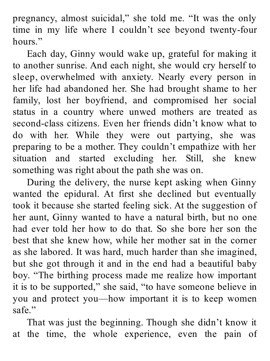pregnancy, almost suicidal," she told me. "It was the only time in my life where I couldn't see beyond twenty-four hours."

Each day, Ginny would wake up, grateful for making it to another sunrise. And each night, she would cry herself to sleep, overwhelmed with anxiety. Nearly every person in her life had abandoned her. She had brought shame to her family, lost her boyfriend, and compromised her social status in a country where unwed mothers are treated as second-class citizens. Even her friends didn't know what to do with her. While they were out partying, she was preparing to be a mother. They couldn't empathize with her situation and started excluding her. Still, she knew something was right about the path she was on.

During the delivery, the nurse kept asking when Ginny wanted the epidural. At first she declined but eventually took it because she started feeling sick. At the suggestion of her aunt, Ginny wanted to have a natural birth, but no one had ever told her how to do that. So she bore her son the best that she knew how, while her mother sat in the corner as she labored. It was hard, much harder than she imagined, but she got through it and in the end had a beautiful baby boy. "The birthing process made me realize how important it is to be supported," she said, "to have someone believe in you and protect you—how important it is to keep women safe"

That was just the beginning. Though she didn't know it at the time, the whole experience, even the pain of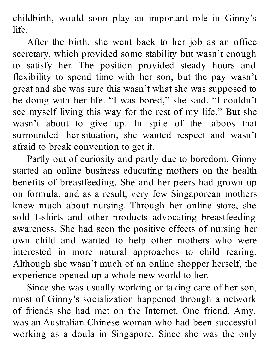childbirth, would soon play an important role in Ginny's life.

After the birth, she went back to her job as an office secretary, which provided some stability but wasn't enough to satisfy her. The position provided steady hours and flexibility to spend time with her son, but the pay wasn't great and she was sure this wasn't what she was supposed to be doing with her life. "I was bored," she said. "I couldn't see myself living this way for the rest of my life." But she wasn't about to give up. In spite of the taboos that surrounded her situation, she wanted respect and wasn't afraid to break convention to get it.

Partly out of curiosity and partly due to boredom, Ginny started an online business educating mothers on the health benefits of breastfeeding. She and her peers had grown up on formula, and as a result, very few Singaporean mothers knew much about nursing. Through her online store, she sold T-shirts and other products advocating breastfeeding awareness. She had seen the positive effects of nursing her own child and wanted to help other mothers who were interested in more natural approaches to child rearing. Although she wasn't much of an online shopper herself, the experience opened up a whole new world to her.

Since she was usually working or taking care of her son, most of Ginny's socialization happened through a network of friends she had met on the Internet. One friend, Amy, was an Australian Chinese woman who had been successful working as a doula in Singapore. Since she was the only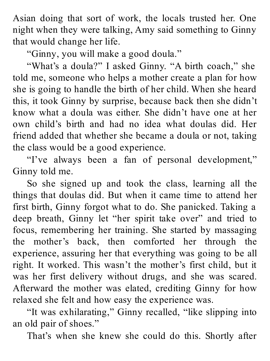Asian doing that sort of work, the locals trusted her. One night when they were talking, Amy said something to Ginny that would change her life.

"Ginny, you will make a good doula."

"What's a doula?" I asked Ginny. "A birth coach," she told me, someone who helps a mother create a plan for how she is going to handle the birth of her child. When she heard this, it took Ginny by surprise, because back then she didn't know what a doula was either. She didn't have one at her own child's birth and had no idea what doulas did. Her friend added that whether she became a doula or not, taking the class would be a good experience.

"I've always been a fan of personal development," Ginny told me.

So she signed up and took the class, learning all the things that doulas did. But when it came time to attend her first birth, Ginny forgot what to do. She panicked. Taking a deep breath, Ginny let "her spirit take over" and tried to focus, remembering her training. She started by massaging the mother's back, then comforted her through the experience, assuring her that everything was going to be all right. It worked. This wasn't the mother's first child, but it was her first delivery without drugs, and she was scared. Afterward the mother was elated, crediting Ginny for how relaxed she felt and how easy the experience was.

"It was exhilarating," Ginny recalled, "like slipping into an old pair of shoes."

That's when she knew she could do this. Shortly after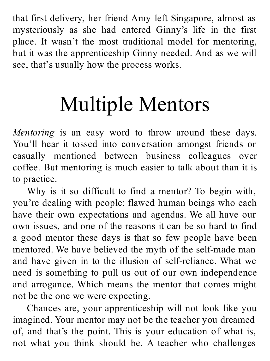that first delivery, her friend Amy left Singapore, almost as mysteriously as she had entered Ginny's life in the first place. It wasn't the most traditional model for mentoring, but it was the apprenticeship Ginny needed. And as we will see, that's usually how the process works.

## Multiple Mentors

*Mentoring* is an easy word to throw around these days. You'll hear it tossed into conversation amongst friends or casually mentioned between business colleagues over coffee. But mentoring is much easier to talk about than it is to practice.

Why is it so difficult to find a mentor? To begin with, you're dealing with people: flawed human beings who each have their own expectations and agendas. We all have our own issues, and one of the reasons it can be so hard to find a good mentor these days is that so few people have been mentored. We have believed the myth of the self-made man and have given in to the illusion of self-reliance. What we need is something to pull us out of our own independence and arrogance. Which means the mentor that comes might not be the one we were expecting.

Chances are, your apprenticeship will not look like you imagined. Your mentor may not be the teacher you dreamed of, and that's the point. This is your education of what is, not what you think should be. A teacher who challenges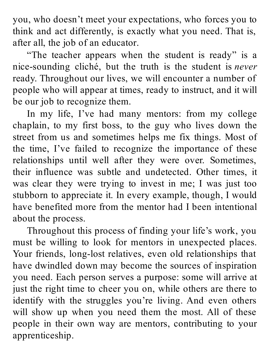you, who doesn't meet your expectations, who forces you to think and act differently, is exactly what you need. That is, after all, the job of an educator.

"The teacher appears when the student is ready" is a nice-sounding cliché, but the truth is the student is *never* ready. Throughout our lives, we will encounter a number of people who will appear at times, ready to instruct, and it will be our job to recognize them.

In my life, I've had many mentors: from my college chaplain, to my first boss, to the guy who lives down the street from us and sometimes helps me fix things. Most of the time, I've failed to recognize the importance of these relationships until well after they were over. Sometimes, their influence was subtle and undetected. Other times, it was clear they were trying to invest in me; I was just too stubborn to appreciate it. In every example, though, I would have benefited more from the mentor had I been intentional about the process.

Throughout this process of finding your life's work, you must be willing to look for mentors in unexpected places. Your friends, long-lost relatives, even old relationships that have dwindled down may become the sources of inspiration you need. Each person serves a purpose: some will arrive at just the right time to cheer you on, while others are there to identify with the struggles you're living. And even others will show up when you need them the most. All of these people in their own way are mentors, contributing to your apprenticeship.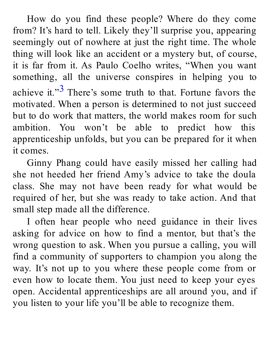How do you find these people? Where do they come from? It's hard to tell. Likely they'll surprise you, appearing seemingly out of nowhere at just the right time. The whole thing will look like an accident or a mystery but, of course, it is far from it. As Paulo Coelho writes, "When you want something, all the universe conspires in helping you to achieve it."<sup>3</sup> There's some truth to that. Fortune favors the motivated. When a person is determined to not just succeed but to do work that matters, the world makes room for such ambition. You won't be able to predict how this apprenticeship unfolds, but you can be prepared for it when it comes.

Ginny Phang could have easily missed her calling had she not heeded her friend Amy's advice to take the doula class. She may not have been ready for what would be required of her, but she was ready to take action. And that small step made all the difference.

I often hear people who need guidance in their lives asking for advice on how to find a mentor, but that's the wrong question to ask. When you pursue a calling, you will find a community of supporters to champion you along the way. It's not up to you where these people come from or even how to locate them. You just need to keep your eyes open. Accidental apprenticeships are all around you, and if you listen to your life you'll be able to recognize them.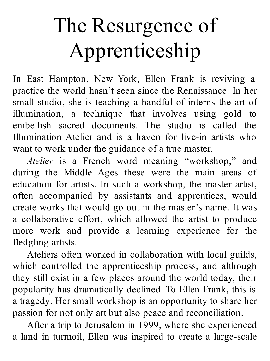# The Resurgence of Apprenticeship

In East Hampton, New York, Ellen Frank is reviving a practice the world hasn't seen since the Renaissance. In her small studio, she is teaching a handful of interns the art of illumination, a technique that involves using gold to embellish sacred documents. The studio is called the Illumination Atelier and is a haven for live-in artists who want to work under the guidance of a true master.

*Atelier* is a French word meaning "workshop," and during the Middle Ages these were the main areas of education for artists. In such a workshop, the master artist, often accompanied by assistants and apprentices, would create works that would go out in the master's name. It was a collaborative effort, which allowed the artist to produce more work and provide a learning experience for the fledgling artists.

Ateliers often worked in collaboration with local guilds, which controlled the apprenticeship process, and although they still exist in a few places around the world today, their popularity has dramatically declined. To Ellen Frank, this is a tragedy. Her small workshop is an opportunity to share her passion for not only art but also peace and reconciliation.

After a trip to Jerusalem in 1999, where she experienced a land in turmoil, Ellen was inspired to create a large-scale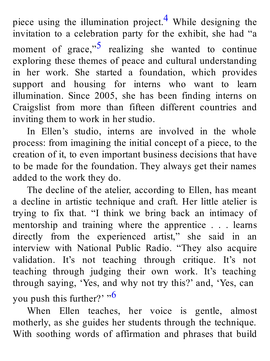piece using the illumination project.<sup>4</sup> While designing the invitation to a celebration party for the exhibit, she had "a moment of grace,"<sup>5</sup> realizing she wanted to continue exploring these themes of peace and cultural understanding in her work. She started a foundation, which provides support and housing for interns who want to learn illumination. Since 2005, she has been finding interns on Craigslist from more than fifteen different countries and inviting them to work in her studio.

In Ellen's studio, interns are involved in the whole process: from imagining [t](#page-249-0)he initial concept of a piece, to the creation of it, to even important business decisions that have to be made for the foundation. They always get their names added to the work they do.

The decline of the atelier, according to Ellen, has meant a decline in artistic technique and craft. Her little atelier is trying to fix that. "I think we bring back an intimacy of mentorship and training where the apprentice . . . learns directly from the experienced artist," she said in an interview with National Public Radio. "They also acquire validation. It's not teaching through critique. It's not teaching through judging their own work. It's teaching through saying, 'Yes, and why not try this?' and, 'Yes, can you push this further?'  $^{,6}$ 

When Ellen teaches, her voice is gentle, almost motherly, as she guides her students through the technique. With soothing words of affirmation and phrases that build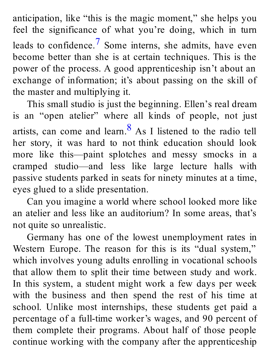anticipation, like "this is the magic moment," she helps you feel the significance of what you're doing, which in turn leads to confidence.<sup>7</sup> Some interns, she admits, have even become better than she is at certain techniques. This is the power of the process. A good apprenticeship isn't about an exchange of information; it's about passing on the skill of the master and multiplying it.

This small studio is just the beginning. Ellen's real dream is an "open atelier" where all kinds of people, not just artists, can come and learn. <sup>8</sup> As I listened to the radio tell her story, it was hard to not think education should look more like this—paint splotches and messy smocks in a cramped studio—and less like large lecture halls with passive students parked in seats for ninety minutes at a time, eyes glued to a slide presentation.

Can you imagine a world where school looked more like an atelier and less like an auditorium? In some areas, that's not quite so unrealistic.

Germany has one of the lowest unemployment rates in Western Europe. The reason for this is its "dual system," which involves young adults enrolling in vocational schools that allow them to split their time between study and work. In this system, a student might work a few days per week with the business and then spend the rest of his time at school. Unlike most internships, these students get paid a percentage of a full-time worker's wages, and 90 percent of them complete their programs. About half of those people continue working with the company after the apprenticeship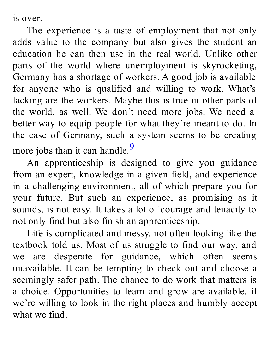is over.

The experience is a taste of employment that not only adds value to the company but also gives the student an education he can then use in the real world. Unlike other parts of the world where unemployment is skyrocketing, Germany has a shortage of workers. A good job is available for anyone who is qualified and willing to work. What's lacking are the workers. Maybe this is true in other parts of the world, as well. We don't need more jobs. We need a better way to equip people for what they're meant to do. In the case of Germany, such a system seems to be creating more jobs than it can handle.<sup>9</sup>

An apprenticeship is designed to give you guidance from an expert, knowledge in a given field, and experience in a challenging environment, all of which prepare you for your future. But such an experience, as promising as it sounds, is not easy. It takes a lot of courage and tenacity to not only find but also finish an apprenticeship.

Life is complicated and messy, not often looking like the textbook told us. Most of us struggle to find our way, and we are desperate for guidance, which often seems unavailable. It can be tempting to check out and choose a seemingly safer path. The chance to do work that matters is a choice. Opportunities to learn and grow are available, if we're willing to look in the right places and humbly accept what we find.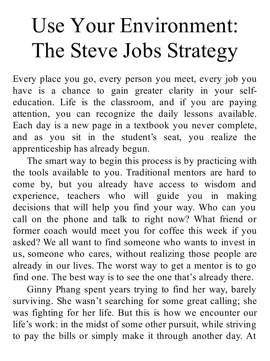# Use Your Environment: The Steve Jobs Strategy

Every place you go, every person you meet, every job you have is a chance to gain greater clarity in your selfeducation. Life is the classroom, and if you are paying attention, you can recognize the daily lessons available. Each day is a new page in a textbook you never complete, and as you sit in the student's seat, you realize the apprenticeship has already begun.

The smart way to begin this process is by practicing with the tools available to you. Traditional mentors are hard to come by, but you already have access to wisdom and experience, teachers who will guide you in making decisions that will help you find your way. Who can you call on the phone and talk to right now? What friend or former coach would meet you for coffee this week if you asked? We all want to find someone who wants to invest in us, someone who cares, without realizing those people are already in our lives. The worst way to get a mentor is to go find one. The best way is to see the one that's already there.

Ginny Phang spent years trying to find her way, barely surviving. She wasn't searching for some great calling; she was fighting for her life. But this is how we encounter our life's work: in the midst of some other pursuit, while striving to pay the bills or simply make it through another day. At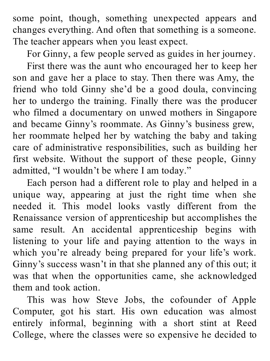some point, though, something unexpected appears and changes everything. And often that something is a someone. The teacher appears when you least expect.

For Ginny, a few people served as guides in her journey.

First there was the aunt who encouraged her to keep her son and gave her a place to stay. Then there was Amy, the friend who told Ginny she'd be a good doula, convincing her to undergo the training. Finally there was the producer who filmed a documentary on unwed mothers in Singapore and became Ginny's roommate. As Ginny's business grew, her roommate helped her by watching the baby and taking care of administrative responsibilities, such as building her first website. Without the support of these people, Ginny admitted, "I wouldn't be where I am today."

Each person had a different role to play and helped in a unique way, appearing at just the right time when she needed it. This model looks vastly different from the Renaissance version of apprenticeship but accomplishes the same result. An accidental apprenticeship begins with listening to your life and paying attention to the ways in which you're already being prepared for your life's work. Ginny's success wasn't in that she planned any of this out; it was that when the opportunities came, she acknowledged them and took action.

This was how Steve Jobs, the cofounder of Apple Computer, got his start. His own education was almost entirely informal, beginning with a short stint at Reed College, where the classes were so expensive he decided to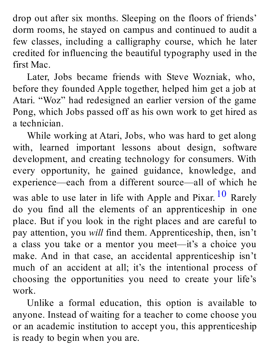drop out after six months. Sleeping on the floors of friends' dorm rooms, he stayed on campus and continued to audit a few classes, including a calligraphy course, whi[ch](#page-250-0) he later credited for influencing the beautiful typography used in the first Mac.

Later, Jobs became friends with Steve Wozniak, who, before they founded Apple together, helped him get a job at Atari. "Woz" had redesigned an earlier version of the game Pong, which Jobs passed off as his own work to get hired as a technician.

While working at Atari, Jobs, who was hard to get along with, learned important lessons about design, software development, and creating technology for consumers. With every opportunity, he gained guidance, knowledge, and experience—each from a different source—all of which he was able to use later in life with Apple and Pixar. <sup>10</sup> Rarely do you find all the elements of an apprenticeship in one place. But if you look in the right places and are careful to pay attention, you *will* find them. Apprenticeship, then, isn't a class you take or a mentor you meet—it's a choice you make. And in that case, an accidental apprenticeship isn't much of an accident at all; it's the intentional process of choosing the opportunities you need to create your life's work.

Unlike a formal education, this option is available to anyone. Instead of waiting for a teacher to come choose you or an academic institution to accept you, this apprenticeship is ready to begin when you are.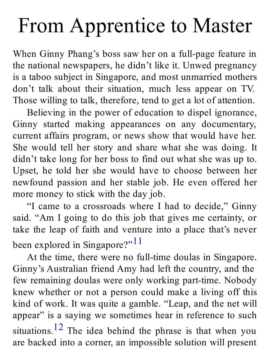#### From Apprentice to Master

When Ginny Phang's boss saw her on a full-page feature in the national newspapers, he didn't like it. Unwed pregnancy is a taboo subject in Singapore, and most unmarried mothers don't talk about their situati[on,](#page-250-1) much less appear on TV. Those willing to talk, therefore, tend to get a lot of attention.

Believing in the power of education to dispel ignorance, Ginny started making appearances on any documentary, current affairs program, or news show that would have her. She would tell her story and share what she was doing. It didn't take long for her boss to find out what she was up to. Upset, he [to](#page-250-2)ld her she would have to choose between her newfound passion and her stable job. He even offered her more money to stick with the day job.

"I came to a crossroads where I had to decide," Ginny said. "Am I going to do this job that gives me certainty, or take the leap of faith and venture into a place that's never been explored in Singapore?"<sup>11</sup>

At the time, there were no full-time doulas in Singapore. Ginny's Australian friend Amy had left the country, and the few remaining doulas were only working part-time. Nobody knew whether or not a person could make a living off this kind of work. It was quite a gamble. "Leap, and the net will appear" is a saying we sometimes hear in reference to such situations.<sup>12</sup> The idea behind the phrase is that when you are backed into a corner, an impossible solution will present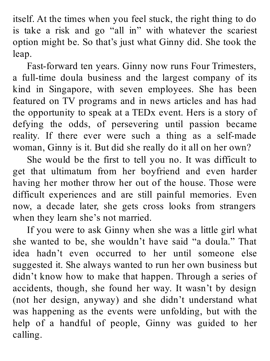itself. At the times when you feel stuck, the right thing to do is take a risk and go "all in" with whatever the scariest option might be. So that's just what Ginny did. She took the leap.

Fast-forward ten years. Ginny now runs Four Trimesters, a full-time doula business and the largest company of its kind in Singapore, with seven employees. She has been featured on TV programs and in news articles and has had the opportunity to speak at a TEDx event. Hers is a story of defying the odds, of persevering until passion became reality. If there ever were such a thing as a self-made woman, Ginny is it. But did she really do it all on her own?

She would be the first to tell you no. It was difficult to get that ultimatum from her boyfriend and even harder having her mother throw her out of the house. Those were difficult experiences and are still painful memories. Even now, a decade later, she gets cross looks from strangers when they learn she's not married.

If you were to ask Ginny when she was a little girl what she wanted to be, she wouldn't have said "a doula." That idea hadn't even occurred to her until someone else suggested it. She always wanted to run her own business but didn't know how to make that happen. Through a series of accidents, though, she found her way. It wasn't by design (not her design, anyway) and she didn't understand what was happening as the events were unfolding, but with the help of a handful of people, Ginny was guided to her calling.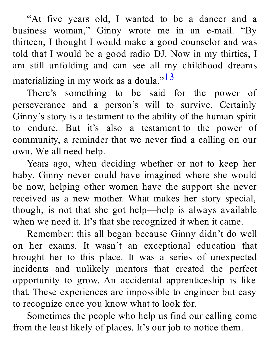"At five years old, I wanted to be a dancer and a business woman," Ginny wrote me in an e-mail. "By thirteen, I thought I would make a good counselor and was told that I would be a good radio DJ. Now in my thirties, I am still unfolding and can see all my childhood dreams materializing in my work as a doula." $13$ 

There's something to be said for the power of perseverance and a person's will to survive. Certainly Ginny's story is a testament to the ability of the human spirit to endure. But it's also a testament to the power of community, a reminder that we never find a calling on our own. We all need help.

Years ago, when deciding whether or not to keep her baby, Ginny never could have imagined where she would be now, helping other women have the support she never received as a new mother. What makes her story special, though, is not that she got help—help is always available when we need it. It's that she recognized it when it came.

Remember: this all began because Ginny didn't do well on her exams. It wasn't an exceptional education that brought her to this place. It was a series of unexpected incidents and unlikely mentors that created the perfect opportunity to grow. An accidental apprenticeship is like that. These experiences are impossible to engineer but easy to recognize once you know what to look for.

Sometimes the people who help us find our calling come from the least likely of places. It's our job to notice them.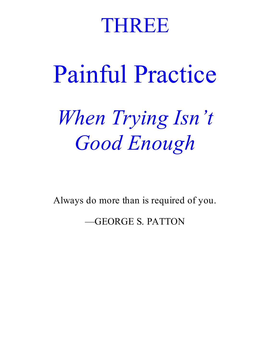### THREE

# Painful Practice

## *When Trying Isn 't Good Enough*

Always do more than is required of you.

—GEORGE S. PATTON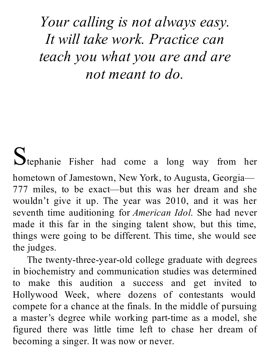*Your calling is not always easy. It will take work. Practice can teach you what you are and are not meant to do.*

Stephanie Fisher had come a long way from her hometown of Jamestown, New York, to Augusta, Georgia— 777 miles, to be exact—but this was her dream and she wouldn't give it up. The year was 2010, and it was her seventh time auditioning for *American Idol*. She had never made it this far in the singing talent show, but this time, things were going to be different. This time, she would see the judges.

The twenty-three-year-old college graduate with degrees in biochemistry and communication studies was determined to make this audition a success and get invited to Hollywood Week, where dozens of contestants would compete for a chance at the finals. In the middle of pursuing a master's degree while working part-time as a model, she figured there was little time left to chase her dream of becoming a singer. It was now or never.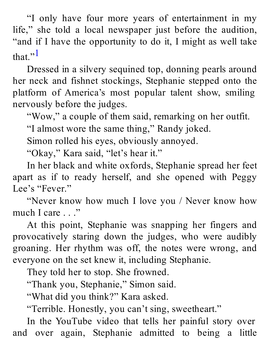"I only have four more years of entertainment in my life," she told a local newspaper just before the audition, "and if I have the opportunity to do it, I might as well take that." $^{\cdot,1}$ 

Dressed in a silvery sequined top, donning pearls around her neck and fishnet stockings, Stephanie stepped onto the platform of America's most popular talent show, smiling nervously before the judges.

"Wow," a couple of them said, remarking on her outfit.

"I almost wore the same thing," Randy joked.

Simon rolled his eyes, obviously annoyed.

"Okay," Kara said, "let's hear it."

In her black and white oxfords, Stephanie spread her feet apart as if to ready herself, and she opened with Peggy Lee's "Fever."

"Never know how much I love you / Never know how much I care . . ."

At this point, Stephanie was snapping her fingers and provocatively staring down the judges, who were audibly groaning. Her rhythm was off, the notes were wrong, and everyone on the set knew it, including Stephanie.

They told her to stop. She frowned.

"Thank you, Stephanie," Simon said.

"What did you think?" Kara asked.

"Terrible. Honestly, you can't sing, sweetheart."

In the YouTube video that tells her painful story over and over again, Stephanie admitted to being a little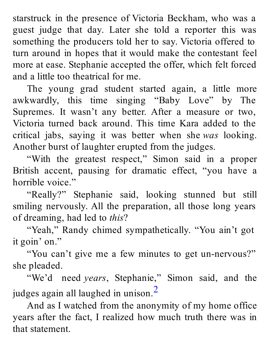starstruck in the presence of Victoria Beckham, who was a guest judge that day. Later she told a reporter this was something the producers told her to say. Victoria offered to turn around in hopes that it would make the contestant feel more at ease. Stephanie accepted the offer, which felt forced and a little too theatrical for me.

The young grad student started again, a little more awkwardly, this time singing "Baby Love" by The Supremes. It wasn't any better. After a measure or two, Victoria turned back around. This time Kara added to the critical jabs, saying it was bette[r](#page-250-3) when she *was* looking. Another burst of laughter erupted from the judges.

"With the greatest respect," Simon said in a proper British accent, pausing for dramatic effect, "you have a horrible voice."

"Really?" Stephanie said, looking stunned but still smiling nervously. All the preparation, all those long years of dreaming, had led to *this*?

"Yeah," Randy chimed sympathetically. "You ain't got it goin' on."

"You can't give me a few minutes to get un-nervous?" she pleaded.

"We'd need *years*, Stephanie," Simon said, and the judges again all laughed in unison. $^2$ 

And as I watched from the anonymity of my home office years after the fact, I realized how much truth there was in that statement.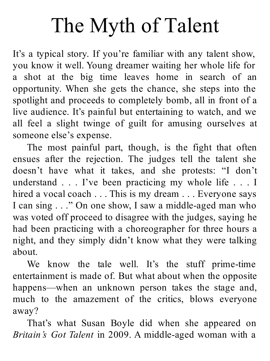## The Myth of Talent

It's a typical story. If you're familiar with any talent show, you know it well. Young dreamer waiting her whole life for a shot at the big time leaves home in search of an opportunity. When she gets the chance, she steps into the spotlight and proceeds to completely bomb, all in front of a live audience. It's painful but entertaining to watch, and we all feel a slight twinge of guilt for amusing ourselves at someone else's expense.

The most painful part, though, is the fight that often ensues after the rejection. The judges tell the talent she doesn't have what it takes, and she protests: "I don't understand . . . I've been practicing my whole life . . . I hired a vocal coach . . . This is my dream . . . Everyone says I can sing . . ." On one show, I saw a middle-aged man who was voted off proceed to disagree with the judges, saying he had been practicing with a choreographer for three hours a night, and they simply didn't know what they were talking about.

We know the tale well. It's the stuff prime-time entertainment is made of. But what about when the opposite happens—when an unknown person takes the stage and, much to the amazement of the critics, blows everyone away?

That's what Susan Boyle did when she appeared on *Britain's Got Talent* in 2009. A middle-aged woman with a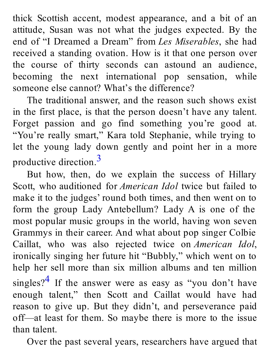thick Scottish accent, modest appearance, and a bit of an attitude, Susan was not what the judges expected. By the end of "I Dreamed a Dream" from *Les Miserables*, she had received a standing ovation. How is it that one person over the course of thirty seconds can astound an audience, becoming the next international pop sensation, while someone else cannot? What's the difference?

The traditional answer, and the reason such shows exist in the first place, is that the person doesn't have any talent. Forget [pa](#page-250-4)ssion and go find something you're good at. "You're really smart," Kara told Stephanie, while trying to let the young lady down gently and point her in a more productive direction.<sup>3</sup>

But how, then, do we explain the success of Hillary Scott, who auditioned for *American Idol* twice but failed to make it to the judges' round both times, and then went on to form the group Lady Antebellum? Lady A is one of the most popular music groups in the world, having won seven Grammys in their career. And what about pop singer Colbie Caillat, who was also rejected twice on *American Idol*, ironically singing her future hit "Bubbly," which went on to help her sell more than six million albums and ten million singles?<sup>4</sup> If the answer were as easy as "you don't have enough talent," then Scott and Caillat would have had reason to give up. But they didn't, and perseverance paid off—at least for them. So maybe there is more to the issue than talent.

Over the past several years, researchers have argued that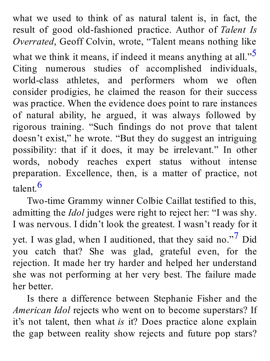what we used to think of as natural talent is, in fact, the result [o](#page-251-0)f good old-fashioned practice. Author of *Talent Is Overrated*, Geoff Colvin, wrote, "Talent means nothing like what we think it means, if indeed it means anything at all." $5$ Citing numerous studies of accomplished individuals, world-class athletes, and performers whom we [o](#page-251-1)ften consider prodigies, he claimed the reason for their success was practice. When the evidence does point to rare instances of natural ability, he argued, it was always followed by rigorous training. "Such findings do not prove that talent doesn't exist," he wrote. "But they do suggest an intriguing possibility: that if it does, it may be irrelevant." In other words, nobody reaches expert status without intense preparation. Excellence, then, is a matter of practice, not talent.<sup>6</sup>

Two-time Grammy winner Colbie Caillat testified to this, admitting the *Idol* judges were right to reject her: "I was shy. I was nervous. I didn't look the greatest. I wasn't ready for it yet. I was glad, when I auditioned, that they said no."<sup>7</sup> Did you catch that? She was glad, grateful even, for the

rejection. It made her try harder and helped her understand she was not performing at her very best. The failure made her better.

Is there a difference between Stephanie Fisher and the *American Idol* rejects who went on to become superstars? If it's not talent, then what *is* it? Does practice alone explain the gap between reality show rejects and future pop stars?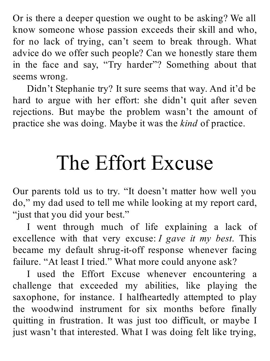Or is there a deeper question we ought to be asking? We all know someone whose passion exceeds their skill and who, for no lack of trying, can't seem to break through. What advice do we offer such people? Can we honestly stare them in the face and say, "Try harder"? Something about that seems wrong.

Didn't Stephanie try? It sure seems that way. And it'd be hard to argue with her effort: she didn't quit after seven rejections. But maybe the problem wasn't the amount of practice she was doing. Maybe it was the *kind* of practice.

## The Effort Excuse

Our parents told us to try. "It doesn't matter how well you do," my dad used to tell me while looking at my report card, "just that you did your best."

I went through much of life explaining a lack of excellence with that very excuse: *I gave it my best*. This became my default shrug-it-off response whenever facing failure. "At least I tried." What more could anyone ask?

I used the Effort Excuse whenever encountering a challenge that exceeded my abilities, like playing the saxophone, for instance. I halfheartedly attempted to play the woodwind instrument for six months before finally quitting in frustration. It was just too difficult, or maybe I just wasn't that interested. What I was doing felt like trying,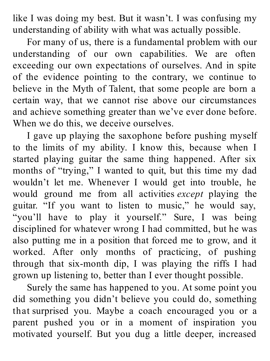like I was doing my best. But it wasn't. I was confusing my understanding of ability with what was actually possible.

For many of us, there is a fundamental problem with our understanding of our own capabilities. We are often exceeding our own expectations of ourselves. And in spite of the evidence pointing to the contrary, we continue to believe in the Myth of Talent, that some people are born a certain way, that we cannot rise above our circumstances and achieve something greater than we've ever done before. When we do this, we deceive ourselves.

I gave up playing the saxophone before pushing myself to the limits of my ability. I know this, because when I started playing guitar the same thing happened. After six months of "trying," I wanted to quit, but this time my dad wouldn't let me. Whenever I would get into trouble, he would ground me from all activities *except* playing the guitar. "If you want to listen to music," he would say, "you'll have to play it yourself." Sure, I was being disciplined for whatever wrong I had committed, but he was also putting me in a position that forced me to grow, and it worked. After only months of practicing, of pushing through that six-month dip, I was playing the riffs I had grown up listening to, better than I ever thought possible.

Surely the same has happened to you. At some point you did something you didn't believe you could do, something that surprised you. Maybe a coach encouraged you or a parent pushed you or in a moment of inspiration you motivated yourself. But you dug a little deeper, increased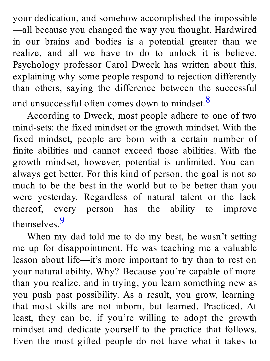your dedication, and somehow accomplished the impossible —all because you changed the way you thought. Hardwired in our brains and bodies is a potential greater than we realize, and all we have to do to unlock it is believe. Psychology professor Carol Dweck has written about this, explaining [w](#page-251-2)hy some people respond to rejection differently than others, saying the difference between the successful and unsuccessful often comes down to mindset. $^8$ 

According to Dweck, most people adhere to one of two mind-sets: the fixed mindset or the growth mindset. With the fixed mindset, people are born with a certain number of finite abilities and cannot exceed those abilities. With the growth mindset, however, potential is unlimited. You can always get better. For this kind of person, the goal is not so much to be the best in the world but to be better than you were yesterday. Regardless of natural talent or the lack thereof, every person has the ability to improve themselves.<sup>9</sup>

When my dad told me to do my best, he wasn't setting me up for disappointment. He was teaching me a valuable lesson about life—it's more important to try than to rest on your natural ability. Why? Because you're capable of more than you realize, and in trying, you learn something new as you push past possibility. As a result, you grow, learning that most skills are not inborn, but learned. Practiced. At least, they can be, if you're willing to adopt the growth mindset and dedicate yourself to the practice that follows. Even the most gifted people do not have what it takes to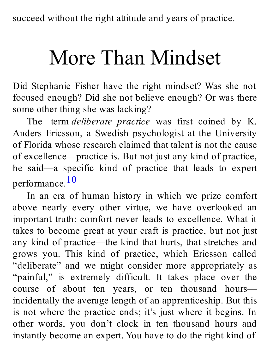succeed without the right attitude and years of practice.

## More Than Mindset

Did Stephanie Fisher have the right mindset? Was she not focused enough? Did she not believe enough? Or was there some other thing she was lacking?

The term *deliberate practice* was first coined by K. Anders Ericsson, a Swedish psychologist at the University of Florida whose research claimed that talent is not the cause of excellence—practice is. But not just any kind of practice, he said—a specific kind of practice that leads to expert performance. 10

In an era of human history in which we prize comfort above nearly every other virtue, we have overlooked an important truth: comfort never leads to excellence. What it takes to become great at your craft is practice, but not just any kind of practice—the kind that hurts, that stretches and grows you. This kind of practice, which Ericsson called "deliberate" and we might consider more appropriately as "painful," is extremely difficult. It takes place over the course of about ten years, or ten thousand hours incidentally the average length of an apprenticeship. But this is not where the practice ends; it's just where it begins. In other words, you don't clock in ten thousand hours and instantly become an expert. You have to do the right kind of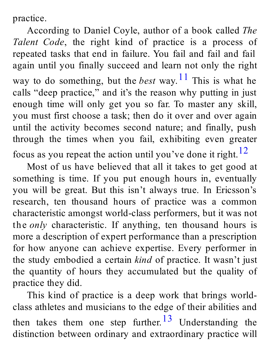practice.

According to Daniel Coyle, author of a book called *The Talent Code*, the right kind of practice is a process of repeated tasks that end in failure. You fail and fail and fail again until you finally succeed and learn not only the right way to do something, but the *best* way. 11 This is what he calls "deep practice," and it's the reason why putting in just enough time will only get you so far. To master any skill, you must first choose a task; then do it over and over again until the activity becomes second nature; and finally, push through the times when you fail, exhibiting even greater focus as you repeat the action until you've done it right.  $12$ 

Most of us have believed that all [it](#page-251-3) takes to get good at something is time. If you put enough hours in, eventually you will be great. But this isn't always true. In Ericsson's research, ten thousand hours of practice was a common characteristic amongst world-class performers, but it was not th e *only* characteristic. If anything, ten thousand hours is more a description of expert performance than a prescription for how anyone can achieve expertise. Every performer in the study embodied a certain *kind* of practice. It wasn't just the quantity of hours they accumulated but the quality of practice they did.

This kind of practice is a deep work that brings worldclass athletes and musicians to the edge of their abilities and then takes them one step further.<sup>13</sup> Understanding the distinction between ordinary and extraordinary practice will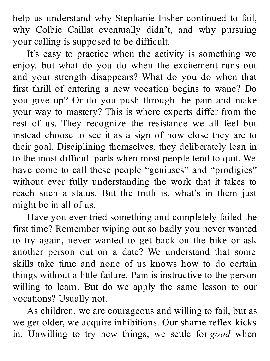help us understand why Stephanie Fisher continued to fail, why Colbie Caillat eventually didn't, and why pursuing your calling is supposed to be difficult.

It's easy to practice when the activity is something we enjoy, but what do you do when the excitement runs out and your strength disappears? What do you do when that first thrill of entering a new vocation begins to wane? Do you give up? Or do you push through the pain and make your way to mastery? This is where experts differ from the rest of us. They recognize the resistance we all feel but instead choose to see it as a sign of how close they are to their goal. Disciplining themselves, they deliberately lean in to the most difficult parts when most people tend to quit. We have come to call these people "geniuses" and "prodigies" without ever fully understanding the work that it takes to reach such a status. But the truth is, what's in them just might be in all of us.

Have you ever tried something and completely failed the first time? Remember wiping out so badly you never wanted to try again, never wanted to get back on the bike or ask another person out on a date? We understand that some skills take time and none of us knows how to do certain things without a little failure. Pain is instructive to the person willing to learn. But do we apply the same lesson to our vocations? Usually not.

As children, we are courageous and willing to fail, but as we get older, we acquire inhibitions. Our shame reflex kicks in. Unwilling to try new things, we settle for *good* when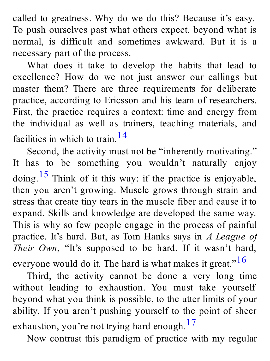called [to](#page-251-4) greatness. Why do we do this? Because it's easy. To push ourselves past what others expect, beyond what is normal, is difficult and sometimes awkward. But it is a necessary part of the process.

What does it take to develop the habits that lead to excellence? How do we not just answer our callings but master them? There are three requirements for deliberate practice, according to Ericsson and his team of researchers. First, the practice requires a context: time and energy [fro](#page-251-5)m the individual as well as trainers, teaching materials, and facilities in which to train.<sup>14</sup>

Second, the activity must not be "inherently motivating." It has to be something you wouldn't naturally enjoy doing.<sup>15</sup> Think of it this way: if the prac[tice](#page-252-0) is enjoyable, then you aren't growing. Muscle grows through strain and stress that create tiny tears in the muscle fiber and cause it to expand. Skills and knowledge are developed the same way. This is why so few people engage in the process of painful practice. It's hard. But, as Tom Hanks says in *A League of Their Own*, "It's supposed to be hard. If it wasn't hard, everyone would do it. The hard is what makes it great." $16$ 

Third, the activity cannot be done a very long time without leading to exhaustion. You must take yourself beyond what you think is possible, to the utter limits of your ability. If you aren't pushing yourself to the point of sheer exhaustion, you're not trying hard enough.<sup>17</sup>

Now contrast this paradigm of practice with my regular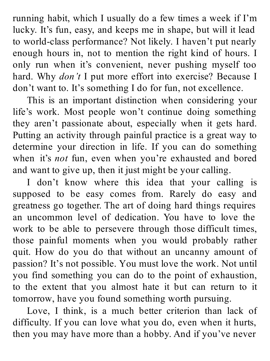running habit, which I usually do a few times a week if I'm lucky. It's fun, easy, and keeps me in shape, but will it lead to world-class performance? Not likely. I haven't put nearly enough hours in, not to mention the right kind of hours. I only run when it's convenient, never pushing myself too hard. Why *don't* I put more effort into exercise? Because I don't want to. It's something I do for fun, not excellence.

This is an important distinction when considering your life's work. Most people won't continue doing something they aren't passionate about, especially when it gets hard. Putting an activity through painful practice is a great way to determine your direction in life. If you can do something when it's *not* fun, even when you're exhausted and bored and want to give up, then it just might be your calling.

I don't know where this idea that your calling is supposed to be easy comes from. Rarely do easy and greatness go together. The art of doing hard things requires an uncommon level of dedication. You have to love the work to be able to persevere through those difficult times, those painful moments when you would probably rather quit. How do you do that without an uncanny amount of passion? It's not possible. You must love the work. Not until you find something you can do to the point of exhaustion, to the extent that you almost hate it but can return to it tomorrow, have you found something worth pursuing.

Love, I think, is a much better criterion than lack of difficulty. If you can love what you do, even when it hurts, then you may have more than a hobby. And if you've never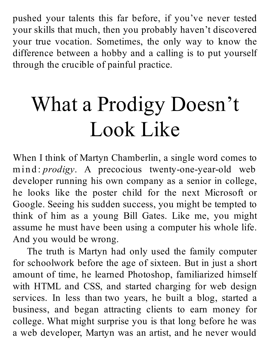pushed your talents this far before, if you've never tested your skills that much, then you probably haven't discovered your true vocation. Sometimes, the only way to know the difference between a hobby and a calling is to put yourself through the crucible of painful practice.

# What a Prodigy Doesn't Look Like

When I think of Martyn Chamberlin, a single word comes to mind: *prodigy*. A precocious twenty-one-year-old web developer running his own company as a senior in college, he looks like the poster child for the next Microsoft or Google. Seeing his sudden success, you might be tempted to think of him as a young Bill Gates. Like me, you might assume he must have been using a computer his whole life. And you would be wrong.

The truth is Martyn had only used the family computer for schoolwork before the age of sixteen. But in just a short amount of time, he learned Photoshop, familiarized himself with HTML and CSS, and started charging for web design services. In less than two years, he built a blog, started a business, and began attracting clients to earn money for college. What might surprise you is that long before he was a web developer, Martyn was an artist, and he never would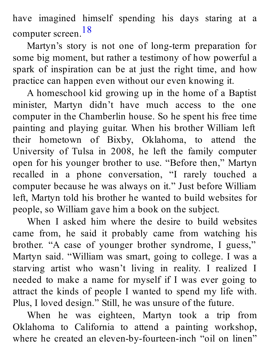have imagined himself spending his days staring at a computer screen. 18

Martyn's story is not one of long-term preparation for some big moment, but rather a testimony of how powerful a spark of inspiration can be at just the right time, and how practice can happen even without our even knowing it.

A homeschool kid growing up in the home of a Baptist minister, Martyn didn't have much access to the one computer in the Chamberlin house. So he spent his free time painting and playing guitar. When his brother William left their hometown of Bixby, Oklahoma, to attend the University of Tulsa in 2008, he left the family computer open for his younger brother to use. "Before then," Martyn recalled in a phone conversation, "I rarely touched a computer because he was always on it." Just before William left, Martyn told his brother he wanted to build websites for people, so William gave him a book on the subject.

When I asked him where the desire to build websites came from, he said it probably came from watching his brother. "A case of younger brother syndrome, I guess," Martyn said. "William was smart, going to college. I was a starving artist who wasn't living in reality. I realized I needed to make a name for myself if I was ever going to attract the kinds of people I wanted to spend my life with. Plus, I loved design." Still, he was unsure of the future.

When he was eighteen, Martyn took a trip from Oklahoma to California to attend a painting workshop, where he created an eleven-by-fourteen-inch "oil on linen"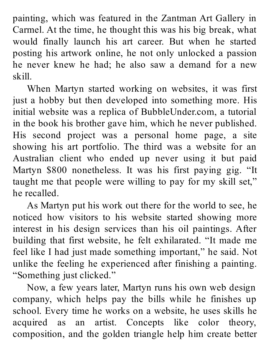painting, which was featured in the Zantman Art Gallery in Carmel. At the time, he thought this was his big break, what would finally launch his art career. But when he started posting his artwork online, he not only unlocked a passion he never knew he had; he also saw a demand for a new skill.

When Martyn started working on websites, it was first just a hobby but then developed into something more. His initial website was a replica of BubbleUnder.com, a tutorial in the book his brother gave him, which he never published. His second project was a personal home page, a site showing his art portfolio. The third was a website for an Australian client who ended up never using it but paid Martyn \$800 nonetheless. It was his first paying gig. "It taught me that people were willing to pay for my skill set," he recalled.

As Martyn put his work out there for the world to see, he noticed how visitors to his website started showing more interest in his design services than his oil paintings. After building that first website, he felt exhilarated. "It made me feel like I had just made something important," he said. Not unlike the feeling he experienced after finishing a painting. "Something just clicked."

Now, a few years later, Martyn runs his own web design company, which helps pay the bills while he finishes up school. Every time he works on a website, he uses skills he acquired as an artist. Concepts like color theory, composition, and the golden triangle help him create better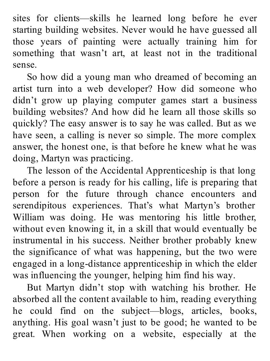sites for clients—skills he learned long before he ever starting building websites. Never would he have guessed all those years of painting were actually training him for something that wasn't art, at least not in the traditional sense.

So how did a young man who dreamed of becoming an artist turn into a web developer? How did someone who didn't grow up playing computer games start a business building websites? And how did he learn all those skills so quickly? The easy answer is to say he was called. But as we have seen, a calling is never so simple. The more complex answer, the honest one, is that before he knew what he was doing, Martyn was practicing.

The lesson of the Accidental Apprenticeship is that long before a person is ready for his calling, life is preparing that person for the future through chance encounters and serendipitous experiences. That's what Martyn's brother William was doing. He was mentoring his little brother, without even knowing it, in a skill that would eventually be instrumental in his success. Neither brother probably knew the significance of what was happening, but the two were engaged in a long-distance apprenticeship in which the elder was influencing the younger, helping him find his way.

But Martyn didn't stop with watching his brother. He absorbed all the content available to him, reading everything he could find on the subject—blogs, articles, books, anything. His goal wasn't just to be good; he wanted to be great. When working on a website, especially at the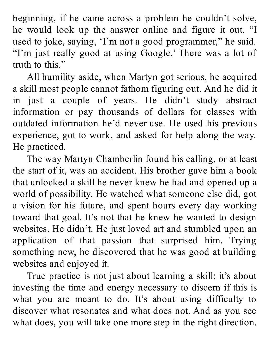beginning, if he came across a problem he couldn't solve, he would look up the answer online and figure it out. "I used to joke, saying, 'I'm not a good programmer," he said. "I'm just really good at using Google.' There was a lot of truth to this"

All humility aside, when Martyn got serious, he acquired a skill most people cannot fathom figuring out. And he did it in just a couple of years. He didn't study abstract information or pay thousands of dollars for classes with outdated information he'd never use. He used his previous experience, got to work, and asked for help along the way. He practiced.

The way Martyn Chamberlin found his calling, or at least the start of it, was an accident. His brother gave him a book that unlocked a skill he never knew he had and opened up a world of possibility. He watched what someone else did, got a vision for his future, and spent hours every day working toward that goal. It's not that he knew he wanted to design websites. He didn't. He just loved art and stumbled upon an application of that passion that surprised him. Trying something new, he discovered that he was good at building websites and enjoyed it.

True practice is not just about learning a skill; it's about investing the time and energy necessary to discern if this is what you are meant to do. It's about using difficulty to discover what resonates and what does not. And as you see what does, you will take one more step in the right direction.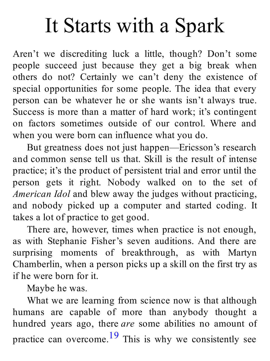#### It Starts with a Spark

Aren't we discrediting luck a little, though? Don't some people succeed just because they get a big break when others do not? Certainly we can't deny the existence of special opportunities for some people. The idea that every person can be whatever he or she wants isn't always true. Success is more than a matter of hard work; it's contingent on factors sometimes outside of our control. Where and when you were born can influence what you do.

But greatness does not just happen—Ericsson's research and common sense tell us that. Skill is the result of intense practice; it's the product of persistent trial and error until the person gets it right. [No](#page-252-0)body walked on to the set of *American Idol* and blew away the judges without practicing, and nobody picked up a computer and started coding. It takes a lot of practice to get good.

There are, however, times when practice is not enough, as with Stephanie Fisher's seven auditions. And there are surprising moments of breakthrough, as with Martyn Chamberlin, when a person picks up a skill on the first try as if he were born for it.

Maybe he was.

What we are learning from science now is that although humans are capable of more than anybody thought a hundred years ago, there *are* some abilities no amount of practice can overcome.<sup>19</sup> This is why we consistently see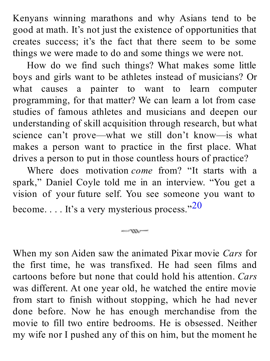Kenyans winning marathons and why Asians tend to be good at math. It's not just the existence of opportunities that creates success; it's the fact that there seem to be some things we were made to do and some things [we](#page-252-1) were not.

How do we find such things? What makes some little boys and girls want to be athletes instead of musicians? Or what causes a painter to want to learn computer programming, for that matter? We can learn a lot from case studies of famous athletes and musicians and deepen our understanding of skill acquisition through research, but what science can't prove—what we still don't know—is what makes a person want to practice in the first place. What drives a person to put in those countless hours of practice?

Where does motivation *come* from? "It starts with a spark," Daniel Coyle told me in an interview. "You get a vision of your future self. You see someone you want to become.... It's a very mysterious process." $^{20}$ 

 $-100$ 

When my son Aiden saw the animated Pixar movie *Cars* for the first time, he was transfixed. He had seen films and cartoons before but none that could hold his attention. *Cars* was different. At one year old, he watched the entire movie from start to finish without stopping, which he had never done before. Now he has enough merchandise from the movie to fill two entire bedrooms. He is obsessed. Neither my wife nor I pushed any of this on him, but the moment he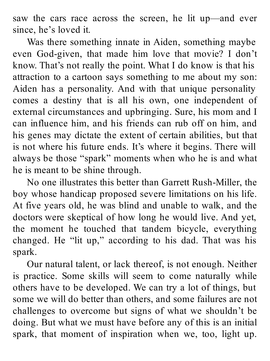saw the cars race across the screen, he lit up—and ever since, he's loved it.

Was there something innate in Aiden, something maybe even God-given, that made him love that movie? I don't know. That's not really the point. What I do know is that his attraction to a cartoon says something to me about my son: Aiden has a personality. And with that unique personality comes a destiny that is all his own, one independent of external circumstances and upbringing. Sure, his mom and I can influence him, and his friends can rub off on him, and his genes may dictate the extent of certain abilities, but that is not where his future ends. It's where it begins. There will always be those "spark" moments when who he is and what he is meant to be shine through.

No one illustrates this better than Garrett Rush-Miller, the boy whose handicap proposed severe limitations on his life. At five years old, he was blind and unable to walk, and the doctors were skeptical of how long he would live. And yet, the moment he touched that tandem bicycle, everything changed. He "lit up," according to his dad. That was his spark.

Our natural talent, or lack thereof, is not enough. Neither is practice. Some skills will seem to come naturally while others have to be developed. We can try a lot of things, but some we will do better than others, and some failures are not challenges to overcome but signs of what we shouldn't be doing. But what we must have before any of this is an initial spark, that moment of inspiration when we, too, light up.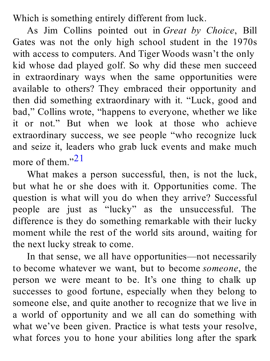Which is something entirely different from luck.

As Jim Collins pointed out in *Great by Choice*, Bill Gates was not the only high school student in the 1970s with access to computers. And Tiger Woods wasn't the only kid whose dad played golf. So why did these men succeed in extraordinary ways when the same opportunities were available to others? They embraced their opportunity and then did something extraordinary with it. "Luck, good and bad," Collins wrote, "happens to everyone, whether we like it or not." But when we look at those who achieve extraordinary success, we see people "who recognize luck and seize it, leaders who grab luck events and make much more of them." $21$ 

What makes a person successful, then, is not the luck, but what he or she does with it. Opportunities come. The question is what will you do when they arrive? Successful people are just as "lucky" as the unsuccessful. The difference is they do something remarkable with their lucky moment while the rest of the world sits around, waiting for the next lucky streak to come.

In that sense, we all have opportunities—not necessarily to become whatever we want, but to become *someone*, the person we were meant to be. It's one thing to chalk up successes to good fortune, especially when they belong to someone else, and quite another to recognize that we live in a world of opportunity and we all can do something with what we've been given. Practice is what tests your resolve, what forces you to hone your abilities long after the spark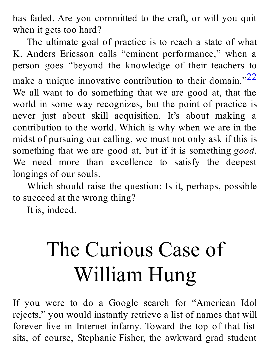has faded. Are you committed to the craft, or will you quit when it gets too hard?

The ultimate goal of practice is to reach a state of what K. Anders Ericsson calls "eminent performance," when a person goes "beyond the knowledge of their teachers to make a unique innovative contribution to their domain." $^{22}$ We all want to do something that we are good at, that the world in some way recognizes, but the point of practice is never just about skill acquisition. It's about making a contribution to the world. Which is why when we are in the midst of pursuing our calling, we must not only ask if this is something that we are good at, but if it is something *good*. We need more than excellence to satisfy the deepest longings of our souls.

Which should raise the question: Is it, perhaps, possible to succeed at the wrong thing?

It is, indeed.

# The Curious Case of William Hung

If you were to do a Google search for "American Idol rejects," you would instantly retrieve a list of names that will forever live in Internet infamy. Toward the top of that list sits, of course, Stephanie Fisher, the awkward grad student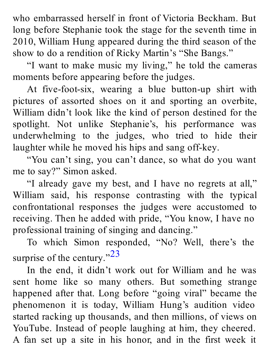who embarrassed herself in front of Victoria Beckham. But long before Stephanie took the stage for the seventh time in 2010, William Hung appeared during the third season of the show to do a rendition of Ricky Martin's "She Bangs."

"I want to make music my living," he told the cameras moments before appearing before the judges.

At five-foot-six, wearing a blue button-up shirt with pictures of assorted sh[oes](#page-252-2) on it and sporting an overbite, William didn't look like the kind of person destined for the spotlight. Not unlike Stephanie's, his performance was underwhelming to the judges, who tried to hide their laughter while he moved his hips and sang off-key.

"You can't sing, you can't dance, so what do you want me to say?" Simon asked.

"I already gave my best, and I have no regrets at all," William said, his response contrasting with the typical confrontational responses the judges were accustomed to receiving. Then he added with pride, "You know, I have no professional training of singing and dancing."

To which Simon responded, "No? Well, there's the surprise of the century." $23$ 

In the end, it didn't work out for William and he was sent home like so many others. But something strange happened after that. Long before "going viral" became the phenomenon it is today, William Hung's audition video started racking up thousands, and then millions, of views on YouTube. Instead of people laughing at him, they cheered. A fan set up a site in his honor, and in the first week it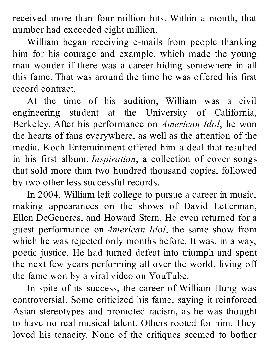received more than four million hits. Within a month, that number had exceeded eight million.

William began receiving e-mails from people thanking him for his courage and example, which made the young man wonder if there was a career hiding somewhere in all this fame. That was around the time he was offered his first record contract.

At the time of his audition, William was a civil engineering student at the University of California, Berkeley. After his performance on *American Idol*, he won the hearts of fans everywhere, as well as the attention of the media. Koch Entertainment offered him a deal that resulted in his first album, *Inspiration*, a collection of cover songs that sold more than two hundred thousand copies, followed by two other less successful records.

In 2004, William left college to pursue a career in music, making appearances on the shows of David Letterman, Ellen DeGeneres, and Howard Stern. He even returned for a guest performance on *American Idol*, the same show from which he was rejected only months before. It was, in a way, poetic justice. He had turned defeat into triumph and spent the next few years performing all over the world, living off the fame won by a viral video on YouTube.

In spite of its success, the career of William Hung was controversial. Some criticized his fame, saying it reinforced Asian stereotypes and promoted racism, as he was thought to have no real musical talent. Others rooted for him. They loved his tenacity. None of the critiques seemed to bother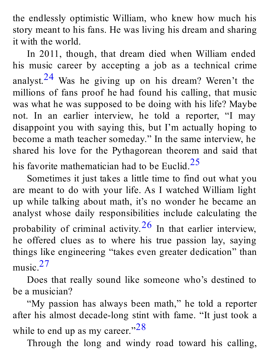the endlessly optimistic William, who kne[w](#page-252-3) how much his story meant to his fans. He was living his dream and sharing it with the world.

In 2011, though, that dream died when William ended his music career by accepting a job as a technical crime analyst. $24$  Was he giving up [on](#page-252-4) his dream? Weren't the millions of fans proof he had found his calling, that music was w[hat](#page-253-0) he was supposed to be doing with his life? Maybe not. In an earlier interview, he told a reporter, "I may disappoint you with saying this, but I'm actually hoping to become a math teacher someday." In the same interview, he shared his love for the Pythagorean theorem and said that his favorite mathematician had to be Euclid. $25$ 

Sometimes it just takes a l[ittle](#page-253-1) time to find out what you are meant to do with your life. As I watched William light up while talking about math, it's no wonder he became an analyst whose daily responsibilities include calculating the probability of criminal activity. $2^6$  In that earlier interview, he offered clues as to where his true passion lay, saying things like engineering "takes even greater dedication" than music. 27

Does that really sound like someone who's destined to be a musician?

"My passion has always been math," he told a reporter after his almost decade-long stint with fame. "It just took a while to end up as my career." $28$ 

Through the long and windy road toward his calling,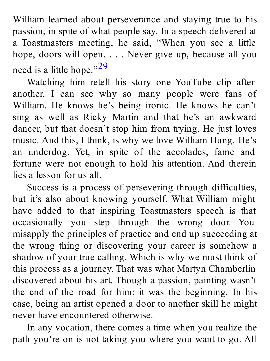William learned about perseverance and staying true to his passion, in spite of what people say. In a speech delivered at a Toastmasters meeting, he said, "When you see a little hope, doors will open. . . . Never give up, because all you need is a little hope."<sup>29</sup>

Watching him retell his story one YouTube clip after another, I can see why so many people were fans of William. He knows he's being ironic. He knows he can't sing as well as Ricky Martin and that he's an awkward dancer, but that doesn't stop him from trying. He just loves music. And this, I think, is why we love William Hung. He's an underdog. Yet, in spite of the accolades, fame and fortune were not enough to hold his attention. And therein lies a lesson for us all.

Success is a process of persevering through difficulties, but it's also about knowing yourself. What William might have added to that inspiring Toastmasters speech is that occasionally you step through the wrong door. You misapply the principles of practice and end up succeeding at the wrong thing or discovering your career is somehow a shadow of your true calling. Which is why we must think of this process as a journey. That was what Martyn Chamberlin discovered about his art. Though a passion, painting wasn't the end of the road for him; it was the beginning. In his case, being an artist opened a door to another skill he might never have encountered otherwise.

In any vocation, there comes a time when you realize the path you're on is not taking you where you want to go. All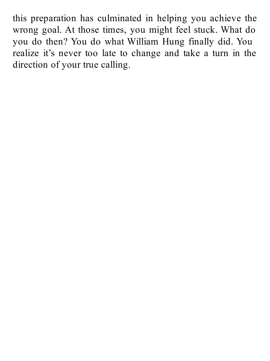this preparation has culminated in helping you achieve the wrong goal. At those times, you might feel stuck. What do you do then? You do what William Hung finally did. You realize it's never too late to change and take a turn in the direction of your true calling.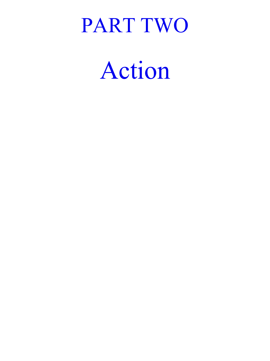# PART TWO Action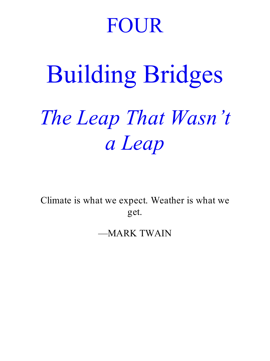#### FOUR

# Building Bridges

### *The Leap That Wasn 't a Leap*

Climate is what we expect. Weather is what we get.

—MARK TWAIN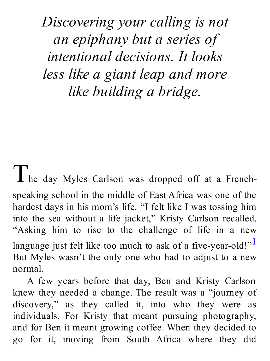*Discovering your calling is not an epiphany but a series of intentional decisions. It looks less like a giant leap and more like building a bridge.*

The day Myles Carlson was dropped off at a Frenchspeaking school in the middle of East Africa was one of the hardest days in his mom's life. "I felt like I was tossing him into the sea without a life jacket," Kristy Carlson recalled. "Asking him to rise to the challenge of life in a new language just felt like too much to ask of a five-year-old!" $^1$ But Myles wasn't the only one who had to adjust to a new normal.

A few years before that day, Ben and Kristy Carlson knew they needed a change. The result was a "journey of discovery," as they called it, into who they were as individuals. For Kristy that meant pursuing photography, and for Ben it meant growing coffee. When they decided to go for it, moving from South Africa where they did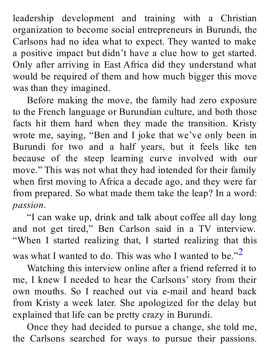leadership development and training with a Christian organization to become social entrepreneurs in Burundi, the Carlsons had no idea what to expect. They wanted to make a positive impact but didn't have a clue how to get started. Only after arriving in East Africa did they understand what would be required of them and how much bigger this move was than they imagined.

Before making the move, the family had zero exp[os](#page-254-0)ure to the French language or Burundian culture, and both those facts hit them hard when they made the transition. Kristy wrote me, saying, "Ben and I joke that we've only been in Burundi for two and a half years, but it feels like ten because of the steep learning curve involved with our move." This was not what they had intended for their family when first moving to Africa a decade ago, and they were far from prepared. So what made them take the leap? In a word: *passion*.

"I can wake up, drink and talk about coffee all day long and not get tired," Ben Carlson said in a TV interview. "When I started realizing that, I started realizing that this was what I wanted to do. This was who I wanted to be." $2$ 

Watching this interview online after a friend referred it to me, I knew I needed to hear the Carlsons' story from their own mouths. So I reached out via e-mail and heard back from Kristy a week later. She apologized for the delay but explained that life can be pretty crazy in Burundi.

Once they had decided to pursue a change, she told me, the Carlsons searched for ways to pursue their passions.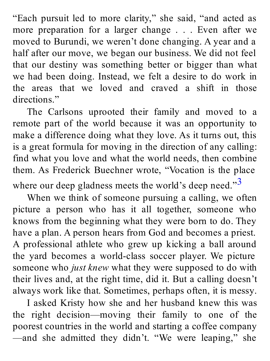"Each pursuit led to more clarity," she said, "and acted as more preparation for a larger change . . . Even aft[er](#page-254-1) we moved to Burundi, we weren't done changing. A year and a half after our move, we began our business. We did not feel that our destiny was something better or bigger than what we had been doing. Instead, we felt a desire to do work in the areas that we loved and craved a shift in those directions."

The Carlsons uprooted their family and moved to a remote part of the world because it was an opportunity to make a difference doing what they love. As it turns out, this is a great formula for moving in the direction of any calling: find what you love and what the world needs, then combine them. As Frederick Buechner wrote, "Vocation is the place where our deep gladness meets the world's deep need." $3$ 

When we think of someone pursuing a calling, we often picture a person who has it all together, someone who knows from the beginning what they were born to do. They have a plan. A person hears from God and becomes a priest. A professional athlete who grew up kicking a ball around the yard becomes a world-class soccer player. We picture someone who *just knew* what they were supposed to do with their lives and, at the right time, did it. But a calling doesn't always work like that. Sometimes, perhaps often, it is messy.

I asked Kristy how she and her husband knew this was the right decision—moving their family to one of the poorest countries in the world and starting a coffee company —and she admitted they didn't. "We were leaping," she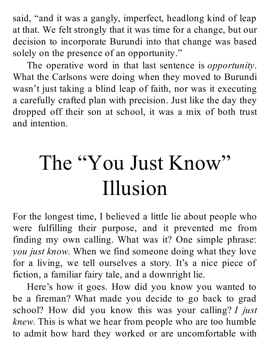said, "and it was a gangly, imperfect, headlong kind of leap at that. We felt strongly that it was time for a change, but our decision to incorporate Burundi into that change was based solely on the presence of an opportunity."

The operative word in that last sentence is *opportunity*. What the Carlsons were doing when they moved to Burundi wasn't just taking a blind leap of faith, nor was it executing a carefully crafted plan with precision. Just like the day they dropped off their son at school, it was a mix of both trust and intention.

#### The "You Just Know" Illusion

For the longest time, I believed a little lie about people who were fulfilling their purpose, and it prevented me from finding my own calling. What was it? One simple phrase: *you just know.* When we find someone doing what they love for a living, we tell ourselves a story. It's a nice piece of fiction, a familiar fairy tale, and a downright lie.

Here's how it goes. How did you know you wanted to be a fireman? What made you decide to go back to grad school? How did you know this was your calling? *I just knew.* This is what we hear from people who are too humble to admit how hard they worked or are uncomfortable with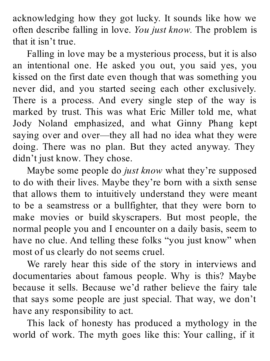acknowledging how they got lucky. It sounds like how we often describe falling in love. *You just know.* The problem is that it isn't true.

Falling in love may be a mysterious process, but it is also an intentional one. He asked you out, you said yes, you kissed on the first date even though that was something you never did, and you started seeing each other exclusively. There is a process. And every single step of the way is marked by trust. This was what Eric Miller told me, what Jody Noland emphasized, and what Ginny Phang kept saying over and over—they all had no idea what they were doing. There was no plan. But they acted anyway. They didn't just know. They chose.

Maybe some people do *just know* what they're supposed to do with their lives. Maybe they're born with a sixth sense that allows them to intuitively understand they were meant to be a seamstress or a bullfighter, that they were born to make movies or build skyscrapers. But most people, the normal people you and I encounter on a daily basis, seem to have no clue. And telling these folks "you just know" when most of us clearly do not seems cruel.

We rarely hear this side of the story in interviews and documentaries about famous people. Why is this? Maybe because it sells. Because we'd rather believe the fairy tale that says some people are just special. That way, we don't have any responsibility to act.

This lack of honesty has produced a mythology in the world of work. The myth goes like this: Your calling, if it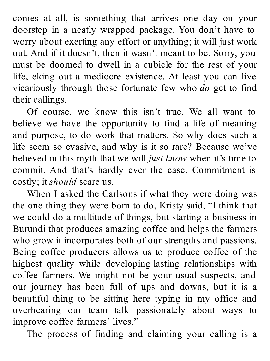comes at all, is something that arrives one day on your doorstep in a neatly wrapped package. You don't have to worry about exerting any effort or anything; it will just work out. And if it doesn't, then it wasn't meant to be. Sorry, you must be doomed to dwell in a cubicle for the rest of your life, eking out a mediocre existence. At least you can live vicariously through those fortunate few who *do* get to find their callings.

Of course, we know this isn't true. We all want to believe we have the opportunity to find a life of meaning and purpose, to do work that matters. So why does such a life seem so evasive, and why is it so rare? Because we've believed in this myth that we will *just know* when it's time to commit. And that's hardly ever the case. Commitment is costly; it *should* scare us.

When I asked the Carlsons if what they were doing was the one thing they were born to do, Kristy said, "I think that we could do a multitude of things, but starting a business in Burundi that produces amazing coffee and helps the farmers who grow it incorporates both of our strengths and passions. Being coffee producers allows us to produce coffee of the highest quality while developing lasting relationships with coffee farmers. We might not be your usual suspects, and our journey has been full of ups and downs, but it is a beautiful thing to be sitting here typing in my office and overhearing our team talk passionately about ways to improve coffee farmers' lives."

The process of finding and claiming your calling is a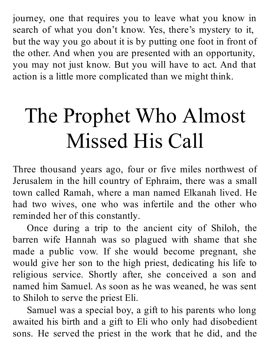journey, one that requires you to leave what you know in search of what you don't know. Yes, there's mystery to it, but the way you go about it is by putting one foot in front of the other. And when you are presented with an opportunity, you may not just know. But you will have to act. And that action is a little more complicated than we might think.

### The Prophet Who Almost Missed His Call

Three thousand years ago, four or five miles northwest of Jerusalem in the hill country of Ephraim, there was a small town called Ramah, where a man named Elkanah lived. He had two wives, one who was infertile and the other who reminded her of this constantly.

Once during a trip to the ancient city of Shiloh, the barren wife Hannah was so plagued with shame that she made a public vow. If she would become pregnant, she would give her son to the high priest, dedicating his life to religious service. Shortly after, she conceived a son and named him Samuel. As soon as he was weaned, he was sent to Shiloh to serve the priest Eli.

Samuel was a special boy, a gift to his parents who long awaited his birth and a gift to Eli who only had disobedient sons. He served the priest in the work that he did, and the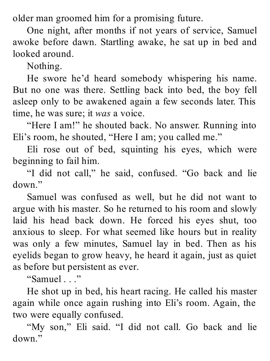older man groomed him for a promising future.

One night, after months if not years of service, Samuel awoke before dawn. Startling awake, he sat up in bed and looked around.

Nothing.

He swore he'd heard somebody whispering his name. But no one was there. Settling back into bed, the boy fell asleep only to be awakened again a few seconds later. This time, he was sure; it *was* a voice.

"Here I am!" he shouted back. No answer. Running into Eli's room, he shouted, "Here I am; you called me."

Eli rose out of bed, squinting his eyes, which were beginning to fail him.

"I did not call," he said, confused. "Go back and lie down."

Samuel was confused as well, but he did not want to argue with his master. So he returned to his room and slowly laid his head back down. He forced his eyes shut, too anxious to sleep. For what seemed like hours but in reality was only a few minutes, Samuel lay in bed. Then as his eyelids began to grow heavy, he heard it again, just as quiet as before but persistent as ever.

"Samuel "

He shot up in bed, his heart racing. He called his master again while once again rushing into Eli's room. Again, the two were equally confused.

"My son," Eli said. "I did not call. Go back and lie down."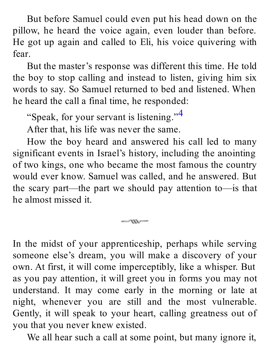But before Samuel could even put his head down on the pillow, he heard the voice again, even louder than before. He got up again and called to Eli, his voice quivering with fear.

But the master's response was different this time. He told the boy to stop calling and instead to listen, giving him six words to say. So Samuel returned to bed and listened. When he heard the call a final time, he responded:

"Speak, for your servant is listening."<sup>4</sup>

After that, his life was never the same.

How the boy heard and answered his call led to many significant events in Israel's history, including the anointing of two kings, one who became the most famous the country would ever know. Samuel was called, and he answered. But the scary part—the part we should pay attention to—is that he almost missed it.

 $\frac{1}{2}$ 

In the midst of your apprenticeship, perhaps while serving someone else's dream, you will make a discovery of your own. At first, it will come imperceptibly, like a whisper. But as you pay attention, it will greet you in forms you may not understand. It may come early in the morning or late at night, whenever you are still and the most vulnerable. Gently, it will speak to your heart, calling greatness out of you that you never knew existed.

We all hear such a call at some point, but many ignore it,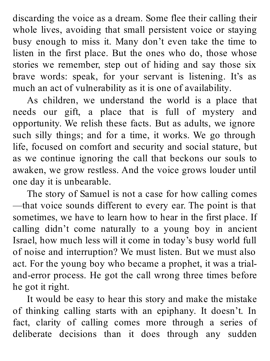discarding the voice as a dream. Some flee their calling their whole lives, avoiding that small persistent voice or staying busy enough to miss it. Many don't even take the time to listen in the first place. But the ones who do, those whose stories we remember, step out of hiding and say those six brave words: speak, for your servant is listening. It's as much an act of vulnerability as it is one of availability.

As children, we understand the world is a place that needs our gift, a place that is full of mystery and opportunity. We relish these facts. But as adults, we ignore such silly things; and for a time, it works. We go through life, focused on comfort and security and social stature, but as we continue ignoring the call that beckons our souls to awaken, we grow restless. And the voice grows louder until one day it is unbearable.

The story of Samuel is not a case for how calling comes —that voice sounds different to every ear. The point is that sometimes, we have to learn how to hear in the first place. If calling didn't come naturally to a young boy in ancient Israel, how much less will it come in today's busy world full of noise and interruption? We must listen. But we must also act. For the young boy who became a prophet, it was a trialand-error process. He got the call wrong three times before he got it right.

It would be easy to hear this story and make the mistake of thinking calling starts with an epiphany. It doesn't. In fact, clarity of calling comes more through a series of deliberate decisions than it does through any sudden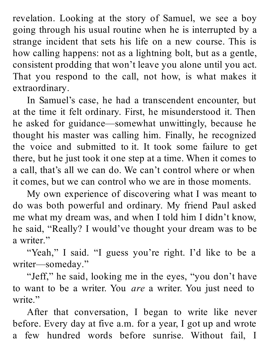revelation. Looking at the story of Samuel, we see a boy going through his usual routine when he is interrupted by a strange incident that sets his life on a new course. This is how calling happens: not as a lightning bolt, but as a gentle, consistent prodding that won't leave you alone until you act. That you respond to the call, not how, is what makes it extraordinary.

In Samuel's case, he had a transcendent encounter, but at the time it felt ordinary. First, he misunderstood it. Then he asked for guidance—somewhat unwittingly, because he thought his master was calling him. Finally, he recognized the voice and submitted to it. It took some failure to get there, but he just took it one step at a time. When it comes to a call, that's all we can do. We can't control where or when it comes, but we can control who we are in those moments.

My own experience of discovering what I was meant to do was both powerful and ordinary. My friend Paul asked me what my dream was, and when I told him I didn't know, he said, "Really? I would've thought your dream was to be a writer."

"Yeah," I said. "I guess you're right. I'd like to be a writer—someday."

"Jeff," he said, looking me in the eyes, "you don't have to want to be a writer. You *are* a writer. You just need to write."

After that conversation, I began to write like never before. Every day at five a.m. for a year, I got up and wrote a few hundred words before sunrise. Without fail, I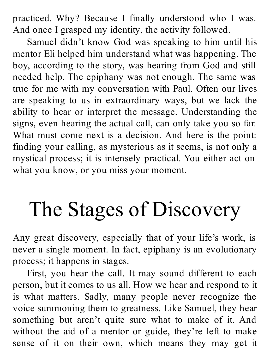practiced. Why? Because I finally understood who I was. And once I grasped my identity, the activity followed.

Samuel didn't know God was speaking to him until his mentor Eli helped him understand what was happening. The boy, according to the story, was hearing from God and still needed help. The epiphany was not enough. The same was true for me with my conversation with Paul. Often our lives are speaking to us in extraordinary ways, but we lack the ability to hear or interpret the message. Understanding the signs, even hearing the actual call, can only take you so far. What must come next is a decision. And here is the point: finding your calling, as mysterious as it seems, is not only a mystical process; it is intensely practical. You either act on what you know, or you miss your moment.

# The Stages of Discovery

Any great discovery, especially that of your life's work, is never a single moment. In fact, epiphany is an evolutionary process; it happens in stages.

First, you hear the call. It may sound different to each person, but it comes to us all. How we hear and respond to it is what matters. Sadly, many people never recognize the voice summoning them to greatness. Like Samuel, they hear something but aren't quite sure what to make of it. And without the aid of a mentor or guide, they're left to make sense of it on their own, which means they may get it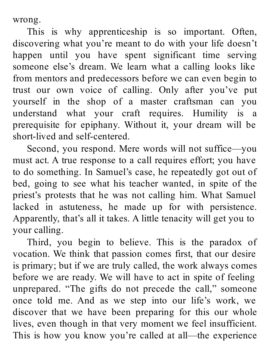wrong.

This is why apprenticeship is so important. Often, discovering what you're meant to do with your life doesn't happen until you have spent significant time serving someone else's dream. We learn what a calling looks like from mentors and predecessors before we can even begin to trust our own voice of calling. Only after you've put yourself in the shop of a master craftsman can you understand what your craft requires. Humility is a prerequisite for epiphany. Without it, your dream will be short-lived and self-centered.

Second, you respond. Mere words will not suffice—you must act. A true response to a call requires effort; you have to do something. In Samuel's case, he repeatedly got out of bed, going to see what his teacher wanted, in spite of the priest's protests that he was not calling him. What Samuel lacked in astuteness, he made up for with persistence. Apparently, that's all it takes. A little tenacity will get you to your calling.

Third, you begin to believe. This is the paradox of vocation. We think that passion comes first, that our desire is primary; but if we are truly called, the work always comes before we are ready. We will have to act in spite of feeling unprepared. "The gifts do not precede the call," someone once told me. And as we step into our life's work, we discover that we have been preparing for this our whole lives, even though in that very moment we feel insufficient. This is how you know you're called at all—the experience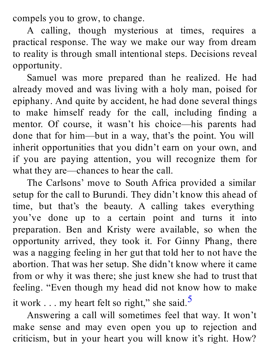compels you to grow, to change.

A calling, though mysterious at times, requires a practical response. The way we make our way from dream to reality is through small intentional steps. Decisions reveal opportunity.

Samuel was more prepared than he realized. He had already moved and was living with a holy man, poised for epiphany. And quite by accident, he had done several things to make himself ready for the call, including finding a mentor. Of course, it wasn't his choice—his parents had done that for him—but in a way, that's the point. You will inherit opportunities that you didn't earn [on](#page-254-2) your own, and if you are paying attention, you will recognize them for what they are—chances to hear the call.

The Carlsons' move to South Africa provided a similar setup for the call to Burundi. They didn't know this ahead of time, but that's the beauty. A calling takes everything you've done up to a certain point and turns it into preparation. Ben and Kristy were available, so when the opportunity arrived, they took it. For Ginny Phang, there was a nagging feeling in her gut that told her to not have the abortion. That was her setup. She didn't know where it came from or why it was there; she just knew she had to trust that feeling. "Even though my head did not know how to make it work . . . my heart felt so right," she said.<sup>5</sup>

Answering a call will sometimes feel that way. It won't make sense and may even open you up to rejection and criticism, but in your heart you will know it's right. How?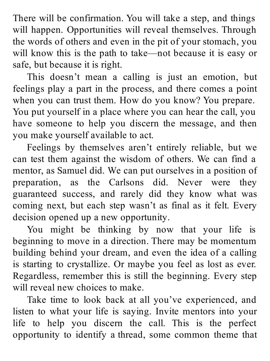There will be confirmation. You will take a step, and things will happen. Opportunities will reveal themselves. Through the words of others and even in the pit of your stomach, you will know this is the path to take—not because it is easy or safe, but because it is right.

This doesn't mean a calling is just an emotion, but feelings play a part in the process, and there comes a point when you can trust them. How do you know? You prepare. You put yourself in a place where you can hear the call, you have someone to help you discern the message, and then you make yourself available to act.

Feelings by themselves aren't entirely reliable, but we can test them against the wisdom of others. We can find a mentor, as Samuel did. We can put ourselves in a position of preparation, as the Carlsons did. Never were they guaranteed success, and rarely did they know what was coming next, but each step wasn't as final as it felt. Every decision opened up a new opportunity.

You might be thinking by now that your life is beginning to move in a direction. There may be momentum building behind your dream, and even the idea of a calling is starting to crystallize. Or maybe you feel as lost as ever. Regardless, remember this is still the beginning. Every step will reveal new choices to make.

Take time to look back at all you've experienced, and listen to what your life is saying. Invite mentors into your life to help you discern the call. This is the perfect opportunity to identify a thread, some common theme that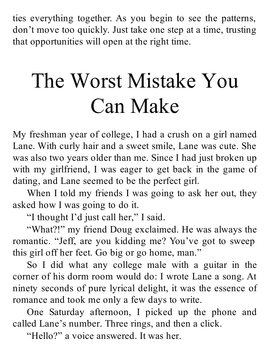ties everything together. As you begin to see the patterns, don't move too quickly. Just take one step at a time, trusting that opportunities will open at the right time.

#### The Worst Mistake You Can Make

My freshman year of college, I had a crush on a girl named Lane. With curly hair and a sweet smile, Lane was cute. She was also two years older than me. Since I had just broken up with my girlfriend, I was eager to get back in the game of dating, and Lane seemed to be the perfect girl.

When I told my friends I was going to ask her out, they asked how I was going to do it.

"I thought I'd just call her," I said.

"What?!" my friend Doug exclaimed. He was always the romantic. "Jeff, are you kidding me? You've got to sweep this girl off her feet. Go big or go home, man."

So I did what any college male with a guitar in the corner of his dorm room would do: I wrote Lane a song. At ninety seconds of pure lyrical delight, it was the essence of romance and took me only a few days to write.

One Saturday afternoon, I picked up the phone and called Lane's number. Three rings, and then a click.

"Hello?" a voice answered. It was her.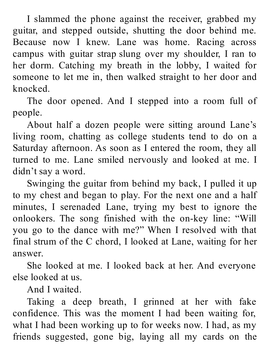I slammed the phone against the receiver, grabbed my guitar, and stepped outside, shutting the door behind me. Because now I knew. Lane was home. Racing across campus with guitar strap slung over my shoulder, I ran to her dorm. Catching my breath in the lobby, I waited for someone to let me in, then walked straight to her door and knocked.

The door opened. And I stepped into a room full of people.

About half a dozen people were sitting around Lane's living room, chatting as college students tend to do on a Saturday afternoon. As soon as I entered the room, they all turned to me. Lane smiled nervously and looked at me. I didn't say a word.

Swinging the guitar from behind my back, I pulled it up to my chest and began to play. For the next one and a half minutes, I serenaded Lane, trying my best to ignore the onlookers. The song finished with the on-key line: "Will you go to the dance with me?" When I resolved with that final strum of the C chord, I looked at Lane, waiting for her answer.

She looked at me. I looked back at her. And everyone else looked at us.

And I waited.

Taking a deep breath, I grinned at her with fake confidence. This was the moment I had been waiting for, what I had been working up to for weeks now. I had, as my friends suggested, gone big, laying all my cards on the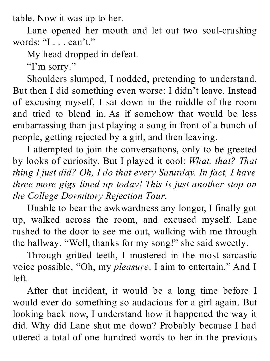table. Now it was up to her.

Lane opened her mouth and let out two soul-crushing words: " $I$  can't."

My head dropped in defeat.

"I'm sorry."

Shoulders slumped, I nodded, pretending to understand. But then I did something even worse: I didn't leave. Instead of excusing myself, I sat down in the middle of the room and tried to blend in. As if somehow that would be less embarrassing than just playing a song in front of a bunch of people, getting rejected by a girl, and then leaving.

I attempted to join the conversations, only to be greeted by looks of curiosity. But I played it cool: *What, that? That thing I just did? Oh, I do that every Saturday. In fact, I have three more gigs lined up today! This is just another stop on the College Dormitory Rejection Tour.*

Unable to bear the awkwardness any longer, I finally got up, walked across the room, and excused myself. Lane rushed to the door to see me out, walking with me through the hallway. "Well, thanks for my song!" she said sweetly.

Through gritted teeth, I mustered in the most sarcastic voice possible, "Oh, my *pleasure*. I aim to entertain." And I left.

After that incident, it would be a long time before I would ever do something so audacious for a girl again. But looking back now, I understand how it happened the way it did. Why did Lane shut me down? Probably because I had uttered a total of one hundred words to her in the previous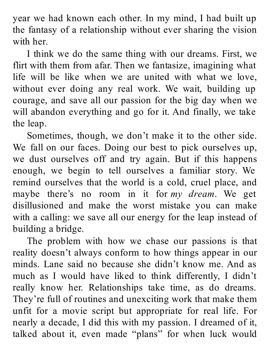year we had known each other. In my mind, I had built up the fantasy of a relationship without ever sharing the vision with her.

I think we do the same thing with our dreams. First, we flirt with them from afar. Then we fantasize, imagining what life will be like when we are united with what we love, without ever doing any real work. We wait, building up courage, and save all our passion for the big day when we will abandon everything and go for it. And finally, we take the leap.

Sometimes, though, we don't make it to the other side. We fall on our faces. Doing our best to pick ourselves up, we dust ourselves off and try again. But if this happens enough, we begin to tell ourselves a familiar story. We remind ourselves that the world is a cold, cruel place, and maybe there's no room in it for *my dream*. We get disillusioned and make the worst mistake you can make with a calling: we save all our energy for the leap instead of building a bridge.

The problem with how we chase our passions is that reality doesn't always conform to how things appear in our minds. Lane said no because she didn't know me. And as much as I would have liked to think differently, I didn't really know her. Relationships take time, as do dreams. They're full of routines and unexciting work that make them unfit for a movie script but appropriate for real life. For nearly a decade, I did this with my passion. I dreamed of it, talked about it, even made "plans" for when luck would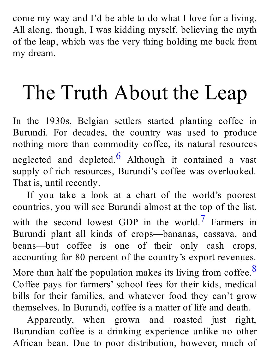come my way and I'd be able to do what I love for a living. All along, though, I was kidding myself, believing the myth of the leap, which was the very thing holding me back from my dream.

#### The Truth About the Leap

In the 1930s, Belgian settlers started planting coffee [in](#page-254-3) Burundi. For decades, the country was used to produce nothing more than commodity coffee, its natural resources neglected and depleted.<sup>6</sup> Although it contained a vast supply of rich resources, Burundi's coffee was overlooked. That is, until recently.

If you take a look at a chart of the world's poorest countries, you will see Burundi almost at the top of the list, with the second lowest GDP in the world.<sup>7</sup> Farmers in Burundi plant all kinds of crops—bananas, cassava, and beans—but coffee is one of their only cash crops, accounting for 80 percent of the country's export revenues. More than half the population makes its living from coffee. $8$ Coffee pays for farmers' school fees for their kids, medical bills for their families, and whatever food they can't grow themselves. In Burundi, coffee is a matter of life and death.

Apparently, when grown and roasted just right, Burundian coffee is a drinking experience unlike no other African bean. Due to poor distribution, however, much of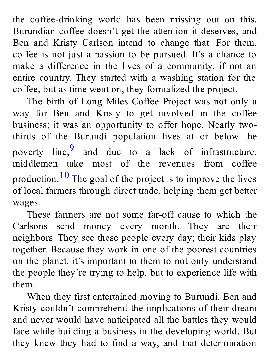the coffee-[dri](#page-255-0)nking world has been missing out on this. Burundian coffee doesn't get the attention it deserves, and Ben and Kristy Carlson intend to change that. For them, coffee is not just a passion to be pursued. It's a chance to make a difference in the lives of a community, if not an entire country. They started with a washing station for the coffee, but as time went on, they formalized the project.

The birth of Long Miles Coffee Project was not only a way for Ben and Kristy to get involved in the coffee business; it was an opportunity to offer hope. Nearly twothirds of the Burundi population lives at or below the poverty line, and due to a lack of infrastructure, middlemen take most of the revenues from coffee production.  $\frac{10}{10}$  The goal of the project is to improve the lives of local farmers through direct trade, helping them get better wages.

These farmers are not some far-off cause to which the Carlsons send money every month. They are their neighbors. They see these people every day; their kids play together. Because they work in one of the poorest countries on the planet, it's important to them to not only understand the people they're trying to help, but to experience life with them.

When they first entertained moving to Burundi, Ben and Kristy couldn't comprehend the implications of their dream and never would have anticipated all the battles they would face while building a business in the developing world. But they knew they had to find a way, and that determination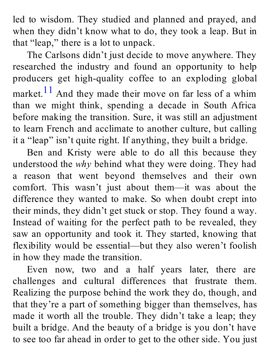led to wisdom. They studied and planned and prayed, and when they didn't know what to do, they took a leap. But in that "leap," there is a lot to unpack.

The Carlsons didn't just decide to move anywhere. They researched the industry and found an opportunity to help producers get high-quality coffee to an exploding global market. $11$  And they made their move on far less of a whim than we might think, spending a decade in South Africa before making the transition. Sure, it was still an adjustment to learn French and acclimate to another culture, but calling it a "leap" isn't quite right. If anything, they built a bridge.

Ben and Kristy were able to do all this because they understood the *why* behind what they were doing. They had a reason that went beyond themselves and their own comfort. This wasn't just about them—it was about the difference they wanted to make. So when doubt crept into their minds, they didn't get stuck or stop. They found a way. Instead of waiting for the perfect path to be revealed, they saw an opportunity and took it. They started, knowing that flexibility would be essential—but they also weren't foolish in how they made the transition.

Even now, two and a half years later, there are challenges and cultural differences that frustrate them. Realizing the purpose behind the work they do, though, and that they're a part of something bigger than themselves, has made it worth all the trouble. They didn't take a leap; they built a bridge. And the beauty of a bridge is you don't have to see too far ahead in order to get to the other side. You just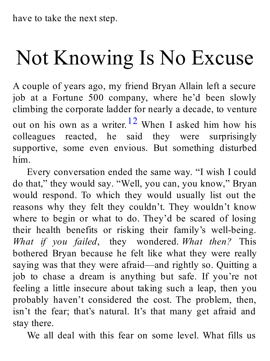have to take the next step.

# Not Knowing Is No Excuse

A couple of years ago, my friend Bryan Allain left a secure job at a Fortune 500 company, where he'd been slowly climbing the corporate ladder for nearly a decade, to venture out on his own as a writer.<sup>12</sup> When I asked him how his colleagues reacted, he said they were surprisingly supportive, some even envious. But something disturbed him.

Every conversation ended the same way. "I wish I could do that," they would say. "Well, you can, you know," Bryan would respond. To which they would usually list out the reasons why they felt they couldn't. They wouldn't know where to begin or what to do. They'd be scared of losing their health benefits or risking their family's well-being. *What if you failed*, they wondered. *What then?* This bothered Bryan because he felt like what they were really saying was that they were afraid—and rightly so. Quitting a job to chase a dream is anything but safe. If you're not feeling a little insecure about taking such a leap, then you probably haven't considered the cost. The problem, then, isn't the fear; that's natural. It's that many get afraid and stay there.

We all deal with this fear on some level. What fills us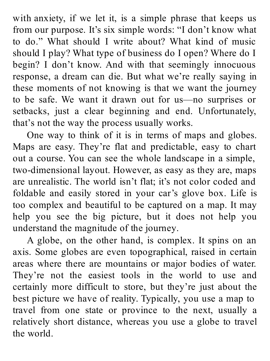with anxiety, if we let it, is a simple phrase that keeps us from our purpose. It's six simple words: "I don't know what to do." What should I write about? What kind of music should I play? What type of business do I open? Where do I begin? I don't know. And with that seemingly innocuous response, a dream can die. But what we're really saying in these moments of not knowing is that we want the journey to be safe. We want it drawn out for us—no surprises or setbacks, just a clear beginning and end. Unfortunately, that's not the way the process usually works.

One way to think of it is in terms of maps and globes. Maps are easy. They're flat and predictable, easy to chart out a course. You can see the whole landscape in a simple, two-dimensional layout. However, as easy as they are, maps are unrealistic. The world isn't flat; it's not color coded and foldable and easily stored in your car's glove box. Life is too complex and beautiful to be captured on a map. It may help you see the big picture, but it does not help you understand the magnitude of the journey.

A globe, on the other hand, is complex. It spins on an axis. Some globes are even topographical, raised in certain areas where there are mountains or major bodies of water. They're not the easiest tools in the world to use and certainly more difficult to store, but they're just about the best picture we have of reality. Typically, you use a map to travel from one state or province to the next, usually a relatively short distance, whereas you use a globe to travel the world.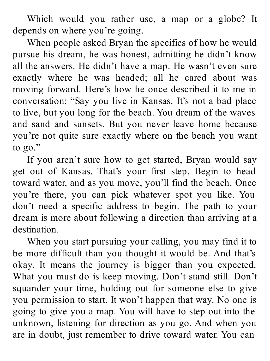Which would you rather use, a map or a globe? It depends on where you're going.

When people asked Bryan the specifics of how he would pursue his dream, he was honest, admitting he didn't know all the answers. He didn't have a map. He wasn't even sure exactly where he was headed; all he cared about was moving forward. Here's how he once described it to me in conversation: "Say you live in Kansas. It's not a bad place to live, but you long for the beach. You dream of the waves and sand and sunsets. But you never leave home because you're not quite sure exactly where on the beach you want to go."

If you aren't sure how to get started, Bryan would say get out of Kansas. That's your first step. Begin to head toward water, and as you move, you'll find the beach. Once you're there, you can pick whatever spot you like. You don't need a specific address to begin. The path to your dream is more about following a direction than arriving at a destination.

When you start pursuing your calling, you may find it to be more difficult than you thought it would be. And that's okay. It means the journey is bigger than you expected. What you must do is keep moving. Don't stand still. Don't squander your time, holding out for someone else to give you permission to start. It won't happen that way. No one is going to give you a map. You will have to step out into the unknown, listening for direction as you go. And when you are in doubt, just remember to drive toward water. You can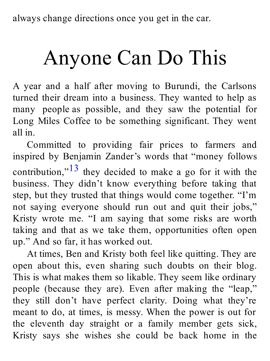always change [d](#page-255-0)irections once you get in the car.

### Anyone Can Do This

A year and a half after moving to Burundi, the Carlsons turned their dream into a business. They wanted to help as many people as possible, and they saw the potential for Long Miles Coffee to be something significant. They went all in.

Committed to providing fair prices to farmers and inspired by Benjamin Zander's words that "money follows contribution," $13$  they decided to make a go for it with the business. They didn't know everything before taking that step, but they trusted that things would come together. "I'm not saying everyone should run out and quit their jobs," Kristy wrote me. "I am saying that some risks are worth taking and that as we take them, opportunities often open up." And so far, it has worked out.

At times, Ben and Kristy both feel like quitting. They are open about this, even sharing such doubts on their blog. This is what makes them so likable. They seem like ordinary people (because they are). Even after making the "leap," they still don't have perfect clarity. Doing what they're meant to do, at times, is messy. When the power is out for the eleventh day straight or a family member gets sick, Kristy says she wishes she could be back home in the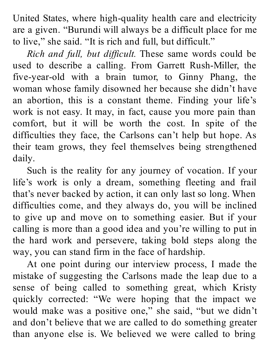United States, where high-quality health care and electricity are a given. "Burundi will always be a difficult place for me to live," she said. "It is rich and full, but difficult."

*Rich and full, but difficult.* These same words could be used to describe a calling. From Garrett Rush-Miller, the five-year-old with a brain tumor, to Ginny Phang, the woman whose family disowned her because she didn't have an abortion, this is a constant theme. Finding your life's work is not easy. It may, in fact, cause you more pain than comfort, but it will be worth the cost. In spite of the difficulties they face, the Carlsons can't help but hope. As their team grows, they feel themselves being strengthened daily.

Such is the reality for any journey of vocation. If your life's work is only a dream, something fleeting and frail that's never backed by action, it can only last so long. When difficulties come, and they always do, you will be inclined to give up and move on to something easier. But if your calling is more than a good idea and you're willing to put in the hard work and persevere, taking bold steps along the way, you can stand firm in the face of hardship.

At one point during our interview process, I made the mistake of suggesting the Carlsons made the leap due to a sense of being called to something great, which Kristy quickly corrected: "We were hoping that the impact we would make was a positive one," she said, "but we didn't and don't believe that we are called to do something greater than anyone else is. We believed we were called to bring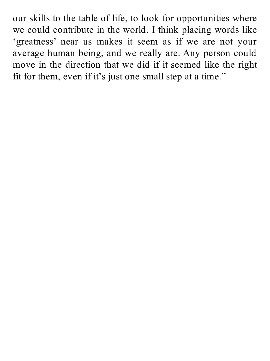our skills to the table of life, to look for opportunities where we could contribute in the world. I think placing words like 'greatness' near us makes it seem as if we are not your average human being, and we really are. Any person could move in the direction that we did if it seemed like the right fit for them, even if it's just one small step at a time."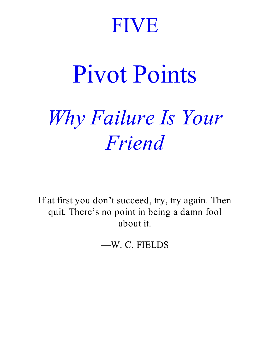#### FIVE

# Pivot Points

## *Why Failure Is Your Friend*

If at first you don't succeed, try, try again. Then quit. There's no point in being a damn fool about it.

—W. C. FIELDS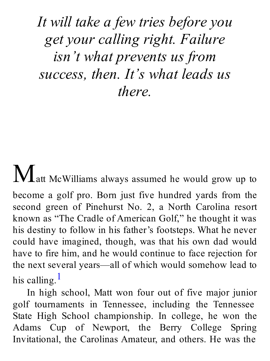*It will take a few tries before you get your calling right. Failure isn 't what prevents us from success, then. It' s what leads us there.*

**att McWilliams always assumed he would grow up to** become a golf pro. Born just five hundred yards from the second green of Pinehurst No. 2, a North Carolina resort known as "The Cradle of American Golf," he thought it was his destiny to follow in his father's footsteps. What he never could have imagined, though, was that his own dad would have to fire him, and he would continue to face rejection for the next several years—all of which would somehow lead to his calling.<sup>1</sup>

In high school, Matt won four out of five major junior golf tournaments in Tennessee, including the Tennessee State High School championship. In college, he won the Adams Cup of Newport, the Berry College Spring Invitational, the Carolinas Amateur, and others. He was the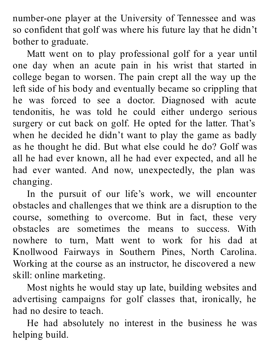number-one player at the University of Tennessee and was so confident that golf was where his future lay that he didn't bother to graduate.

Matt went on to play professional golf for a year until one day when an acute pain in his wrist that started in college began to worsen. The pain crept all the way up the left side of his body and eventually became so crippling that he was forced to see a doctor. Diagnosed with acute tendonitis, he was told he could either undergo serious surgery or cut back on golf. He opted for the latter. That's when he decided he didn't want to play the game as badly as he thought he did. But what else could he do? Golf was all he had ever known, all he had ever expected, and all he had ever wanted. And now, unexpectedly, the plan was changing.

In the pursuit of our life's work, we will encounter obstacles and challenges that we think are a disruption to the course, something to overcome. But in fact, these very obstacles are sometimes the means to success. With nowhere to turn, Matt went to work for his dad at Knollwood Fairways in Southern Pines, North Carolina. Working at the course as an instructor, he discovered a new skill: online marketing.

Most nights he would stay up late, building websites and advertising campaigns for golf classes that, ironically, he had no desire to teach.

He had absolutely no interest in the business he was helping build.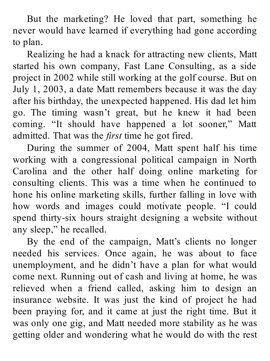But the marketing? He loved that part, something he never would have learned if everything had gone according to plan.

Realizing he had a knack for attracting new clients, Matt started his own company, Fast Lane Consulting, as a side project in 2002 while still working at the golf course. But on July 1, 2003, a date Matt remembers because it was the day after his birthday, the unexpected happened. His dad let him go. The timing wasn't great, but he knew it had been coming. "It should have happened a lot sooner," Matt admitted. That was the *first* time he got fired.

During the summer of 2004, Matt spent half his time working with a congressional political campaign in North Carolina and the other half doing online marketing for consulting clients. This was a time when he continued to hone his online marketing skills, further falling in love with how words and images could motivate people. "I could spend thirty-six hours straight designing a website without any sleep," he recalled.

By the end of the campaign, Matt's clients no longer needed his services. Once again, he was about to face unemployment, and he didn't have a plan for what would come next. Running out of cash and living at home, he was relieved when a friend called, asking him to design an insurance website. It was just the kind of project he had been praying for, and it came at just the right time. But it was only one gig, and Matt needed more stability as he was getting older and wondering what he would do with the rest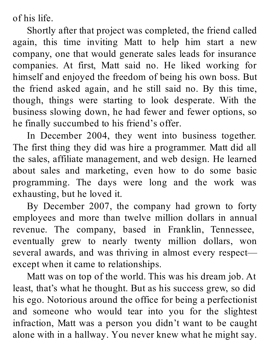of his life.

Shortly after that project was completed, the friend called again, this time inviting Matt to help him start a new company, one that would generate sales leads for insurance companies. At first, Matt said no. He liked working for himself and enjoyed the freedom of being his own boss. But the friend asked again, and he still said no. By this time, though, things were starting to look desperate. With the business slowing down, he had fewer and fewer options, so he finally succumbed to his friend's offer.

In December 2004, they went into business together. The first thing they did was hire a programmer. Matt did all the sales, affiliate management, and web design. He learned about sales and marketing, even how to do some basic programming. The days were long and the work was exhausting, but he loved it.

By December 2007, the company had grown to forty employees and more than twelve million dollars in annual revenue. The company, based in Franklin, Tennessee, eventually grew to nearly twenty million dollars, won several awards, and was thriving in almost every respect except when it came to relationships.

Matt was on top of the world. This was his dream job. At least, that's what he thought. But as his success grew, so did his ego. Notorious around the office for being a perfectionist and someone who would tear into you for the slightest infraction, Matt was a person you didn't want to be caught alone with in a hallway. You never knew what he might say.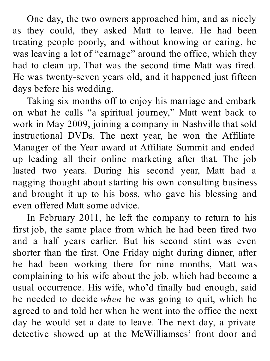One day, the two owners approached him, and as nicely as they could, they asked Matt to leave. He had been treating people poorly, and without knowing or caring, he was leaving a lot of "carnage" around the office, which they had to clean up. That was the second time Matt was fired. He was twenty-seven years old, and it happened just fifteen days before his wedding.

Taking six months off to enjoy his marriage and embark on what he calls "a spiritual journey," Matt went back to work in May 2009, joining a company in Nashville that sold instructional DVDs. The next year, he won the Affiliate Manager of the Year award at Affiliate Summit and ended up leading all their online marketing after that. The job lasted two years. During his second year, Matt had a nagging thought about starting his own consulting business and brought it up to his boss, who gave his blessing and even offered Matt some advice.

In February 2011, he left the company to return to his first job, the same place from which he had been fired two and a half years earlier. But his second stint was even shorter than the first. One Friday night during dinner, after he had been working there for nine months, Matt was complaining to his wife about the job, which had become a usual occurrence. His wife, who'd finally had enough, said he needed to decide *when* he was going to quit, which he agreed to and told her when he went into the office the next day he would set a date to leave. The next day, a private detective showed up at the McWilliamses' front door and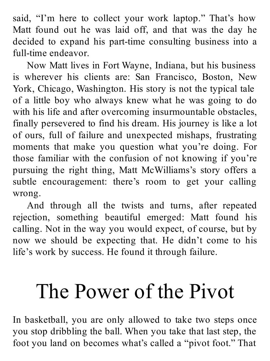said, "I'm here to collect your work laptop." That's how Matt found out he was laid off, and that was the day he decided to expand his part-time consulting business into a full-time endeavor.

Now Matt lives in Fort Wayne, Indiana, but his business is wherever his clients are: San Francisco, Boston, New York, Chicago, Washington. His story is not the typical tale of a little boy who always knew what he was going to do with his life and after overcoming insurmountable obstacles, finally persevered to find his dream. His journey is like a lot of ours, full of failure and unexpected mishaps, frustrating moments that make you question what you're doing. For those familiar with the confusion of not knowing if you're pursuing the right thing, Matt McWilliams's story offers a subtle encouragement: there's room to get your calling wrong.

And through all the twists and turns, after repeated rejection, something beautiful emerged: Matt found his calling. Not in the way you would expect, of course, but by now we should be expecting that. He didn't come to his life's work by success. He found it through failure.

## The Power of the Pivot

In basketball, you are only allowed to take two steps once you stop dribbling the ball. When you take that last step, the foot you land on becomes what's called a "pivot foot." That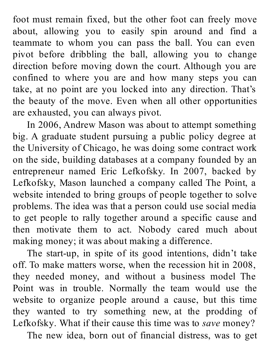foot must remain fixed, but the other foot can freely move about, allowing you to easily spin around and find a teammate to whom you can pass the ball. You can even pivot before dribbling the ball, allowing you to change direction before moving down the court. Although you are confined to where you are and how many steps you can take, at no point are you locked into any direction. That's the beauty of the move. Even when all other opportunities are exhausted, you can always pivot.

In 2006, Andrew Mason was about to attempt something big. A graduate student pursuing a public policy degree at the University of Chicago, he was doing some contract work on the side, building databases at a company founded by an entrepreneur named Eric Lefkofsky. In 2007, backed by Lefkofsky, Mason launched a company called The Point, a website intended to bring groups of people together to solve problems. The idea was that a person could use social media to get people to rally together around a specific cause and then motivate them to act. Nobody cared much about making money; it was about making a difference.

The start-up, in spite of its good intentions, didn't take off. To make matters worse, when the recession hit in 2008, they needed money, and without a business model The Point was in trouble. Normally the team would use the website to organize people around a cause, but this time they wanted to try something new, at the prodding of Lefkofsky. What if their cause this time was to *save* money?

The new idea, born out of financial distress, was to get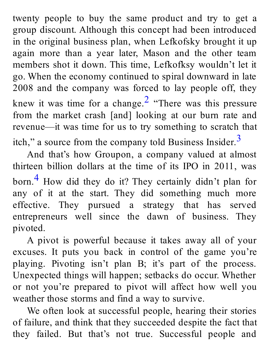twenty people to buy the same product and try to get a grou[p](#page-256-0) discount. Although this concept had been introduced in the original business plan, when Lefkofsky brought it up again more than a year later, Mason and the other team members shot it down. This time, Lefkofksy wouldn't let it go. When the economy continued to spiral downward in late 2008 and the company was forced to lay people off, they knew it was time for a change.<sup>2</sup> "There was this pressure from the market crash [and] looking at our burn rate and revenue—it was time for us to try something to scratch that itch," a source from the company told Business Insider. $3$ 

And that's how Groupon, a company valued at almost thirteen billion dollars at the time of its IPO in 2011, was born.<sup>4</sup> How did they do it? They certainly didn't plan for any of it at the start. They did something much more effective. They pursued a strategy that has served entrepreneurs well since the dawn of business. They pivoted.

A pivot is powerful because it takes away all of your excuses. It puts you back in control of the game you're playing. Pivoting isn't plan B; it's part of the process. Unexpected things will happen; setbacks do occur. Whether or not you're prepared to pivot will affect how well you weather those storms and find a way to survive.

We often look at successful people, hearing their stories of failure, and think that they succeeded despite the fact that they failed. But that's not true. Successful people and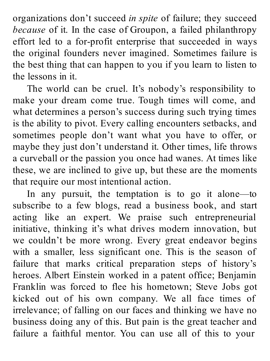organizations don't succeed *in spite* of failure; they succeed *because* of it. In the case of Groupon, a failed philanthropy effort led to a for-profit enterprise that succeeded in ways the original founders never imagined. Sometimes failure is the best thing that can happen to you if you learn to listen to the lessons in it.

The world can be cruel. It's nobody's responsibility to make your dream come true. Tough times will come, and what determines a person's success during such trying times is the ability to pivot. Every calling encounters setbacks, and sometimes people don't want what you have to offer, or maybe they just don't understand it. Other times, life throws a curveball or the passion you once had wanes. At times like these, we are inclined to give up, but these are the moments that require our most intentional action.

In any pursuit, the temptation is to go it alone—to subscribe to a few blogs, read a business book, and start acting like an expert. We praise such entrepreneurial initiative, thinking it's what drives modern innovation, but we couldn't be more wrong. Every great endeavor begins with a smaller, less significant one. This is the season of failure that marks critical preparation steps of history's heroes. Albert Einstein worked in a patent office; Benjamin Franklin was forced to flee his hometown; Steve Jobs got kicked out of his own company. We all face times of irrelevance; of falling on our faces and thinking we have no business doing any of this. But pain is the great teacher and failure a faithful mentor. You can use all of this to your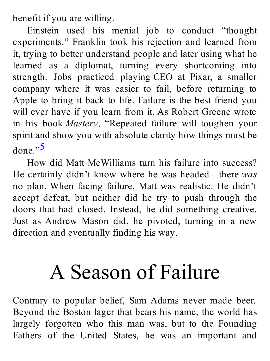benefit if you are willing.

Einstein used his menial job to conduct "thought experiments." Franklin took his rejection and learned from it, trying to better understand people and later using what he learned as a diplomat, turning every shortcoming into strength. Jobs practiced playing CEO at Pixar, a smaller company where it was easier to fail, before returning to Apple to bring it back to life. Failure is the best friend you will ever have if you learn from it. As Robert Greene wrote in his book *Mastery*, "Repeated failure will toughen your spirit and show you with absolute clarity how things must be done." 5

How did Matt McWilliams turn his failure into success? He certainly didn't know where he was headed—there *was* no plan. When facing failure, Matt was realistic. He didn't accept defeat, but neither did he try to push through the doors that had closed. Instead, he did something creative. Just as Andrew Mason did, he pivoted, turning in a new direction and eventually finding his way.

#### A Season of Failure

Contrary to popular belief, Sam Adams never made beer. Beyond the Boston lager that bears his name, the world has largely forgotten who this man was, but to the Founding Fathers of the United States, he was an important and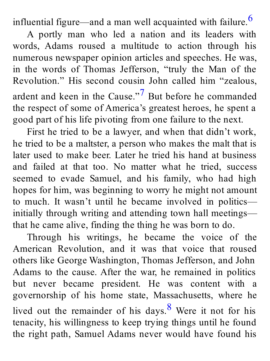influential figure—and a man well acquainted with failure.<sup>6</sup>

A portly man who led a nation and its leaders with words, Adams roused a multitude to action through his numerous newspaper opinion articles and speeches. He was, in the words of Thomas Jefferson, "truly the Man of the Revolution." His second cousin John called him "zealous, ardent and keen in the Cause."<sup>7</sup> But before he commanded the respect of some of America's greatest heroes, he spent a good part of his life pivoting from one failure to the next.

First he tried to be a lawyer, and when that didn't work, he tried to be a maltster, a person who makes the malt that is later used to make beer. Later he trie[d](#page-256-1) his hand at business and failed at that too. No matter what he tried, success seemed to evade Samuel, and his family, who had high hopes for him, was beginning to worry he might not amount to much. It wasn't until he became involved in politics initially through writing and attending town hall meetings that he came alive, finding the thing he was born to do.

Through his writings, he became the voice of the American Revolution, and it was that voice that roused others like George Washington, Thomas Jefferson, and John Adams to the cause. After the war, he remained in politics but never became president. He was content with a governorship of his home state, Massachusetts, where he lived out the remainder of his days.<sup>8</sup> Were it not for his tenacity, his willingness to keep trying things until he found the right path, Samuel Adams never would have found his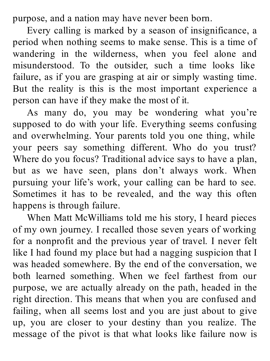purpose, and a nation may have never been born.

Every calling is marked by a season of insignificance, a period when nothing seems to make sense. This is a time of wandering in the wilderness, when you feel alone and misunderstood. To the outsider, such a time looks like failure, as if you are grasping at air or simply wasting time. But the reality is this is the most important experience a person can have if they make the most of it.

As many do, you may be wondering what you're supposed to do with your life. Everything seems confusing and overwhelming. Your parents told you one thing, while your peers say something different. Who do you trust? Where do you focus? Traditional advice says to have a plan, but as we have seen, plans don't always work. When pursuing your life's work, your calling can be hard to see. Sometimes it has to be revealed, and the way this often happens is through failure.

When Matt McWilliams told me his story, I heard pieces of my own journey. I recalled those seven years of working for a nonprofit and the previous year of travel. I never felt like I had found my place but had a nagging suspicion that I was headed somewhere. By the end of the conversation, we both learned something. When we feel farthest from our purpose, we are actually already on the path, headed in the right direction. This means that when you are confused and failing, when all seems lost and you are just about to give up, you are closer to your destiny than you realize. The message of the pivot is that what looks like failure now is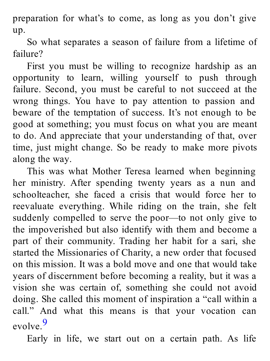preparation for what's to come, as long as you don't give up.

So what separates a season of failure from a lifetime of failure?

First you must be willing to recognize hardship as an opportunity to learn, willing yourself to push through failure. Second, you must be careful to not succeed at the wrong things. You have to pay attention to passion and beware of the temptation of success. It's not enough to be good at something; you must focus on what you are meant to do. And appreciate that your understanding of that, over time, just might change. So be ready to make more pivots along the way.

Thi[s](#page-256-2) was what Mother Teresa learned when beginning her ministry. After spending twenty years as a nun and schoolteacher, she faced a crisis that would force her to reevaluate everything. While riding on the train, she felt suddenly compelled to serve the poor—to not only give to the impoverished but also identify with them and become a part of their community. Trading her habit for a sari, she started the Missionaries of Charity, a new order that focused on this mission. It was a bold move and one that would take years of discernment before becoming a reality, but it was a vision she was certain of, something she could not avoid doing. She called this moment of inspiration a "call within a call." And what this means is that your vocation can evolve. 9

Early in life, we start out on a certain path. As life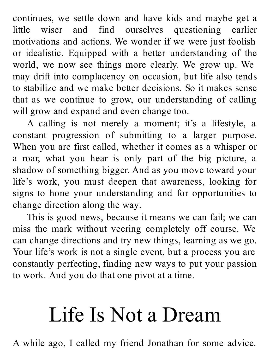continues, we settle down and have kids and maybe get a little wiser and find ourselves questioning earlier motivations and actions. We wonder if we were just foolish or idealistic. Equipped with a better understanding of the world, we now see things more clearly. We grow up. We may drift into complacency on occasion, but life also tends to stabilize and we make better decisions. So it makes sense that as we continue to grow, our understanding of calling will grow and expand and even change too.

A calling is not merely a moment; it's a lifestyle, a constant progression of submitting to a larger purpose. When you are first called, whether it comes as a whisper or a roar, what you hear is only part of the big picture, a shadow of something bigger. And as you move toward your life's work, you must deepen that awareness, looking for signs to hone your understanding and for opportunities to change direction along the way.

This is good news, because it means we can fail; we can miss the mark without veering completely off course. We can change directions and try new things, learning as we go. Your life's work is not a single event, but a process you are constantly perfecting, finding new ways to put your passion to work. And you do that one pivot at a time.

## Life Is Not a Dream

A while ago, I called my friend Jonathan for some advice.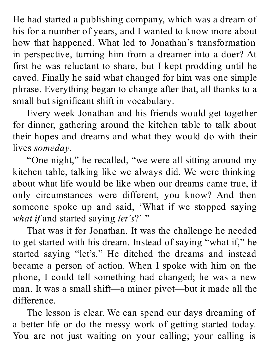He had started a publishing company, which was a dream of his for a number of years, and I wanted to know more about how that happened. What led to Jonathan's transformation in perspective, turning him from a dreamer into a doer? At first he was reluctant to share, but I kept prodding until he caved. Finally he said what changed for him was one simple phrase. Everything began to change after that, all thanks to a small but significant shift in vocabulary.

Every week Jonathan and his friends would get together for dinner, gathering around the kitchen table to talk about their hopes and dreams and what they would do with their lives *someday*.

"One night," he recalled, "we were all sitting around my kitchen table, talking like we always did. We were thinking about what life would be like when our dreams came true, if only circumstances were different, you know? And then someone spoke up and said, 'What if we stopped saying *what if* and started saying *let's*?' "

That was it for Jonathan. It was the challenge he needed to get started with his dream. Instead of saying "what if," he started saying "let's." He ditched the dreams and instead became a person of action. When I spoke with him on the phone, I could tell something had changed; he was a new man. It was a small shift—a minor pivot—but it made all the difference.

The lesson is clear. We can spend our days dreaming of a better life or do the messy work of getting started today. You are not just waiting on your calling; your calling is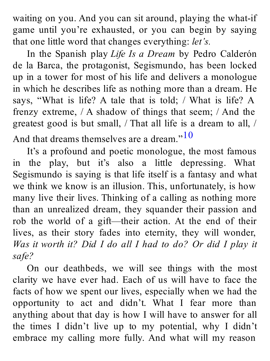waiting on you. And you can sit around, playing the what-if game until you're exhausted, or you can begin by saying that one little word that changes everything: *let's.*

In the Spanish play *Life Is a Dream* by Pedro Calderón de la Barca, the protagonist, Segismundo, has been locked up in a tower for most of his life and delivers a monologue in which he describes life as nothing more than a dream. He says, "What is life? A tale that is told; / What is life? A frenzy extreme, / A shadow of things that seem; / And the greatest good is but small, / That all life is a dream to all, / And that dreams themselves are a dream." $10$ 

It's a profound and poetic monologue, the most famous in the play, but it's also a little depressing. What Segismundo is saying is that life itself is a fantasy and what we think we know is an illusion. This, unfortunately, is how many live their lives. Thinking of a calling as nothing more than an unrealized dream, they squander their passion and rob the world of a gift—their action. At the end of their lives, as their story fades into eternity, they will wonder, *Was it worth it? Did I do all I had to do? Or did I play it safe?*

On our deathbeds, we will see things with the most clarity we have ever had. Each of us will have to face the facts of how we spent our lives, especially when we had the opportunity to act and didn't. What I fear more than anything about that day is how I will have to answer for all the times I didn't live up to my potential, why I didn't embrace my calling more fully. And what will my reason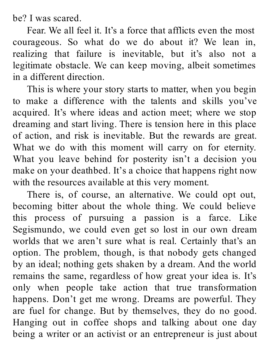be? I was scared.

Fear. We all feel it. It's a force that afflicts even the most courageous. So what do we do about it? We lean in, realizing that failure is inevitable, but it's also not a legitimate obstacle. We can keep moving, albeit sometimes in a different direction.

This is where your story starts to matter, when you begin to make a difference with the talents and skills you've acquired. It's where ideas and action meet; where we stop dreaming and start living. There is tension here in this place of action, and risk is inevitable. But the rewards are great. What we do with this moment will carry on for eternity. What you leave behind for posterity isn't a decision you make on your deathbed. It's a choice that happens right now with the resources available at this very moment.

There is, of course, an alternative. We could opt out, becoming bitter about the whole thing. We could believe this process of pursuing a passion is a farce. Like Segismundo, we could even get so lost in our own dream worlds that we aren't sure what is real. Certainly that's an option. The problem, though, is that nobody gets changed by an ideal; nothing gets shaken by a dream. And the world remains the same, regardless of how great your idea is. It's only when people take action that true transformation happens. Don't get me wrong. Dreams are powerful. They are fuel for change. But by themselves, they do no good. Hanging out in coffee shops and talking about one day being a writer or an activist or an entrepreneur is just about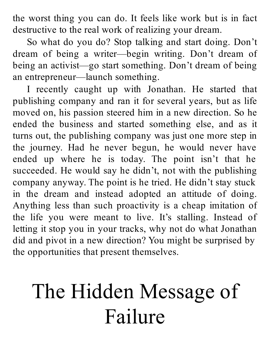the worst thing you can do. It feels like work but is in fact destructive to the real work of realizing your dream.

So what do you do? Stop talking and start doing. Don't dream of being a writer—begin writing. Don't dream of being an activist—go start something. Don't dream of being an entrepreneur—launch something.

I recently caught up with Jonathan. He started that publishing company and ran it for several years, but as life moved on, his passion steered him in a new direction. So he ended the business and started something else, and as it turns out, the publishing company was just one more step in the journey. Had he never begun, he would never have ended up where he is today. The point isn't that he succeeded. He would say he didn't, not with the publishing company anyway. The point is he tried. He didn't stay stuck in the dream and instead adopted an attitude of doing. Anything less than such proactivity is a cheap imitation of the life you were meant to live. It's stalling. Instead of letting it stop you in your tracks, why not do what Jonathan did and pivot in a new direction? You might be surprised by the opportunities that present themselves.

# The Hidden Message of Failure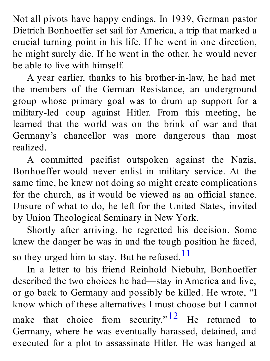Not all pivots have happy endings. In 1939, German pastor Dietrich Bonhoeffer set sail for America, a trip that marked a crucial turning point in his life. If he went in one direction, he might surely die. If he went in the other, he would never be able to live with himself.

A year earlier, thanks to his brother-in-law, he had met the members of the German Resistance, an underground group whose primary goal was to drum [u](#page-256-3)p support for a military-led coup against Hitler. From this meeting, he learned that the world was on the brink of war and that Germany's chancellor was more dangerous than most realized.

A committed pacifist outspoken against the Nazis, Bonhoeffer would never enlist in m[ilita](#page-256-4)ry service. At the same time, he knew not doing so might create complications for the church, as it would be viewed as an official stance. Unsure of what to do, he left for the United States, invited by Union Theological Seminary in New York.

Shortly after arriving, he regretted his decision. Some knew the danger he was in and the tough position he faced, so they urged him to stay. But he refused.<sup>11</sup>

In a letter to his friend Reinhold Niebuhr, Bonhoeffer described the two choices he had—stay in America and live, or go back to Germany and possibly be killed. He wrote, "I know which of these alternatives I must choose but I cannot make that choice from security."<sup>12</sup> He returned to Germany, where he was eventually harassed, detained, and executed for a plot to assassinate Hitler. He was hanged at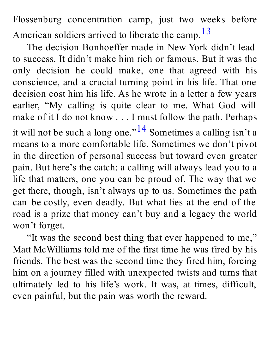Flossenburg concentration camp, just two weeks before American soldiers arrived to liberate the camp.  $13$ 

The decision Bonhoeffer made in New York didn't lead to success. It didn't make him rich or famous. But it was the only decision he could make, one that agreed with his conscience, and a crucial turning point in his life. That one decision cost him his life. As he wrote in a letter a few years earlier, "My calling is quite clear to me. What God will make of it I do not know . . . I must follow the path. Perhaps it will not be such a long one."<sup>14</sup> Sometimes a calling isn't a means to a more comfortable life. Sometimes we don't pivot in the direction of personal success but toward even greater pain. But here's the catch: a calling will always lead you to a life that matters, one you can be proud of. The way that we get there, though, isn't always up to us. Sometimes the path can be costly, even deadly. But what lies at the end of the road is a prize that money can't buy and a legacy the world won't forget.

"It was the second best thing that ever happened to me," Matt McWilliams told me of the first time he was fired by his friends. The best was the second time they fired him, forcing him on a journey filled with unexpected twists and turns that ultimately led to his life's work. It was, at times, difficult, even painful, but the pain was worth the reward.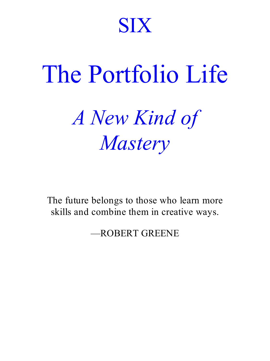### **SIX**

# The Portfolio Life

# *A New Kind of Mastery*

The future belongs to those who learn more skills and combine them in creative ways.

—ROBERT GREENE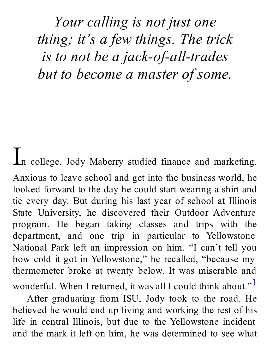*Your calling is not just one thing; it' s a few things. The trick is to not be a jack-of-all-trades but to become a master of some.*

I<sup>n</sup> college, Jody Maberry studied finance and marketing. Anxious to leave school and get into the business world, he looked forward to the day he could start wearing a shirt and tie every day. But during his last year of school at Illinois State University, he discovered their Outdoor Adventure program. He began taking classes and trips with the department, and one trip in particular to Yellowstone National Park left an impression on him. "I can't tell you how cold it got in Yellowstone," he recalled, "because my thermometer broke at twenty below. It was miserable and wonderful. When I returned, it was all I could think about."<sup>1</sup>

After graduating from ISU, Jody took to the road. He believed he would end up living and working the rest of his life in central Illinois, but due to the Yellowstone incident and the mark it left on him, he was determined to see what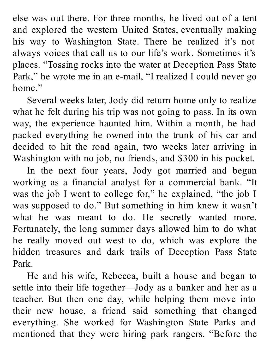else was out there. For three months, he lived out of a tent and explored the western United States, eventually making his way to Washington State. There he realized it's not always voices that call us to our life's work. Sometimes it's places. "Tossing rocks into the water at Deception Pass State Park," he wrote me in an e-mail, "I realized I could never go home."

Several weeks later, Jody did return home only to realize what he felt during his trip was not going to pass. In its own way, the experience haunted him. Within a month, he had packed everything he owned into the trunk of his car and decided to hit the road again, two weeks later arriving in Washington with no job, no friends, and \$300 in his pocket.

In the next four years, Jody got married and began working as a financial analyst for a commercial bank. "It was the job I went to college for," he explained, "the job I was supposed to do." But something in him knew it wasn't what he was meant to do. He secretly wanted more. Fortunately, the long summer days allowed him to do what he really moved out west to do, which was explore the hidden treasures and dark trails of Deception Pass State Park.

He and his wife, Rebecca, built a house and began to settle into their life together—Jody as a banker and her as a teacher. But then one day, while helping them move into their new house, a friend said something that changed everything. She worked for Washington State Parks and mentioned that they were hiring park rangers. "Before the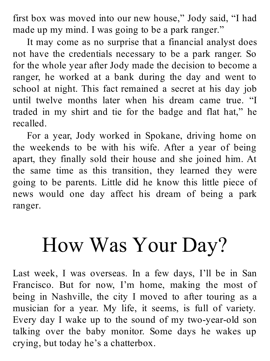first box was moved into our new house," Jody said, "I had made up my mind. I was going to be a park ranger."

It may come as no surprise that a financial analyst does not have the credentials necessary to be a park ranger. So for the whole year after Jody made the decision to become a ranger, he worked at a bank during the day and went to school at night. This fact remained a secret at his day job until twelve months later when his dream came true. "I traded in my shirt and tie for the badge and flat hat," he recalled.

For a year, Jody worked in Spokane, driving home on the weekends to be with his wife. After a year of being apart, they finally sold their house and she joined him. At the same time as this transition, they learned they were going to be parents. Little did he know this little piece of news would one day affect his dream of being a park ranger.

### How Was Your Day?

Last week, I was overseas. In a few days, I'll be in San Francisco. But for now, I'm home, making the most of being in Nashville, the city I moved to after touring as a musician for a year. My life, it seems, is full of variety. Every day I wake up to the sound of my two-year-old son talking over the baby monitor. Some days he wakes up crying, but today he's a chatterbox.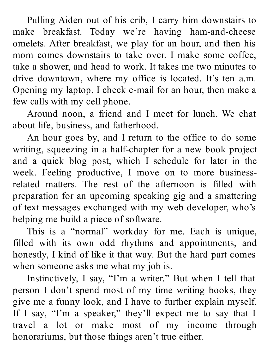Pulling Aiden out of his crib, I carry him downstairs to make breakfast. Today we're having ham-and-cheese omelets. After breakfast, we play for an hour, and then his mom comes downstairs to take over. I make some coffee, take a shower, and head to work. It takes me two minutes to drive downtown, where my office is located. It's ten a.m. Opening my laptop, I check e-mail for an hour, then make a few calls with my cell phone.

Around noon, a friend and I meet for lunch. We chat about life, business, and fatherhood.

An hour goes by, and I return to the office to do some writing, squeezing in a half-chapter for a new book project and a quick blog post, which I schedule for later in the week. Feeling productive, I move on to more businessrelated matters. The rest of the afternoon is filled with preparation for an upcoming speaking gig and a smattering of text messages exchanged with my web developer, who's helping me build a piece of software.

This is a "normal" workday for me. Each is unique, filled with its own odd rhythms and appointments, and honestly, I kind of like it that way. But the hard part comes when someone asks me what my job is.

Instinctively, I say, "I'm a writer." But when I tell that person I don't spend most of my time writing books, they give me a funny look, and I have to further explain myself. If I say, "I'm a speaker," they'll expect me to say that I travel a lot or make most of my income through honorariums, but those things aren't true either.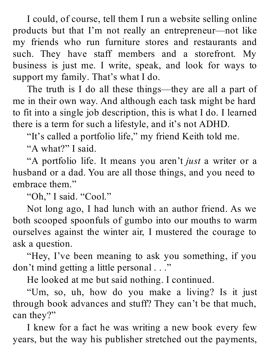I could, of course, tell them I run a website selling online products but that I'm not really an entrepreneur—not like my friends who run furniture stores and restaurants and such. They have staff members and a storefront. My business is just me. I write, speak, and look for ways to support my family. That's what I do.

The truth is I do all these things—they are all a part of me in their own way. And although each task might be hard to fit into a single job description, this is what I do. I learned there is a term for such a lifestyle, and it's not ADHD.

"It's called a portfolio life," my friend Keith told me.

"A what?" I said.

"A portfolio life. It means you aren't *just* a writer or a husband or a dad. You are all those things, and you need to embrace them."

"Oh," I said. "Cool."

Not long ago, I had lunch with an author friend. As we both scooped spoonfuls of gumbo into our mouths to warm ourselves against the winter air, I mustered the courage to ask a question.

"Hey, I've been meaning to ask you something, if you don't mind getting a little personal . . ."

He looked at me but said nothing. I continued.

"Um, so, uh, how do you make a living? Is it just through book advances and stuff? They can't be that much, can they?"

I knew for a fact he was writing a new book every few years, but the way his publisher stretched out the payments,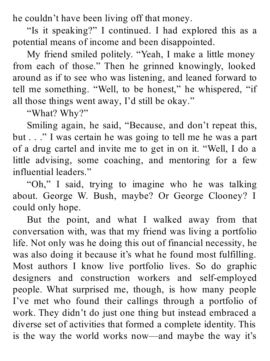he couldn't have been living off that money.

"Is it speaking?" I continued. I had explored this as a potential means of income and been disappointed.

My friend smiled politely. "Yeah, I make a little money from each of those." Then he grinned knowingly, looked around as if to see who was listening, and leaned forward to tell me something. "Well, to be honest," he whispered, "if all those things went away, I'd still be okay."

"What? Why?"

Smiling again, he said, "Because, and don't repeat this, but . . ." I was certain he was going to tell me he was a part of a drug cartel and invite me to get in on it. "Well, I do a little advising, some coaching, and mentoring for a few influential leaders."

"Oh," I said, trying to imagine who he was talking about. George W. Bush, maybe? Or George Clooney? I could only hope.

But the point, and what I walked away from that conversation with, was that my friend was living a portfolio life. Not only was he doing this out of financial necessity, he was also doing it because it's what he found most fulfilling. Most authors I know live portfolio lives. So do graphic designers and construction workers and self-employed people. What surprised me, though, is how many people I've met who found their callings through a portfolio of work. They didn't do just one thing but instead embraced a diverse set of activities that formed a complete identity. This is the way the world works now—and maybe the way it's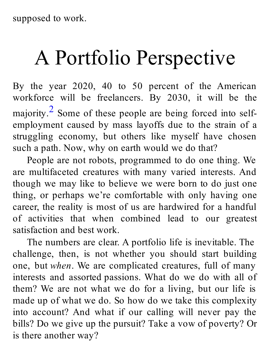supposed to work.

## A Portfolio Perspective

By the year 2020, 40 to 50 percent of the American workforce will be freelancers. By 2030, it will be the majority.<sup>2</sup> Some of these people are being forced into selfemployment caused by mass layoffs due to the strain of a struggling economy, but others like myself have chosen such a path. Now, why on earth would we do that?

People are not robots, programmed to do one thing. We are multifaceted creatures with many varied interests. And though we may like to believe we were born to do just one thing, or perhaps we're comfortable with only having one career, the reality is most of us are hardwired for a handful of activities that when combined lead to our greatest satisfaction and best work.

The numbers are clear. A portfolio life is inevitable. The challenge, then, is not whether you should start building one, but *when*. We are complicated creatures, full of many interests and assorted passions. What do we do with all of them? We are not what we do for a living, but our life is made up of what we do. So how do we take this complexity into account? And what if our calling will never pay the bills? Do we give up the pursuit? Take a vow of poverty? Or is there another way?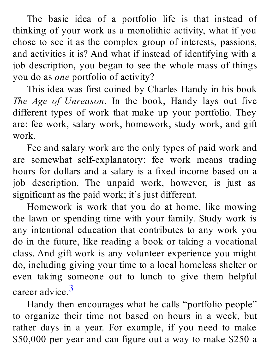The basic idea of a portfolio life is that instead of thinking of your work as a monolithic activity, what if you chose to see it as the complex group of interests, passions, and activities it is? And what if instead of identifying with a job description, you began to see the whole mass of things you do as *one* portfolio of activity?

This idea was first coined by Charles Handy in his book *The Age of Unreason*. In the book, Handy lays out five different types of work that make up your portfolio. They are: fee work, salary work, homework, study work, and gift work.

Fee and salary work are the only types of paid work and are somewhat self-explanatory: fee work means trading hours for dollars and a salary is a fixed income based on a job description. The unpaid work, however, is just as significant as the paid work; it's just different.

Homework is work that you do at home, like mowing the lawn or spending time with your family. Study work is any intentional education that contributes to any work you do in the future, like reading a book or taking a vocational class. And gift work is any volunteer experience you might do, including giving your time to a local homeless shelter or even taking someone out to lunch to give them helpful career advice.<sup>3</sup>

Handy then encourages what he calls "portfolio people" to organize their time not based on hours in a week, but rather days in a year. For example, if you need to make \$50,000 per year and can figure out a way to make \$250 a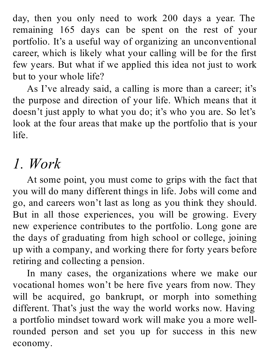day, then you only need to work 200 days a year. The remaining 165 days can be spent on the rest of your portfolio. It's a useful way of organizing an unconventional career, which is likely what your calling will be for the first few years. But what if we applied this idea not just to work but to your whole life?

As I've already said, a calling is more than a career; it's the purpose and direction of your life. Which means that it doesn't just apply to what you do; it's who you are. So let's look at the four areas that make up the portfolio that is your life.

### *1. Work*

At some point, you must come to grips with the fact that you will do many different things in life. Jobs will come and go, and careers won't last as long as you think they should. But in all those experiences, you will be growing. Every new experience contributes to the portfolio. Long gone are the days of graduating from high school or college, joining up with a company, and working there for forty years before retiring and collecting a pension.

In many cases, the organizations where we make our vocational homes won't be here five years from now. They will be acquired, go bankrupt, or morph into something different. That's just the way the world works now. Having a portfolio mindset toward work will make you a more wellrounded person and set you up for success in this new economy.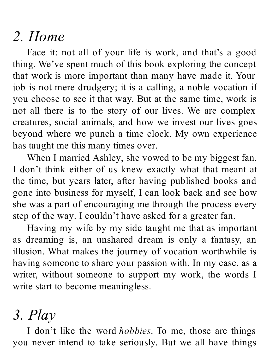### *2. Home*

Face it: not all of your life is work, and that's a good thing. We've spent much of this book exploring the concept that work is more important than many have made it. Your job is not mere drudgery; it is a calling, a noble vocation if you choose to see it that way. But at the same time, work is not all there is to the story of our lives. We are complex creatures, social animals, and how we invest our lives goes beyond where we punch a time clock. My own experience has taught me this many times over.

When I married Ashley, she vowed to be my biggest fan. I don't think either of us knew exactly what that meant at the time, but years later, after having published books and gone into business for myself, I can look back and see how she was a part of encouraging me through the process every step of the way. I couldn't have asked for a greater fan.

Having my wife by my side taught me that as important as dreaming is, an unshared dream is only a fantasy, an illusion. What makes the journey of vocation worthwhile is having someone to share your passion with. In my case, as a writer, without someone to support my work, the words I write start to become meaningless.

### *3. Play*

I don't like the word *hobbies*. To me, those are things you never intend to take seriously. But we all have things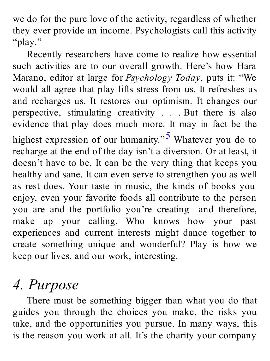we do for the pure love of the activity, regardless of whether they ever provide an income. Psychologists call this activity "play."

Recently researchers have come to realize how essential such activities are to our overall growth. Here's how Hara Marano, editor at large for *Psychology Today*, puts it: "We would all agree that play lifts stress from us. It refreshes us and recharges us. It restores our optimism. It changes our perspective, stimulating creativity . . . But there is also evidence that play does much more. It may in fact be the highest expression of our humanity."<sup>5</sup> Whatever you do to recharge at the end of the day isn't a diversion. Or at least, it doesn't have to be. It can be the very thing that keeps you healthy and sane. It can even serve to strengthen you as well as rest does. Your taste in music, the kinds of books you enjoy, even your favorite foods all contribute to the person you are and the portfolio you're creating—and therefore, make up your calling. Who knows how your past experiences and current interests might dance together to create something unique and wonderful? Play is how we keep our lives, and our work, interesting.

#### *4. Purpose*

There must be something bigger than what you do that guides you through the choices you make, the risks you take, and the opportunities you pursue. In many ways, this is the reason you work at all. It's the charity your company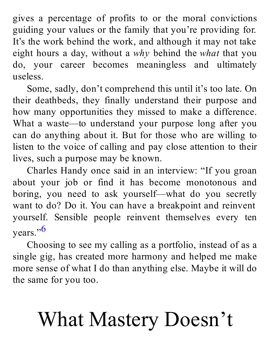gives a percentage of profits to or the moral convictions guiding your values or the family that you're providing for. It's the work behind the work, and although it may not take eight hours a day, without a *why* behind the *what* that you do, your career becomes meaningless and ultimately useless[.](#page-257-0)

Some, sadly, don't comprehend this until it's too late. On their deathbeds, they finally understand their purpose and how many opportunities they missed to make a difference. What a waste—to understand your purpose long after you can do anything about it. But for those who are willing to listen to the voice of calling and pay close attention to their lives, such a purpose may be known.

Charles Handy once said in an interview: "If you groan about your job or find it has become monotonous and boring, you need to ask yourself—what do you secretly want to do? Do it. You can have a breakpoint and reinvent yourself. Sensible people reinvent themselves every ten years."<sup>6</sup>

Choosing to see my calling as a portfolio, instead of as a single gig, has created more harmony and helped me make more sense of what I do than anything else. Maybe it will do the same for you too.

# What Mastery Doesn't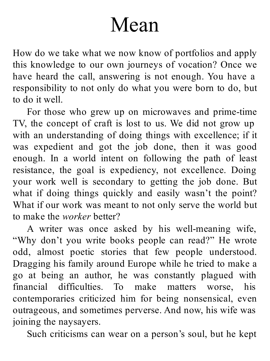## Mean

How do we take what we now know of portfolios and apply this knowledge to our own journeys of vocation? Once we have heard the call, answering is not enough. You have a responsibility to not only do what you were born to do, but to do it well.

For those who grew up on microwaves and prime-time TV, the concept of craft is lost to us. We did not grow up with an understanding of doing things with excellence; if it was expedient and got the job done, then it was good enough. In a world intent on following the path of least resistance, the goal is expediency, not excellence. Doing your work well is secondary to getting the job done. But what if doing things quickly and easily wasn't the point? What if our work was meant to not only serve the world but to make the *worker* better?

A writer was once asked by his well-meaning wife, "Why don't you write books people can read?" He wrote odd, almost poetic stories that few people understood. Dragging his family around Europe while he tried to make a go at being an author, he was constantly plagued with financial difficulties. To make matters worse, his contemporaries criticized him for being nonsensical, even outrageous, and sometimes perverse. And now, his wife was joining the naysayers.

Such criticisms can wear on a person's soul, but he kept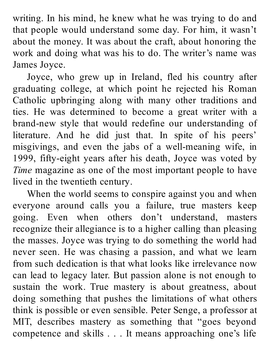writing. In his mind, he knew what he was trying to do and that people would understand some day. For him, it wasn't about the money. It was about the craft, about honoring the work and doing what was his to do. The writer's name was James Joyce.

Joyce, who grew up in Ireland, fled his country after graduating college, at which point he rejected his Roman Catholic upbringing along with many other traditions and ties. He was determined to become a great writer with a brand-new style that would redefine our understanding of literature. And he did just that. In spite of his peers' misgivings, and even the jabs of a well-meaning wife, in 1999, fifty-eight years after his death, Joyce was voted by *Time* magazine as one of the most important people to have lived in the twentieth century.

When the world seems to conspire against you and when everyone around calls you a failure, true masters keep going. Even when others don't understand, masters recognize their allegiance is to a higher calling than pleasing the masses. Joyce was trying to do something the world had never seen. He was chasing a passion, and what we learn from such dedication is that what looks like irrelevance now can lead to legacy later. But passion alone is not enough to sustain the work. True mastery is about greatness, about doing something that pushes the limitations of what others think is possible or even sensible. Peter Senge, a professor at MIT, describes mastery as something that "goes beyond competence and skills . . . It means approaching one's life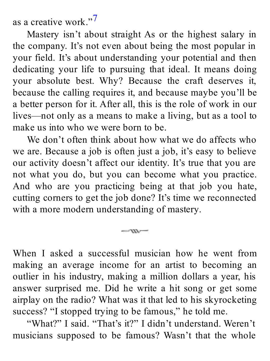as a creative work."<sup>7</sup>

Mastery isn't about straight As or the highest salary in the company. It's not even about being the most popular in your field. It's about understanding your potential and then dedicating your life to pursuing that ideal. It means doing your absolute best. Why? Because the craft deserves it, because the calling requires it, and because maybe you'll be a better person for it. After all, this is the role of work in our lives—not only as a means to make a living, but as a tool to make us into who we were born to be.

We don't often think about how what we do affects who we are. Because a job is often just a job, it's easy to believe our activity doesn't affect our identity. It's true that you are not what you do, but you can become what you practice. And who are you practicing being at that job you hate, cutting corners to get the job done? It's time we reconnected with a more modern understanding of mastery.

 $-20$ 

When I asked a successful musician how he went from making an average income for an artist to becoming an outlier in his industry, making a million dollars a year, his answer surprised me. Did he write a hit song or get some airplay on the radio? What was it that led to his skyrocketing success? "I stopped trying to be famous," he told me.

"What?" I said. "That's it?" I didn't understand. Weren't musicians supposed to be famous? Wasn't that the whole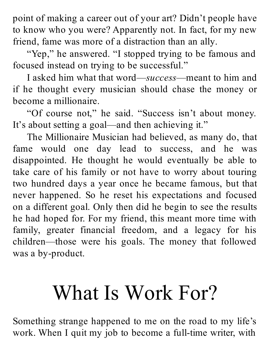point of making a career out of your art? Didn't people have to know who you were? Apparently not. In fact, for my new friend, fame was more of a distraction than an ally.

"Yep," he answered. "I stopped trying to be famous and focused instead on trying to be successful."

I asked him what that word—*success*—meant to him and if he thought every musician should chase the money or become a millionaire.

"Of course not," he said. "Success isn't about money. It's about setting a goal—and then achieving it."

The Millionaire Musician had believed, as many do, that fame would one day lead to success, and he was disappointed. He thought he would eventually be able to take care of his family or not have to worry about touring two hundred days a year once he became famous, but that never happened. So he reset his expectations and focused on a different goal. Only then did he begin to see the results he had hoped for. For my friend, this meant more time with family, greater financial freedom, and a legacy for his children—those were his goals. The money that followed was a by-product.

## What Is Work For?

Something strange happened to me on the road to my life's work. When I quit my job to become a full-time writer, with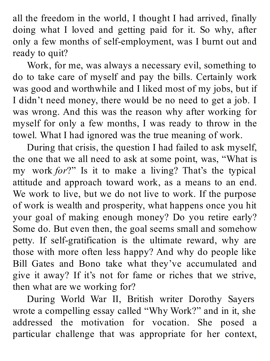all the freedom in the world, I thought I had arrived, finally doing what I loved and getting paid for it. So why, after only a few months of self-employment, was I burnt out and ready to quit?

Work, for me, was always a necessary evil, something to do to take care of myself and pay the bills. Certainly work was good and worthwhile and I liked most of my jobs, but if I didn't need money, there would be no need to get a job. I was wrong. And this was the reason why after working for myself for only a few months, I was ready to throw in the towel. What I had ignored was the true meaning of work.

During that crisis, the question I had failed to ask myself, the one that we all need to ask at some point, was, "What is my work *for*?" Is it to make a living? That's the typical attitude and approach toward work, as a means to an end. We work to live, but we do not live to work. If the purpose of work is wealth and prosperity, what happens once you hit your goal of making enough money? Do you retire early? Some do. But even then, the goal seems small and somehow petty. If self-gratification is the ultimate reward, why are those with more often less happy? And why do people like Bill Gates and Bono take what they've accumulated and give it away? If it's not for fame or riches that we strive, then what are we working for?

During World War II, British writer Dorothy Sayers wrote a compelling essay called "Why Work?" and in it, she addressed the motivation for vocation. She posed a particular challenge that was appropriate for her context,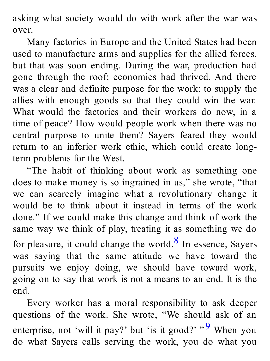asking what society would do with work after the war was over.

Many factories in Europe and the United States had been used to manufacture arms and supplies for the allied forces, but that was soon ending. During the war, production had gone through the roof; economies had thrived. And there was a clear and definite purpose for the [w](#page-258-0)ork: to supply the allies with enough goods so that they could win the war. What would the factories and their workers do now, in a time of peace? How would people work when there was no central purpose to unite them? Sayers feared they would return to an inferior work ethic, which could create longterm problems for the West.

"The habit of thinking about work as so[m](#page-258-1)ething one does to make money is so ingrained in us," she wrote, "that we can scarcely imagine what a revolutionary change it would be to think about it instead in terms of the work done." If we could make this change and think of work the same way we think of play, treating it as something we do for pleasure, it could change the world. $\frac{8}{5}$  In essence, Sayers was saying that the same attitude we have toward the pursuits we enjoy doing, we should have toward work, going on to say that work is not a means to an end. It is the end.

Every worker has a moral responsibility to ask deeper questions of the work. She wrote, "We should ask of an enterprise, not 'will it pay?' but 'is it good?' "<sup>9</sup> When you do what Sayers calls serving the work, you do what you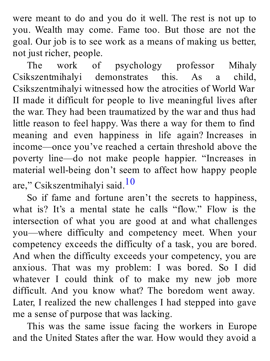were meant to do and you do it well. The rest is not up to you. Wealth may come. F[am](#page-258-2)e too. But those are not the goal. Our job is to see work as a means of making us better, not just richer, people.

The work of psychology professor Mihaly Csikszentmihalyi demonstrates this. As a child, Csikszentmihalyi witnessed how the atrocities of World War II made it difficult for people to live meaningful lives after the war. They had been traumatized by the war and thus had little reason to feel happy. Was there a way for them to find meaning and even happiness in life again? Increases in income—once you've reached a certain threshold above the poverty line—do not make people happier. "Increases in material well-being don't seem to affect how happy people are," Csikszentmihalyi said.<sup>10</sup>

So if fame and fortune aren't the secrets to happiness, what is? It's a mental state he calls "flow." Flow is the intersection of what you are good at and what challenges you—where difficulty and competency meet. When your competency exceeds the difficulty of a task, you are bored. And when the difficulty exceeds your competency, you are anxious. That was my problem: I was bored. So I did whatever I could think of to make my new job more difficult. And you know what? The boredom went away. Later, I realized the new challenges I had stepped into gave me a sense of purpose that was lacking.

This was the same issue facing the workers in Europe and the United States after the war. How would they avoid a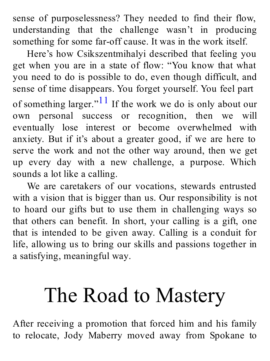sense of purposelessness? They needed to find their flow, understanding that the challenge wasn't in producing something for some far-off cause. It was in the work itself.

Here's how Csikszentmihalyi described that feeling you get when you are in a state of flow: "You know that what you need to do is possible to do, even though difficult, and sense of time disappears. You forget yourself. You feel part of something larger."<sup>11</sup> If the work we do is only about our own personal success or recognition, then we will eventually lose interest or become overwhelmed with anxiety. But if it's about a greater good, if we are here to serve the work and not the other way around, then we get up every day with a new challenge, a purpose. Which sounds a lot like a calling.

We are caretakers of our vocations, stewards entrusted with a vision that is bigger than us. Our responsibility is not to hoard our gifts but to use them in challenging ways so that others can benefit. In short, your calling is a gift, one that is intended to be given away. Calling is a conduit for life, allowing us to bring our skills and passions together in a satisfying, meaningful way.

## The Road to Mastery

After receiving a promotion that forced him and his family to relocate, Jody Maberry moved away from Spokane to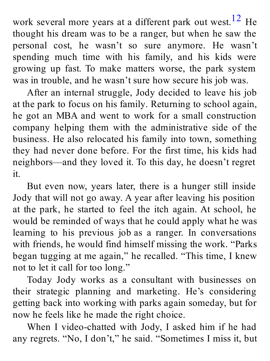work several more years at a different park out west.<sup>12</sup> He thought his dream was to be a ranger, but when he saw the personal cost, he wasn't so sure anymore. He wasn't spending much time with his family, and his kids were growing up fast. To make matters worse, the park system was in trouble, and he wasn't sure how secure his job was.

After an internal struggle, Jody decided to leave his job at the park to focus on his family. Returning to school again, he got an MBA and went to work for a small construction company helping them with the administrative side of the business. He also relocated his family into town, something they had never done before. For the first time, his kids had neighbors—and they loved it. To this day, he doesn't regret it.

But even now, years later, there is a hunger still inside Jody that will not go away. A year after leaving his position at the park, he started to feel the itch again. At school, he would be reminded of ways that he could apply what he was learning to his previous job as a ranger. In conversations with friends, he would find himself missing the work. "Parks began tugging at me again," he recalled. "This time, I knew not to let it call for too long."

Today Jody works as a consultant with businesses on their strategic planning and marketing. He's considering getting back into working with parks again someday, but for now he feels like he made the right choice.

When I video-chatted with Jody, I asked him if he had any regrets. "No, I don't," he said. "Sometimes I miss it, but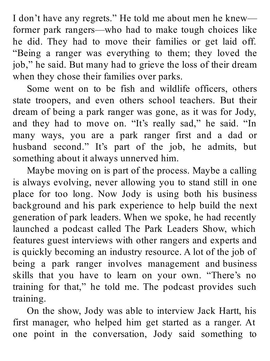I don't have any regrets." He told me about men he knew former park rangers—who had to make tough choices like he did. They had to move their families or get laid off. "Being a ranger was everything to them; they loved the job," he said. But many had to grieve the loss of their dream when they chose their families over parks.

Some went on to be fish and wildlife officers, others state troopers, and even others school teachers. But their dream of being a park ranger was gone, as it was for Jody, and they had to move on. "It's really sad," he said. "In many ways, you are a park ranger first and a dad or husband second." It's part of the job, he admits, but something about it always unnerved him.

Maybe moving on is part of the process. Maybe a calling is always evolving, never allowing you to stand still in one place for too long. Now Jody is using both his business background and his park experience to help build the next generation of park leaders. When we spoke, he had recently launched a podcast called The Park Leaders Show, which features guest interviews with other rangers and experts and is quickly becoming an industry resource. A lot of the job of being a park ranger involves management and business skills that you have to learn on your own. "There's no training for that," he told me. The podcast provides such training.

On the show, Jody was able to interview Jack Hartt, his first manager, who helped him get started as a ranger. At one point in the conversation, Jody said something to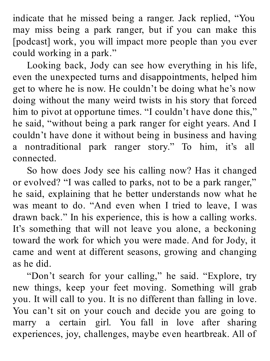indicate that he missed being a ranger. Jack replied, "You may miss being a park ranger, but if you can make this [podcast] work, you will impact more people than you ever could working in a park."

Looking back, Jody can see how everything in his life, even the unexpected turns and disappointments, helped him get to where he is now. He couldn't be doing what he's now doing without the many weird twists in his story that forced him to pivot at opportune times. "I couldn't have done this," he said, "without being a park ranger for eight years. And I couldn't have done it without being in business and having a nontraditional park ranger story." To him, it's all connected.

So how does Jody see his calling now? Has it changed or evolved? "I was called to parks, not to be a park ranger," he said, explaining that he better understands now what he was meant to do. "And even when I tried to leave, I was drawn back." In his experience, this is how a calling works. It's something that will not leave you alone, a beckoning toward the work for which you were made. And for Jody, it came and went at different seasons, growing and changing as he did.

"Don't search for your calling," he said. "Explore, try new things, keep your feet moving. Something will grab you. It will call to you. It is no different than falling in love. You can't sit on your couch and decide you are going to marry a certain girl. You fall in love after sharing experiences, joy, challenges, maybe even heartbreak. All of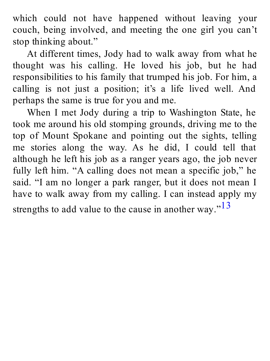which could not have happened without leaving your couch, being involved, and meeting the one girl you can't stop thinking about."

At different times, Jody had to walk away from [w](#page-258-3)hat he thought was his calling. He loved his job, but he had responsibilities to his family that trumped his job. For him, a calling is not just a position; it's a life lived well. And perhaps the same is true for you and me.

When I met Jody during a trip to Washington State, he took me around his old stomping grounds, driving me to the top of Mount Spokane and pointing out the sights, telling me stories along the way. As he did, I could tell that although he left his job as a ranger years ago, the job never fully left him. "A calling does not mean a specific job," he said. "I am no longer a park ranger, but it does not mean I have to walk away from my calling. I can instead apply my strengths to add value to the cause in another way." $13$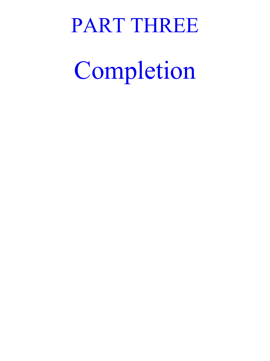PART THREE Completion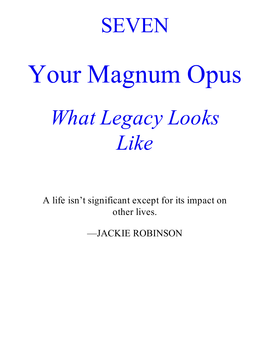### SEVEN

# Your Magnum Opus

## *What Legacy Looks Like*

A life isn't significant except for its impact on other lives.

—JACKIE ROBINSON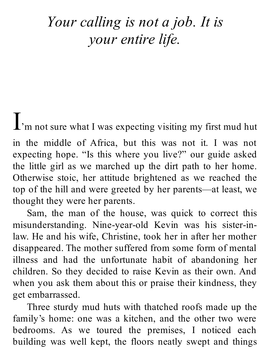### *Your calling is not a job. It is your entire life.*

I'm not sure what <sup>I</sup> was expecting visiting my first mud hut in the middle of Africa, but this was not it. I was not expecting hope. "Is this where you live?" our guide asked the little girl as we marched up the dirt path to her home. Otherwise stoic, her attitude brightened as we reached the top of the hill and were greeted by her parents—at least, we thought they were her parents.

Sam, the man of the house, was quick to correct this misunderstanding. Nine-year-old Kevin was his sister-inlaw. He and his wife, Christine, took her in after her mother disappeared. The mother suffered from some form of mental illness and had the unfortunate habit of abandoning her children. So they decided to raise Kevin as their own. And when you ask them about this or praise their kindness, they get embarrassed.

Three sturdy mud huts with thatched roofs made up the family's home: one was a kitchen, and the other two were bedrooms. As we toured the premises, I noticed each building was well kept, the floors neatly swept and things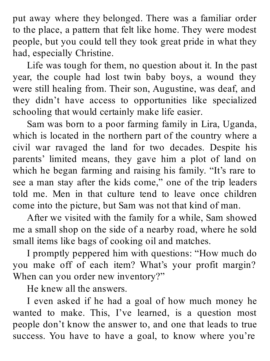put away where they belonged. There was a familiar order to the place, a pattern that felt like home. They were modest people, but you could tell they took great pride in what they had, especially Christine.

Life was tough for them, no question about it. In the past year, the couple had lost twin baby boys, a wound they were still healing from. Their son, Augustine, was deaf, and they didn't have access to opportunities like specialized schooling that would certainly make life easier.

Sam was born to a poor farming family in Lira, Uganda, which is located in the northern part of the country where a civil war ravaged the land for two decades. Despite his parents' limited means, they gave him a plot of land on which he began farming and raising his family. "It's rare to see a man stay after the kids come," one of the trip leaders told me. Men in that culture tend to leave once children come into the picture, but Sam was not that kind of man.

After we visited with the family for a while, Sam showed me a small shop on the side of a nearby road, where he sold small items like bags of cooking oil and matches.

I promptly peppered him with questions: "How much do you make off of each item? What's your profit margin? When can you order new inventory?"

He knew all the answers.

I even asked if he had a goal of how much money he wanted to make. This, I've learned, is a question most people don't know the answer to, and one that leads to true success. You have to have a goal, to know where you're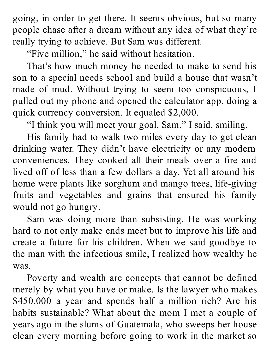going, in order to get there. It seems obvious, but so many people chase after a dream without any idea of what they're really trying to achieve. But Sam was different.

"Five million," he said without hesitation.

That's how much money he needed to make to send his son to a special needs school and build a house that wasn't made of mud. Without trying to seem too conspicuous, I pulled out my phone and opened the calculator app, doing a quick currency conversion. It equaled \$2,000.

"I think you will meet your goal, Sam." I said, smiling.

His family had to walk two miles every day to get clean drinking water. They didn't have electricity or any modern conveniences. They cooked all their meals over a fire and lived off of less than a few dollars a day. Yet all around his home were plants like sorghum and mango trees, life-giving fruits and vegetables and grains that ensured his family would not go hungry.

Sam was doing more than subsisting. He was working hard to not only make ends meet but to improve his life and create a future for his children. When we said goodbye to the man with the infectious smile, I realized how wealthy he was.

Poverty and wealth are concepts that cannot be defined merely by what you have or make. Is the lawyer who makes \$450,000 a year and spends half a million rich? Are his habits sustainable? What about the mom I met a couple of years ago in the slums of Guatemala, who sweeps her house clean every morning before going to work in the market so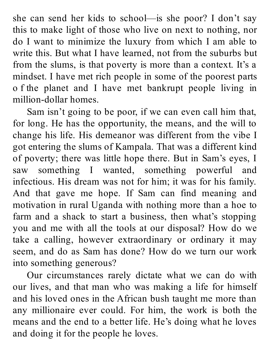she can send her kids to school—is she poor? I don't say this to make light of those who live on next to nothing, nor do I want to minimize the luxury from which I am able to write this. But what I have learned, not from the suburbs but from the slums, is that poverty is more than a context. It's a mindset. I have met rich people in some of the poorest parts o f the planet and I have met bankrupt people living in million-dollar homes.

Sam isn't going to be poor, if we can even call him that, for long. He has the opportunity, the means, and the will to change his life. His demeanor was different from the vibe I got entering the slums of Kampala. That was a different kind of poverty; there was little hope there. But in Sam's eyes, I saw something I wanted, something powerful and infectious. His dream was not for him; it was for his family. And that gave me hope. If Sam can find meaning and motivation in rural Uganda with nothing more than a hoe to farm and a shack to start a business, then what's stopping you and me with all the tools at our disposal? How do we take a calling, however extraordinary or ordinary it may seem, and do as Sam has done? How do we turn our work into something generous?

Our circumstances rarely dictate what we can do with our lives, and that man who was making a life for himself and his loved ones in the African bush taught me more than any millionaire ever could. For him, the work is both the means and the end to a better life. He's doing what he loves and doing it for the people he loves.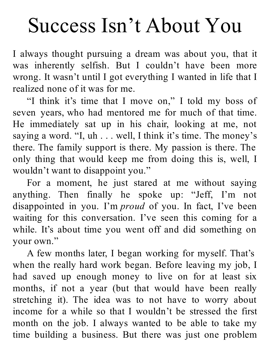## Success Isn't About You

I always thought pursuing a dream was about you, that it was inherently selfish. But I couldn't have been more wrong. It wasn't until I got everything I wanted in life that I realized none of it was for me.

"I think it's time that I move on," I told my boss of seven years, who had mentored me for much of that time. He immediately sat up in his chair, looking at me, not saying a word. "I, uh . . . well, I think it's time. The money's there. The family support is there. My passion is there. The only thing that would keep me from doing this is, well, I wouldn't want to disappoint you."

For a moment, he just stared at me without saying anything. Then finally he spoke up: "Jeff, I'm not disappointed in you. I'm *proud* of you. In fact, I've been waiting for this conversation. I've seen this coming for a while. It's about time you went off and did something on your own."

A few months later, I began working for myself. That's when the really hard work began. Before leaving my job, I had saved up enough money to live on for at least six months, if not a year (but that would have been really stretching it). The idea was to not have to worry about income for a while so that I wouldn't be stressed the first month on the job. I always wanted to be able to take my time building a business. But there was just one problem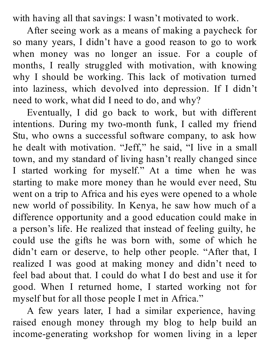with having all that savings: I wasn't motivated to work.

After seeing work as a means of making a paycheck for so many years, I didn't have a good reason to go to work when money was no longer an issue. For a couple of months, I really struggled with motivation, with knowing why I should be working. This lack of motivation turned into laziness, which devolved into depression. If I didn't need to work, what did I need to do, and why?

Eventually, I did go back to work, but with different intentions. During my two-month funk, I called my friend Stu, who owns a successful software company, to ask how he dealt with motivation. "Jeff," he said, "I live in a small town, and my standard of living hasn't really changed since I started working for myself." At a time when he was starting to make more money than he would ever need, Stu went on a trip to Africa and his eyes were opened to a whole new world of possibility. In Kenya, he saw how much of a difference opportunity and a good education could make in a person's life. He realized that instead of feeling guilty, he could use the gifts he was born with, some of which he didn't earn or deserve, to help other people. "After that, I realized I was good at making money and didn't need to feel bad about that. I could do what I do best and use it for good. When I returned home, I started working not for myself but for all those people I met in Africa."

A few years later, I had a similar experience, having raised enough money through my blog to help build an income-generating workshop for women living in a leper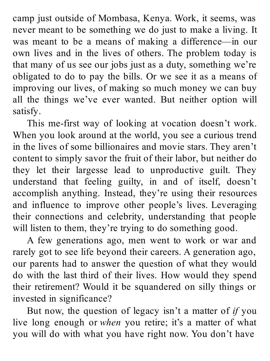camp just outside of Mombasa, Kenya. Work, it seems, was never meant to be something we do just to make a living. It was meant to be a means of making a difference—in our own lives and in the lives of others. The problem today is that many of us see our jobs just as a duty, something we're obligated to do to pay the bills. Or we see it as a means of improving our lives, of making so much money we can buy all the things we've ever wanted. But neither option will satisfy.

This me-first way of looking at vocation doesn't work. When you look around at the world, you see a curious trend in the lives of some billionaires and movie stars. They aren't content to simply savor the fruit of their labor, but neither do they let their largesse lead to unproductive guilt. They understand that feeling guilty, in and of itself, doesn't accomplish anything. Instead, they're using their resources and influence to improve other people's lives. Leveraging their connections and celebrity, understanding that people will listen to them, they're trying to do something good.

A few generations ago, men went to work or war and rarely got to see life beyond their careers. A generation ago, our parents had to answer the question of what they would do with the last third of their lives. How would they spend their retirement? Would it be squandered on silly things or invested in significance?

But now, the question of legacy isn't a matter of *if* you live long enough or *when* you retire; it's a matter of what you will do with what you have right now. You don't have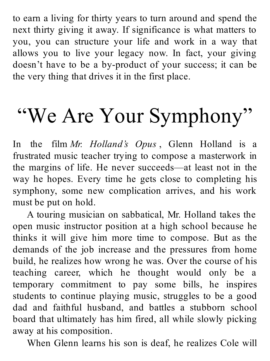to earn a living for thirty years to turn around and spend the next thirty giving it away. If significance is what matters to you, you can structure your life and work in a way that allows you to live your legacy now. In fact, your giving doesn't have to be a by-product of your success; it can be the very thing that drives it in the first place.

# "We Are Your Symphony"

In the film *Mr. Holland's Opus* , Glenn Holland is a frustrated music teacher trying to compose a masterwork in the margins of life. He never succeeds—at least not in the way he hopes. Every time he gets close to completing his symphony, some new complication arrives, and his work must be put on hold.

A touring musician on sabbatical, Mr. Holland takes the open music instructor position at a high school because he thinks it will give him more time to compose. But as the demands of the job increase and the pressures from home build, he realizes how wrong he was. Over the course of his teaching career, which he thought would only be a temporary commitment to pay some bills, he inspires students to continue playing music, struggles to be a good dad and faithful husband, and battles a stubborn school board that ultimately has him fired, all while slowly picking away at his composition.

When Glenn learns his son is deaf, he realizes Cole will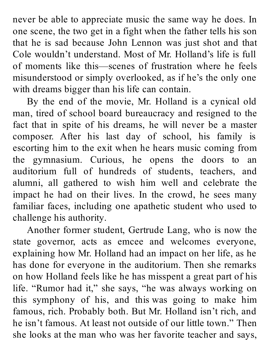never be able to appreciate music the same way he does. In one scene, the two get in a fight when the father tells his son that he is sad because John Lennon was just shot and that Cole wouldn't understand. Most of Mr. Holland's life is full of moments like this—scenes of frustration where he feels misunderstood or simply overlooked, as if he's the only one with dreams bigger than his life can contain.

By the end of the movie, Mr. Holland is a cynical old man, tired of school board bureaucracy and resigned to the fact that in spite of his dreams, he will never be a master composer. After his last day of school, his family is escorting him to the exit when he hears music coming from the gymnasium. Curious, he opens the doors to an auditorium full of hundreds of students, teachers, and alumni, all gathered to wish him well and celebrate the impact he had on their lives. In the crowd, he sees many familiar faces, including one apathetic student who used to challenge his authority.

Another former student, Gertrude Lang, who is now the state governor, acts as emcee and welcomes everyone, explaining how Mr. Holland had an impact on her life, as he has done for everyone in the auditorium. Then she remarks on how Holland feels like he has misspent a great part of his life. "Rumor had it," she says, "he was always working on this symphony of his, and this was going to make him famous, rich. Probably both. But Mr. Holland isn't rich, and he isn't famous. At least not outside of our little town." Then she looks at the man who was her favorite teacher and says,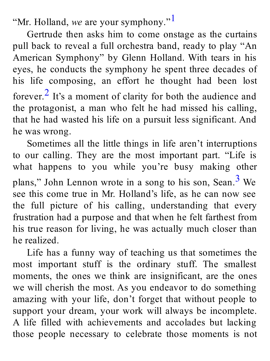"Mr. Holland, *we* are your symphony." 1

Gertrude then asks him to come onstage as the cu[rt](#page-258-4)ains pull back to reveal a full orchestra band, ready to play "An American Symphony" by Glenn Holland. With tears in his eyes, he conducts the symphony he spent three decades of his life composing, an effort he thought had been lost forever.<sup>2</sup> It's a moment of clarity for both the audience and the protagonist, a man who felt he had missed his calling, that he had wasted his life on a pursuit less significant. And he was wrong.

Sometimes all the little things in life aren't interruptions to our calling. They are the most important part. "Life is what happens to you while you're busy making other plans," John Lennon wrote in a song to his son, Sean.<sup>3</sup> We see this come true in Mr. Holland's life, as he can now see the full picture of his calling, understanding that every frustration had a purpose and that when he felt farthest from his true reason for living, he was actually much closer than he realized.

Life has a funny way of teaching us that sometimes the most important stuff is the ordinary stuff. The smallest moments, the ones we think are insignificant, are the ones we will cherish the most. As you endeavor to do something amazing with your life, don't forget that without people to support your dream, your work will always be incomplete. A life filled with achievements and accolades but lacking those people necessary to celebrate those moments is not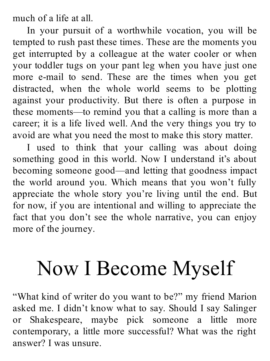much of a life at all.

In your pursuit of a worthwhile vocation, you will be tempted to rush past these times. These are the moments you get interrupted by a colleague at the water cooler or when your toddler tugs on your pant leg when you have just one more e-mail to send. These are the times when you get distracted, when the whole world seems to be plotting against your productivity. But there is often a purpose in these moments—to remind you that a calling is more than a career; it is a life lived well. And the very things you try to avoid are what you need the most to make this story matter.

I used to think that your calling was about doing something good in this world. Now I understand it's about becoming someone good—and letting that goodness impact the world around you. Which means that you won't fully appreciate the whole story you're living until the end. But for now, if you are intentional and willing to appreciate the fact that you don't see the whole narrative, you can enjoy more of the journey.

# Now I Become Myself

"What kind of writer do you want to be?" my friend Marion asked me. I didn't know what to say. Should I say Salinger or Shakespeare, maybe pick someone a little more contemporary, a little more successful? What was the right answer? I was unsure.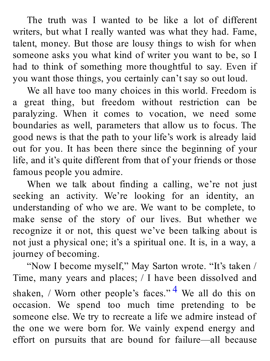The truth was I wanted to be like a lot of different writers, but what I really wanted was what they had. Fame, talent, money. But those are lousy things to wish for when someone asks you what kind of writer you want to be, so I had to think of something more thoughtful to say. Even if you want those things, you certainly can't say so out loud.

We all have too many choices in this world. Freedom is a great thing, but freedom without restriction can be paralyzing. When it comes to vocation, we need some boundaries as well, parameters that allow us to focus. The good news is that the path to your life's [w](#page-258-5)ork is already laid out for you. It has been there since the beginning of your life, and it's quite different from that of your friends or those famous people you admire.

When we talk about finding a calling, we're not just seeking an activity. We're looking for an identity, an understanding of who we are. We want to be complete, to make sense of the story of our lives. But whether we recognize it or not, this quest we've been talking about is not just a physical one; it's a spiritual one. It is, in a way, a journey of becoming.

"Now I become myself," May Sarton wrote. "It's taken / Time, many years and places; / I have been dissolved and shaken, / Worn other people's faces."  $4$  We all do this on occasion. We spend too much time pretending to be someone else. We try to recreate a life we admire instead of the one we were born for. We vainly expend energy and effort on pursuits that are bound for failure—all because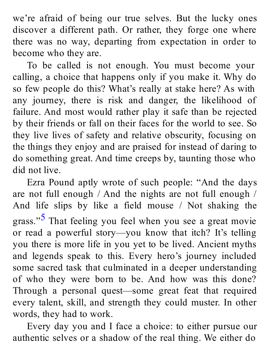we're afraid of being our true selves. But the lucky ones discover a different path. Or rather, they forge one where there was no way, departing from expectation in order to become who they are.

To [b](#page-258-6)e called is not enough. You must become your calling, a choice that happens only if you make it. Why do so few people do this? What's really at stake here? As with any journey, there is risk and danger, the likelihood of failure. And most would rather play it safe than be rejected by their friends or fall on their faces for the world to see. So they live lives of safety and relative obscurity, focusing on the things they enjoy and are praised for instead of daring to do something great. And time creeps by, taunting those who did not live.

Ezra Pound aptly wrote of such people: "And the days are not full enough / And the nights are not full enough / And life slips by like a field mouse / Not shaking the grass."<sup>5</sup> That feeling you feel when you see a great movie or read a powerful story—you know that itch? It's telling you there is more life in you yet to be lived. Ancient myths and legends speak to this. Every hero's journey included some sacred task that culminated in a deeper understanding of who they were born to be. And how was this done? Through a personal quest—some great feat that required every talent, skill, and strength they could muster. In other words, they had to work.

Every day you and I face a choice: to either pursue our authentic selves or a shadow of the real thing. We either do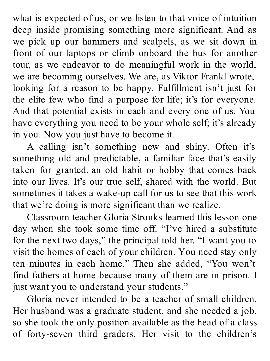what is expected of us, or we listen to that voice of intuition deep inside promising something more significant. And as we pick up our hammers and scalpels, as we sit down in front of our laptops or climb onboard the bus for another tour, as we endeavor to do meaningful work in the world, we are becoming ourselves. We are, as Viktor Frankl wrote, looking for a reason to be happy. Fulfillment isn't just for the elite few who find a purpose for life; it's for everyone. And that potential exists in each and every one of us. You have everything you need to be your whole self; it's already in you. Now you just have to become it.

A calling isn't something new and shiny. Often it's something old and predictable, a familiar face that's easily taken for granted, an old habit or hobby that comes back into our lives. It's our true self, shared with the world. But sometimes it takes a wake-up call for us to see that this work that we're doing is more significant than we realize.

Classroom teacher Gloria Stronks learned this lesson one day when she took some time off. "I've hired a substitute for the next two days," the principal told her. "I want you to visit the homes of each of your children. You need stay only ten minutes in each home." Then she added, "You won't find fathers at home because many of them are in prison. I just want you to understand your students."

Gloria never intended to be a teacher of small children. Her husband was a graduate student, and she needed a job, so she took the only position available as the head of a class of forty-seven third graders. Her visit to the children's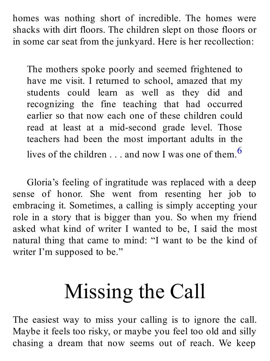homes was nothing short of incredible. The homes were shacks with dirt floors. The children slept on those floors or in some car seat from the junkyard. Here is her recollection:

The mothers spoke poorly and seemed frightened to have me visit. I returned to school, amazed that my students could learn as well as they did and recognizing the fine teaching that had occurred earlier so that now each one of these children could read at least at a mid-second grade level. Those teachers had been the most important adults in the lives of the children . . . and now I was one of them.<sup>6</sup>

Gloria's feeling of ingratitude was replaced with a deep sense of honor. She went from resenting her job to embracing it. Sometimes, a calling is simply accepting your role in a story that is bigger than you. So when my friend asked what kind of writer I wanted to be, I said the most natural thing that came to mind: "I want to be the kind of writer I'm supposed to be."

# Missing the Call

The easiest way to miss your calling is to ignore the call. Maybe it feels too risky, or maybe you feel too old and silly chasing a dream that now seems out of reach. We keep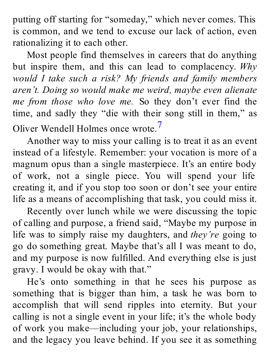putting off starting for "someday," which never comes. This is common, and we tend to excuse our lack of action, even rationalizing it to each other.

Most people find themselves in careers that do anything but inspire them, and this can lead to complacency. *Why would I take such a risk? My friends and family members aren't. Doing so would make me weird, maybe even alienate me from those who love me.* So they don't ever find the time, and sadly they "die with their song still in them," as Oliver Wendell Holmes once wrote.<sup>7</sup>

Another way to miss your calling is to treat it as an event instead of a lifestyle. Remember: your vocation is more of a magnum opus than a single masterpiece. It's an entire body of work, not a single piece. You will spend your life creating it, and if you stop too soon or don't see your entire life as a means of accomplishing that task, you could miss it.

Recently over lunch while we were discussing the topic of calling and purpose, a friend said, "Maybe my purpose in life was to simply raise my daughters, and *they're* going to go do something great. Maybe that's all I was meant to do, and my purpose is now fulfilled. And everything else is just gravy. I would be okay with that."

He's onto something in that he sees his purpose as something that is bigger than him, a task he was born to accomplish that will send ripples into eternity. But your calling is not a single event in your life; it's the whole body of work you make—including your job, your relationships, and the legacy you leave behind. If you see it as something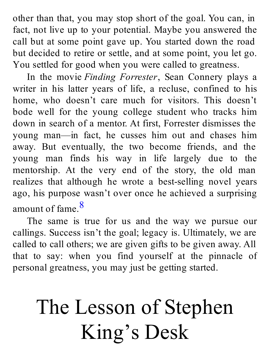other than that, you may stop short of the goal. You can, in fact, not live up to your potential. Maybe you answered the call but at some point gave up. You started down the road but decided to r[eti](#page-259-0)re or settle, and at some point, you let go. You settled for good when you were called to greatness.

In the movie *Finding Forrester*, Sean Connery plays a writer in his latter years of life, a recluse, confined to his home, who doesn't care much for visitors. This doesn't bode well for the young college student who tracks him down in search of a mentor. At first, Forrester dismisses the young man—in fact, he cusses him out and chases him away. But eventually, the two become friends, and the young man finds his way in life largely due to the mentorship. At the very end of the story, the old man realizes that although he wrote a best-selling novel years ago, his purpose wasn't over once he achieved a surprising amount of fame.<sup>8</sup>

The same is true for us and the way we pursue our callings. Success isn't the goal; legacy is. Ultimately, we are called to call others; we are given gifts to be given away. All that to say: when you find yourself at the pinnacle of personal greatness, you may just be getting started.

# The Lesson of Stephen King's Desk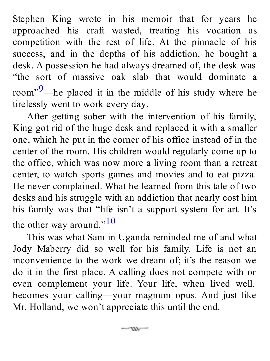Stephen King wrote in his memoir that for years he approached his craft wasted, treating his vocation as competition with the rest of life. At the pinnacle of his success, and in the depths of his addiction, he bought a desk. A possession he [had](#page-259-0) always dreamed of, the desk was "the sort of massive oak slab that would dominate a room"<sup>9</sup>—he placed it in the middle of his study where he tirelessly went to work every day.

After getting sober with the intervention of his family, King got rid of the huge desk and replaced it with a smaller one, which he put in the corner of his office instead of in the center of the room. His children would regularly come up to the office, which was now more a living room than a retreat center, to watch sports games and movies and to eat pizza. He never complained. What he learned from this tale of two desks and his struggle with an addiction that nearly cost him his family was that "life isn't a support system for art. It's the other way around."  $10$ 

This was what Sam in Uganda reminded me of and what Jody Maberry did so well for his family. Life is not an inconvenience to the work we dream of; it's the reason we do it in the first place. A calling does not compete with or even complement your life. Your life, when lived well, becomes your calling—your magnum opus. And just like Mr. Holland, we won't appreciate this until the end.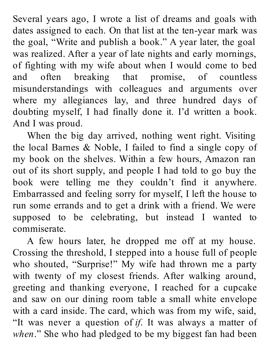Several years ago, I wrote a list of dreams and goals with dates assigned to each. On that list at the ten-year mark was the goal, "Write and publish a book." A year later, the goal was realized. After a year of late nights and early mornings, of fighting with my wife about when I would come to bed and often breaking that promise, of countless misunderstandings with colleagues and arguments over where my allegiances lay, and three hundred days of doubting myself, I had finally done it. I'd written a book. And I was proud.

When the big day arrived, nothing went right. Visiting the local Barnes & Noble, I failed to find a single copy of my book on the shelves. Within a few hours, Amazon ran out of its short supply, and people I had told to go buy the book were telling me they couldn't find it anywhere. Embarrassed and feeling sorry for myself, I left the house to run some errands and to get a drink with a friend. We were supposed to be celebrating, but instead I wanted to commiserate.

A few hours later, he dropped me off at my house. Crossing the threshold, I stepped into a house full of people who shouted, "Surprise!" My wife had thrown me a party with twenty of my closest friends. After walking around, greeting and thanking everyone, I reached for a cupcake and saw on our dining room table a small white envelope with a card inside. The card, which was from my wife, said, "It was never a question of *if*. It was always a matter of *when*." She who had pledged to be my biggest fan had been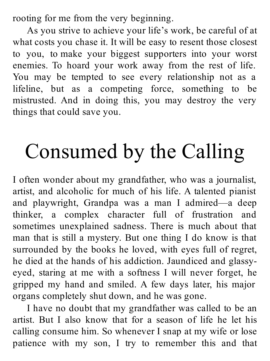rooting for me from the very beginning.

As you strive to achieve your life's work, be careful of at what costs you chase it. It will be easy to resent those closest to you, to make your biggest supporters into your worst enemies. To hoard your work away from the rest of life. You may be tempted to see every relationship not as a lifeline, but as a competing force, something to be mistrusted. And in doing this, you may destroy the very things that could save you.

# Consumed by the Calling

I often wonder about my grandfather, who was a journalist, artist, and alcoholic for much of his life. A talented pianist and playwright, Grandpa was a man I admired—a deep thinker, a complex character full of frustration and sometimes unexplained sadness. There is much about that man that is still a mystery. But one thing I do know is that surrounded by the books he loved, with eyes full of regret, he died at the hands of his addiction. Jaundiced and glassyeyed, staring at me with a softness I will never forget, he gripped my hand and smiled. A few days later, his major organs completely shut down, and he was gone.

I have no doubt that my grandfather was called to be an artist. But I also know that for a season of life he let his calling consume him. So whenever I snap at my wife or lose patience with my son, I try to remember this and that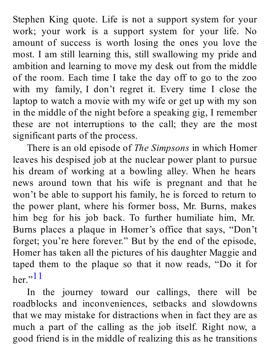Stephen King quote. Life is not a support system for your work; your work is a support system for your life. No amount of success is worth losing the ones you love the most. I am still learning this, still swallowing my pride and ambition and learning to move my desk out from the middle of the room. Each time I take the day off to go to the zoo with my family, I don't regret it. Every time I close the laptop to watch a movie with my wife or get up with my son in the middle of the night before a speaking gig, I remember these [ar](#page-259-1)e not interruptions to the call; they are the most significant parts of the process.

There is an old episode of *The Simpsons* in which Homer leaves his despised job at the nuclear power plant to pursue his dream of working at a bowling alley. When he hears news around town that his wife is pregnant and that he won't be able to support his family, he is forced to return to the power plant, where his former boss, Mr. Burns, makes him beg for his job back. To further humiliate him, Mr. Burns places a plaque in Homer's office that says, "Don't forget; you're here forever." But by the end of the episode, Homer has taken all the pictures of his daughter Maggie and taped them to the plaque so that it now reads, "Do it for her." $11$ 

In the journey toward our callings, there will be roadblocks and inconveniences, setbacks and slowdowns that we may mistake for distractions when in fact they are as much a part of the calling as the job itself. Right now, a good friend is in the middle of realizing this as he transitions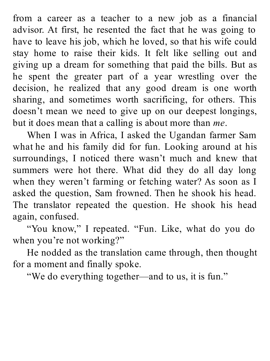from a career as a teacher to a new job as a financial advisor. At first, he resented the fact that he was going to have to leave his job, which he loved, so that his wife could stay home to raise their kids. It felt like selling out and giving up a dream for something that paid the bills. But as he spent the greater part of a year wrestling over the decision, he realized that any good dream is one worth sharing, and sometimes worth sacrificing, for others. This doesn't mean we need to give up on our deepest longings, but it does mean that a calling is about more than *me*.

When I was in Africa, I asked the Ugandan farmer Sam what he and his family did for fun. Looking around at his surroundings, I noticed there wasn't much and knew that summers were hot there. What did they do all day long when they weren't farming or fetching water? As soon as I asked the question, Sam frowned. Then he shook his head. The translator repeated the question. He shook his head again, confused.

"You know," I repeated. "Fun. Like, what do you do when you're not working?"

He nodded as the translation came through, then thought for a moment and finally spoke.

"We do everything together—and to us, it is fun."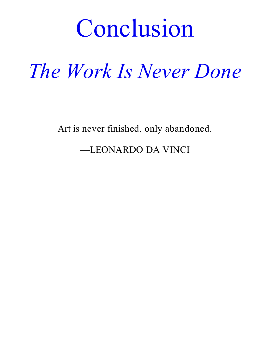# Conclusion

## *The Work Is Never Done*

Art is never finished, only abandoned.

—LEONARDO DA VINCI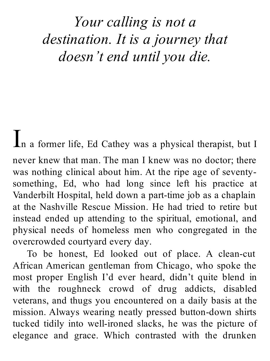### *Your calling is not a destination. It is a journey that doesn 't end until you die.*

In a former life, Ed Cathey was a physical therapist, but I never knew that man. The man I knew was no doctor; there was nothing clinical about him. At the ripe age of seventysomething, Ed, who had long since left his practice at Vanderbilt Hospital, held down a part-time job as a chaplain at the Nashville Rescue Mission. He had tried to retire but instead ended up attending to the spiritual, emotional, and physical needs of homeless men who congregated in the overcrowded courtyard every day.

To be honest, Ed looked out of place. A clean-cut African American gentleman from Chicago, who spoke the most proper English I'd ever heard, didn't quite blend in with the roughneck crowd of drug addicts, disabled veterans, and thugs you encountered on a daily basis at the mission. Always wearing neatly pressed button-down shirts tucked tidily into well-ironed slacks, he was the picture of elegance and grace. Which contrasted with the drunken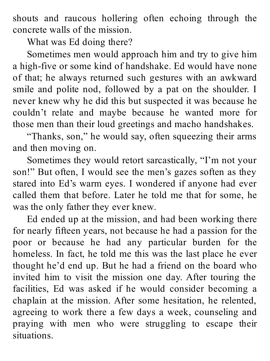shouts and raucous hollering often echoing through the concrete walls of the mission.

What was Ed doing there?

Sometimes men would approach him and try to give him a high-five or some kind of handshake. Ed would have none of that; he always returned such gestures with an awkward smile and polite nod, followed by a pat on the shoulder. I never knew why he did this but suspected it was because he couldn't relate and maybe because he wanted more for those men than their loud greetings and macho handshakes.

"Thanks, son," he would say, often squeezing their arms and then moving on.

Sometimes they would retort sarcastically, "I'm not your son!" But often, I would see the men's gazes soften as they stared into Ed's warm eyes. I wondered if anyone had ever called them that before. Later he told me that for some, he was the only father they ever knew.

Ed ended up at the mission, and had been working there for nearly fifteen years, not because he had a passion for the poor or because he had any particular burden for the homeless. In fact, he told me this was the last place he ever thought he'd end up. But he had a friend on the board who invited him to visit the mission one day. After touring the facilities, Ed was asked if he would consider becoming a chaplain at the mission. After some hesitation, he relented, agreeing to work there a few days a week, counseling and praying with men who were struggling to escape their situations.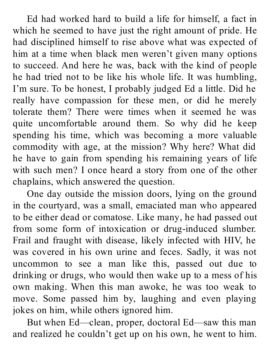Ed had worked hard to build a life for himself, a fact in which he seemed to have just the right amount of pride. He had disciplined himself to rise above what was expected of him at a time when black men weren't given many options to succeed. And here he was, back with the kind of people he had tried not to be like his whole life. It was humbling, I'm sure. To be honest, I probably judged Ed a little. Did he really have compassion for these men, or did he merely tolerate them? There were times when it seemed he was quite uncomfortable around them. So why did he keep spending his time, which was becoming a more valuable commodity with age, at the mission? Why here? What did he have to gain from spending his remaining years of life with such men? I once heard a story from one of the other chaplains, which answered the question.

One day outside the mission doors, lying on the ground in the courtyard, was a small, emaciated man who appeared to be either dead or comatose. Like many, he had passed out from some form of intoxication or drug-induced slumber. Frail and fraught with disease, likely infected with HIV, he was covered in his own urine and feces. Sadly, it was not uncommon to see a man like this, passed out due to drinking or drugs, who would then wake up to a mess of his own making. When this man awoke, he was too weak to move. Some passed him by, laughing and even playing jokes on him, while others ignored him.

But when Ed—clean, proper, doctoral Ed—saw this man and realized he couldn't get up on his own, he went to him.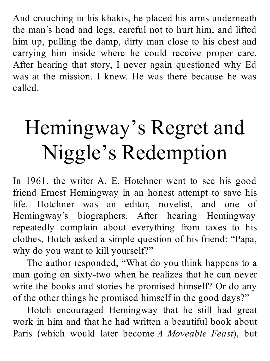And crouching in his khakis, he placed his arms underneath the man's head and legs, careful not to hurt him, and lifted him up, pulling the damp, dirty man close to his chest and carrying him inside where he could receive proper care. After hearing that story, I never again questioned why Ed was at the mission. I knew. He was there because he was called.

# Hemingway's Regret and Niggle's Redemption

In 1961, the writer A. E. Hotchner went to see his good friend Ernest Hemingway in an honest attempt to save his life. Hotchner was an editor, novelist, and one of Hemingway's biographers. After hearing Hemingway repeatedly complain about everything from taxes to his clothes, Hotch asked a simple question of his friend: "Papa, why do you want to kill yourself?"

The author responded, "What do you think happens to a man going on sixty-two when he realizes that he can never write the books and stories he promised himself? Or do any of the other things he promised himself in the good days?"

Hotch encouraged Hemingway that he still had great work in him and that he had written a beautiful book about Paris (which would later become *A Moveable Feast*), but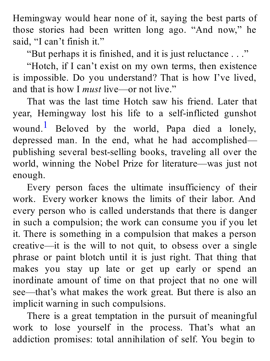Hemingway would hear none of it, saying the best parts of those stories had been written long ago. "And now," he said, "I can't finish it."

"But perhaps it is finished, and it is just reluctance . . ."

"Hotch, if I can't exist on my own terms, then existence is impossible. Do you understand? That is how I've lived, and that is how I *must* live—or not live."

That was the last time Hotch saw his friend. Later that year, Hemingway lost his life to a self-inflicted gunshot wound.<sup>1</sup> Beloved by the world, Papa died a lonely, depressed man. In the end, what he had accomplished publishing several best-selling books, traveling all over the world, winning the Nobel Prize for literature—was just not enough.

Every person faces the ultimate insufficiency of their work. Every worker knows the limits of their labor. And every person who is called understands that there is danger in such a compulsion; the work can consume you if you let it. There is something in a compulsion that makes a person creative—it is the will to not quit, to obsess over a single phrase or paint blotch until it is just right. That thing that makes you stay up late or get up early or spend an inordinate amount of time on that project that no one will see—that's what makes the work great. But there is also an implicit warning in such compulsions.

There is a great temptation in the pursuit of meaningful work to lose yourself in the process. That's what an addiction promises: total annihilation of self. You begin to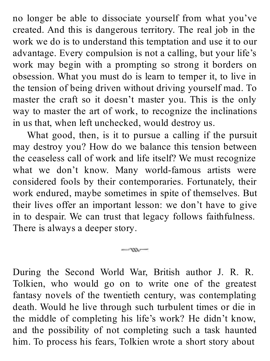no longer be able to dissociate yourself from what you've created. And this is dangerous territory. The real job in the work we do is to understand this temptation and use it to our advantage. Every compulsion is not a calling, but your life's work may begin with a prompting so strong it borders on obsession. What you must do is learn to temper it, to live in the tension of being driven without driving yourself mad. To master the craft so it doesn't master you. This is the only way to master the art of work, to recognize the inclinations in us that, when left unchecked, would destroy us.

What good, then, is it to pursue a calling if the pursuit may destroy you? How do we balance this tension between the ceaseless call of work and life itself? We must recognize what we don't know. Many world-famous artists were considered fools by their contemporaries. Fortunately, their work endured, maybe sometimes in spite of themselves. But their lives offer an important lesson: we don't have to give in to despair. We can trust that legacy follows faithfulness. There is always a deeper story.

During the Second World War, British author J. R. R. Tolkien, who would go on to write one of the greatest fantasy novels of the twentieth century, was contemplating death. Would he live through such turbulent times or die in the middle of completing his life's work? He didn't know, and the possibility of not completing such a task haunted him. To process his fears, Tolkien wrote a short story about

 $\frac{1}{2}$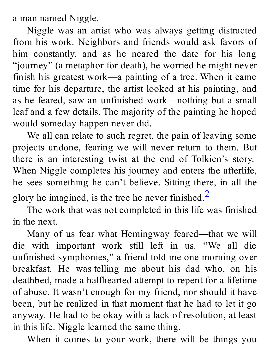a man named Niggle.

Niggle was an artist who was always getting distracted from his work. Neighbors and friends would [as](#page-259-2)k favors of him constantly, and as he neared the date for his long "journey" (a metaphor for death), he worried he might never finish his greatest work—a painting of a tree. When it came time for his departure, the artist looked at his painting, and as he feared, saw an unfinished work—nothing but a small leaf and a few details. The majority of the painting he hoped would someday happen never did.

We all can relate to such regret, the pain of leaving some projects undone, fearing we will never return to them. But there is an interesting twist at the end of Tolkien's story. When Niggle completes his journey and enters the afterlife, he sees something he can't believe. Sitting there, in all the glory he imagined, is the tree he never finished. $2$ 

The work that was not completed in this life was finished in the next.

Many of us fear what Hemingway feared—that we will die with important work still left in us. "We all die unfinished symphonies," a friend told me one morning over breakfast. He was telling me about his dad who, on his deathbed, made a halfhearted attempt to repent for a lifetime of abuse. It wasn't enough for my friend, nor should it have been, but he realized in that moment that he had to let it go anyway. He had to be okay with a lack of resolution, at least in this life. Niggle learned the same thing.

When it comes to your work, there will be things you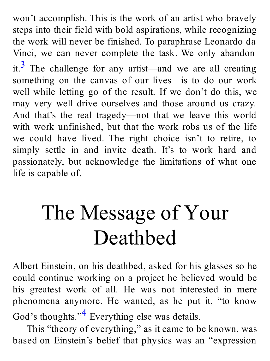won't accomplish. This is the work of an artist who bravely steps into their field with bold aspirations, while recognizing the work will never be finished. To paraphrase Leonardo da Vinci, we can never complete the task. We only abandon it.<sup>3</sup> The challenge for any artist—and we are all creating

something on the canvas of our lives—is to do our work well while letting go of the result. If we don't do this, we may very well drive ourselves and those around us crazy. And that's the real tragedy—not that we leave this world with work unfinished, but that the work robs us of the life we could have lived. The right choice isn't to retire, to simply settle in and invite death. It's to work hard and passionately, but [a](#page-259-3)cknowledge the limitations of what one life is capable of.

## The Message of Your Deathbed

Albert Einstein, on his deathbed, asked for his glasses so he could continue working on a project he believed would be his greatest work of all. He was not interested in mere phenomena anymore. He wanted, as he put it, "to know God's thoughts." $4$  Everything else was details.

This "theory of everything," as it came to be known, was based on Einstein's belief that physics was an "expression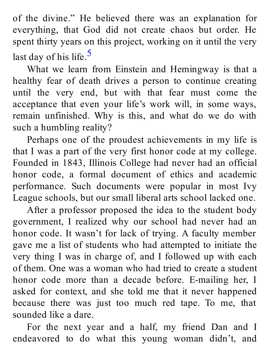of the divine." He believed there was an explanation for everything, that God did not create chaos but order. He spent thirty years on this project, working on it until the very last day of his life.<sup>5</sup>

What we learn from Einstein and Hemingway is that a healthy fear of death drives a person to continue creating until the very end, but with that fear must come the acceptance that even your life's work will, in some ways, remain unfinished. Why is this, and what do we do with such a humbling reality?

Perhaps one of the proudest achievements in my life is that I was a part of the very first honor code at my college. Founded in 1843, Illinois College had never had an official honor code, a formal document of ethics and academic performance. Such documents were popular in most Ivy League schools, but our small liberal arts school lacked one.

After a professor proposed the idea to the student body government, I realized why our school had never had an honor code. It wasn't for lack of trying. A faculty member gave me a list of students who had attempted to initiate the very thing I was in charge of, and I followed up with each of them. One was a woman who had tried to create a student honor code more than a decade before. E-mailing her, I asked for context, and she told me that it never happened because there was just too much red tape. To me, that sounded like a dare.

For the next year and a half, my friend Dan and I endeavored to do what this young woman didn't, and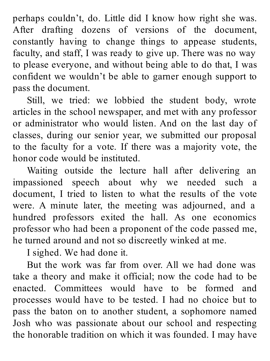perhaps couldn't, do. Little did I know how right she was. After drafting dozens of versions of the document, constantly having to change things to appease students, faculty, and staff, I was ready to give up. There was no way to please everyone, and without being able to do that, I was confident we wouldn't be able to garner enough support to pass the document.

Still, we tried: we lobbied the student body, wrote articles in the school newspaper, and met with any professor or administrator who would listen. And on the last day of classes, during our senior year, we submitted our proposal to the faculty for a vote. If there was a majority vote, the honor code would be instituted.

Waiting outside the lecture hall after delivering an impassioned speech about why we needed such a document, I tried to listen to what the results of the vote were. A minute later, the meeting was adjourned, and a hundred professors exited the hall. As one economics professor who had been a proponent of the code passed me, he turned around and not so discreetly winked at me.

I sighed. We had done it.

But the work was far from over. All we had done was take a theory and make it official; now the code had to be enacted. Committees would have to be formed and processes would have to be tested. I had no choice but to pass the baton on to another student, a sophomore named Josh who was passionate about our school and respecting the honorable tradition on which it was founded. I may have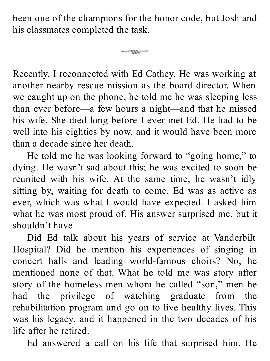been one of the champions for the honor code, but Josh and his classmates completed the task.

 $-20$ 

Recently, I reconnected with Ed Cathey. He was working at another nearby rescue mission as the board director. When we caught up on the phone, he told me he was sleeping less than ever before—a few hours a night—and that he missed his wife. She died long before I ever met Ed. He had to be well into his eighties by now, and it would have been more than a decade since her death.

He told me he was looking forward to "going home," to dying. He wasn't sad about this; he was excited to soon be reunited with his wife. At the same time, he wasn't idly sitting by, waiting for death to come. Ed was as active as ever, which was what I would have expected. I asked him what he was most proud of. His answer surprised me, but it shouldn't have.

Did Ed talk about his years of service at Vanderbilt Hospital? Did he mention his experiences of singing in concert halls and leading world-famous choirs? No, he mentioned none of that. What he told me was story after story of the homeless men whom he called "son," men he had the privilege of watching graduate from the rehabilitation program and go on to live healthy lives. This was his legacy, and it happened in the two decades of his life after he retired.

Ed answered a call on his life that surprised him. He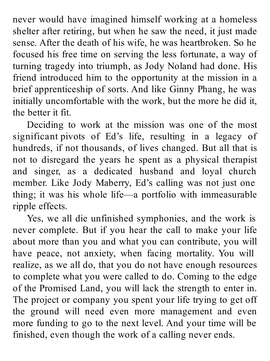never would have imagined himself working at a homeless shelter after retiring, but when he saw the need, it just made sense. After the death of his wife, he was heartbroken. So he focused his free time on serving the less fortunate, a way of turning tragedy into triumph, as Jody Noland had done. His friend introduced him to the opportunity at the mission in a brief apprenticeship of sorts. And like Ginny Phang, he was initially uncomfortable with the work, but the more he did it, the better it fit.

Deciding to work at the mission was one of the most significant pivots of Ed's life, resulting in a legacy of hundreds, if not thousands, of lives changed. But all that is not to disregard the years he spent as a physical therapist and singer, as a dedicated husband and loyal church member. Like Jody Maberry, Ed's calling was not just one thing; it was his whole life—a portfolio with immeasurable ripple effects.

Yes, we all die unfinished symphonies, and the work is never complete. But if you hear the call to make your life about more than you and what you can contribute, you will have peace, not anxiety, when facing mortality. You will realize, as we all do, that you do not have enough resources to complete what you were called to do. Coming to the edge of the Promised Land, you will lack the strength to enter in. The project or company you spent your life trying to get off the ground will need even more management and even more funding to go to the next level. And your time will be finished, even though the work of a calling never ends.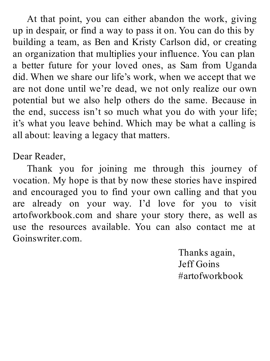At that point, you can either abandon the work, giving up in despair, or find a way to pass it on. You can do this by building a team, as Ben and Kristy Carlson did, or creating an organization that multiplies your influence. You can plan a better future for your loved ones, as Sam from Uganda did. When we share our life's work, when we accept that we are not done until we're dead, we not only realize our own potential but we also help others do the same. Because in the end, success isn't so much what you do with your life; it's what you leave behind. Which may be what a calling is all about: leaving a legacy that matters.

Dear Reader,

Thank you for joining me through this journey of vocation. My hope is that by now these stories have inspired and encouraged you to find your own calling and that you are already on your way. I'd love for you to visit artofworkbook.com and share your story there, as well as use the resources available. You can also contact me at Goinswriter.com

> Thanks again, Jeff Goins #artofworkbook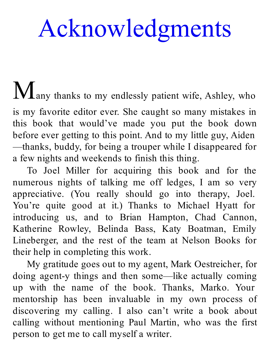# Acknowledgments

 $M$ any thanks to my endlessly patient wife, Ashley, who is my favorite editor ever. She caught so many mistakes in this book that would've made you put the book down before ever getting to this point. And to my little guy, Aiden —thanks, buddy, for being a trouper while I disappeared for a few nights and weekends to finish this thing.

To Joel Miller for acquiring this book and for the numerous nights of talking me off ledges, I am so very appreciative. (You really should go into therapy, Joel. You're quite good at it.) Thanks to Michael Hyatt for introducing us, and to Brian Hampton, Chad Cannon, Katherine Rowley, Belinda Bass, Katy Boatman, Emily Lineberger, and the rest of the team at Nelson Books for their help in completing this work.

My gratitude goes out to my agent, Mark Oestreicher, for doing agent-y things and then some—like actually coming up with the name of the book. Thanks, Marko. Your mentorship has been invaluable in my own process of discovering my calling. I also can't write a book about calling without mentioning Paul Martin, who was the first person to get me to call myself a writer.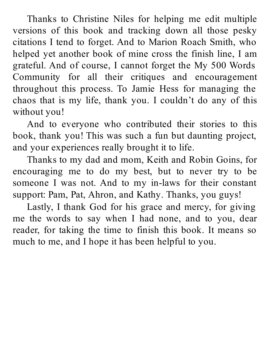Thanks to Christine Niles for helping me edit multiple versions of this book and tracking down all those pesky citations I tend to forget. And to Marion Roach Smith, who helped yet another book of mine cross the finish line, I am grateful. And of course, I cannot forget the My 500 Words Community for all their critiques and encouragement throughout this process. To Jamie Hess for managing the chaos that is my life, thank you. I couldn't do any of this without you!

And to everyone who contributed their stories to this book, thank you! This was such a fun but daunting project, and your experiences really brought it to life.

Thanks to my dad and mom, Keith and Robin Goins, for encouraging me to do my best, but to never try to be someone I was not. And to my in-laws for their constant support: Pam, Pat, Ahron, and Kathy. Thanks, you guys!

Lastly, I thank God for his grace and mercy, for giving me the words to say when I had none, and to you, dear reader, for taking the time to finish this book. It means so much to me, and I hope it has been helpful to you.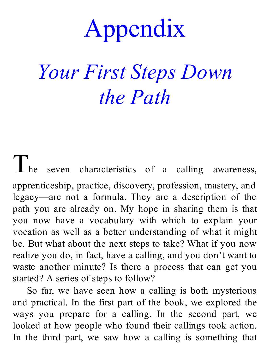# Appendix

## *Your First Steps Down the Path*

The seven characteristics of a calling—awareness, apprenticeship, practice, discovery, profession, mastery, and legacy—are not a formula. They are a description of the path you are already on. My hope in sharing them is that you now have a vocabulary with which to explain your vocation as well as a better understanding of what it might be. But what about the next steps to take? What if you now realize you do, in fact, have a calling, and you don't want to waste another minute? Is there a process that can get you started? A series of steps to follow?

So far, we have seen how a calling is both mysterious and practical. In the first part of the book, we explored the ways you prepare for a calling. In the second part, we looked at how people who found their callings took action. In the third part, we saw how a calling is something that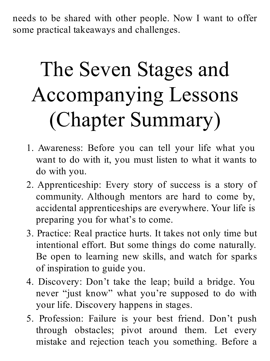needs to be shared with other people. Now I want to offer some practical takeaways and challenges.

# The Seven Stages and Accompanying Lessons (Chapter Summary)

- 1. Awareness: Before you can tell your life what you want to do with it, you must listen to what it wants to do with you.
- 2. Apprenticeship: Every story of success is a story of community. Although mentors are hard to come by, accidental apprenticeships are everywhere. Your life is preparing you for what's to come.
- 3. Practice: Real practice hurts. It takes not only time but intentional effort. But some things do come naturally. Be open to learning new skills, and watch for sparks of inspiration to guide you.
- 4. Discovery: Don't take the leap; build a bridge. You never "just know" what you're supposed to do with your life. Discovery happens in stages.
- 5. Profession: Failure is your best friend. Don't push through obstacles; pivot around them. Let every mistake and rejection teach you something. Before a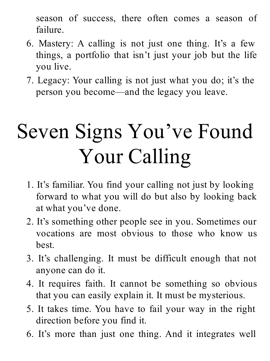season of success, there often comes a season of failure.

- 6. Mastery: A calling is not just one thing. It's a few things, a portfolio that isn't just your job but the life you live.
- 7. Legacy: Your calling is not just what you do; it's the person you become—and the legacy you leave.

# Seven Signs You've Found Your Calling

- 1. It's familiar. You find your calling not just by looking forward to what you will do but also by looking back at what you've done.
- 2. It's something other people see in you. Sometimes our vocations are most obvious to those who know us **best**
- 3. It's challenging. It must be difficult enough that not anyone can do it.
- 4. It requires faith. It cannot be something so obvious that you can easily explain it. It must be mysterious.
- 5. It takes time. You have to fail your way in the right direction before you find it.
- 6. It's more than just one thing. And it integrates well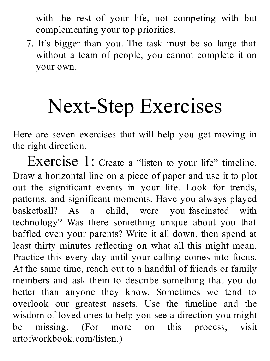with the rest of your life, not competing with but complementing your top priorities.

7. It's bigger than you. The task must be so large that without a team of people, you cannot complete it on your own.

## Next-Step Exercises

Here are seven exercises that will help you get moving in the right direction.

Exercise 1: Create a "listen to your life" timeline. Draw a horizontal line on a piece of paper and use it to plot out the significant events in your life. Look for trends, patterns, and significant moments. Have you always played basketball? As a child, were you fascinated with technology? Was there something unique about you that baffled even your parents? Write it all down, then spend at least thirty minutes reflecting on what all this might mean. Practice this every day until your calling comes into focus. At the same time, reach out to a handful of friends or family members and ask them to describe something that you do better than anyone they know. Sometimes we tend to overlook our greatest assets. Use the timeline and the wisdom of loved ones to help you see a direction you might be missing. (For more on this process, visit artofworkbook.com/listen.)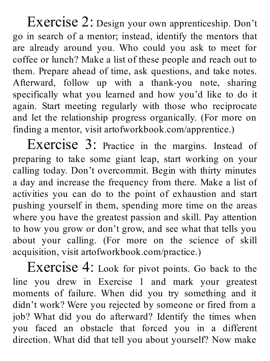Exercise 2: Design your own apprenticeship. Don't go in search of a mentor; instead, identify the mentors that are already around you. Who could you ask to meet for coffee or lunch? Make a list of these people and reach out to them. Prepare ahead of time, ask questions, and take notes. Afterward, follow up with a thank-you note, sharing specifically what you learned and how you'd like to do it again. Start meeting regularly with those who reciprocate and let the relationship progress organically. (For more on finding a mentor, visit artofworkbook.com/apprentice.)

Exercise 3: Practice in the margins. Instead of preparing to take some giant leap, start working on your calling today. Don't overcommit. Begin with thirty minutes a day and increase the frequency from there. Make a list of activities you can do to the point of exhaustion and start pushing yourself in them, spending more time on the areas where you have the greatest passion and skill. Pay attention to how you grow or don't grow, and see what that tells you about your calling. (For more on the science of skill acquisition, visit artofworkbook.com/practice.)

Exercise 4: Look for pivot points. Go back to the line you drew in Exercise 1 and mark your greatest moments of failure. When did you try something and it didn't work? Were you rejected by someone or fired from a job? What did you do afterward? Identify the times when you faced an obstacle that forced you in a different direction. What did that tell you about yourself? Now make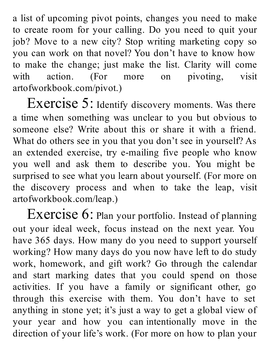a list of upcoming pivot points, changes you need to make to create room for your calling. Do you need to quit your job? Move to a new city? Stop writing marketing copy so you can work on that novel? You don't have to know how to make the change; just make the list. Clarity will come with action. (For more on pivoting, visit artofworkbook.com/pivot.)

Exercise 5: Identify discovery moments. Was there a time when something was unclear to you but obvious to someone else? Write about this or share it with a friend. What do others see in you that you don't see in yourself? As an extended exercise, try e-mailing five people who know you well and ask them to describe you. You might be surprised to see what you learn about yourself. (For more on the discovery process and when to take the leap, visit artofworkbook.com/leap.)

Exercise 6: Plan your portfolio. Instead of planning out your ideal week, focus instead on the next year. You have 365 days. How many do you need to support yourself working? How many days do you now have left to do study work, homework, and gift work? Go through the calendar and start marking dates that you could spend on those activities. If you have a family or significant other, go through this exercise with them. You don't have to set anything in stone yet; it's just a way to get a global view of your year and how you can intentionally move in the direction of your life's work. (For more on how to plan your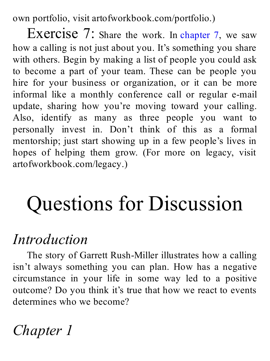own portfolio, visit artofworkbook.com/portfolio.)

Exercise 7: Share the work. In chapter 7, we saw how a calling is not just about you. It's something you share with others. Begin by making a list of people you could ask to become a part of your team. These can be people you hire for your business or organization, or it can be more informal like a monthly conference call or regular e-mail update, sharing how you're moving toward your calling. Also, identify as many as three people you want to personally invest in. Don't think of this as a formal mentorship; just start showing up in a few people's lives in hopes of helping them grow. (For more on legacy, visit artofworkbook.com/legacy.)

### Questions for Discussion

#### *Introduction*

The story of Garrett Rush-Miller illustrates how a calling isn't always something you can plan. How has a negative circumstance in your life in some way led to a positive outcome? Do you think it's true that how we react to events determines who we become?

*Chapter 1*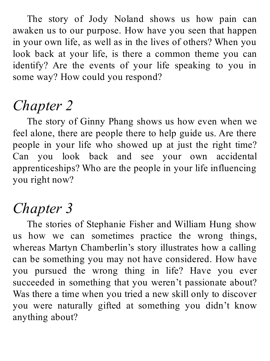The story of Jody Noland shows us how pain can awaken us to our purpose. How have you seen that happen in your own life, as well as in the lives of others? When you look back at your life, is there a common theme you can identify? Are the events of your life speaking to you in some way? How could you respond?

### *Chapter 2*

The story of Ginny Phang shows us how even when we feel alone, there are people there to help guide us. Are there people in your life who showed up at just the right time? Can you look back and see your own accidental apprenticeships? Who are the people in your life influencing you right now?

#### *Chapter 3*

The stories of Stephanie Fisher and William Hung show us how we can sometimes practice the wrong things, whereas Martyn Chamberlin's story illustrates how a calling can be something you may not have considered. How have you pursued the wrong thing in life? Have you ever succeeded in something that you weren't passionate about? Was there a time when you tried a new skill only to discover you were naturally gifted at something you didn't know anything about?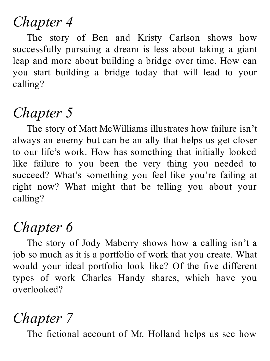#### *Chapter 4*

The story of Ben and Kristy Carlson shows how successfully pursuing a dream is less about taking a giant leap and more about building a bridge over time. How can you start building a bridge today that will lead to your calling?

### *Chapter 5*

The story of Matt McWilliams illustrates how failure isn't always an enemy but can be an ally that helps us get closer to our life's work. How has something that initially looked like failure to you been the very thing you needed to succeed? What's something you feel like you're failing at right now? What might that be telling you about your calling?

### *Chapter 6*

The story of Jody Maberry shows how a calling isn't a job so much as it is a portfolio of work that you create. What would your ideal portfolio look like? Of the five different types of work Charles Handy shares, which have you overlooked?

#### *Chapter 7*

The fictional account of Mr. Holland helps us see how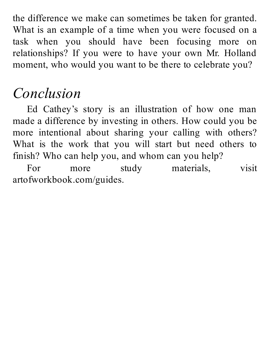the difference we make can sometimes be taken for granted. What is an example of a time when you were focused on a task when you should have been focusing more on relationships? If you were to have your own Mr. Holland moment, who would you want to be there to celebrate you?

#### *Conclusion*

Ed Cathey's story is an illustration of how one man made a difference by investing in others. How could you be more intentional about sharing your calling with others? What is the work that you will start but need others to finish? Who can help you, and whom can you help?

For more study materials, visit artofworkbook.com/guides.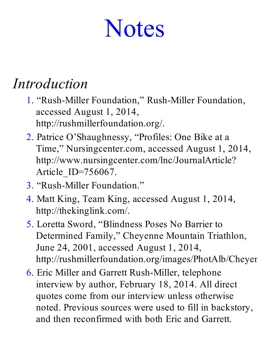# Notes

### *In[tr](#page-23-0)oduction*

- 1. "Rush-Miller Foundation," Rush-Miller Foundation, accessed August 1, 2014, http://rushmillerfoundation.org/.
- 2. Patrice O'Shaughnessy, "Profiles: One Bike at a Time," Nursingcenter.com, accessed August 1, 2014, http://www.nursingcenter.com/lnc/JournalArticle? Article ID=756067.
- 3. "Rush-Miller Foundation."
- 4. Matt King, Team King, accessed August 1, 2014, http://thekinglink.com/.
- 5. Loretta Sword, "Blindness Poses No Barrier to Determined Family," Cheyenne Mountain Triathlon, June 24, 2001, accessed August 1, 2014, http://rushmillerfoundation.org/images/PhotAlb/Cheyer
- 6. Eric Miller and Garrett Rush-Miller, telephone interview by author, February 18, 2014. All direct quotes come from our interview unless otherwise noted. Previous sources were used to fill in backstory, and then reconfirmed with both Eric and Garrett.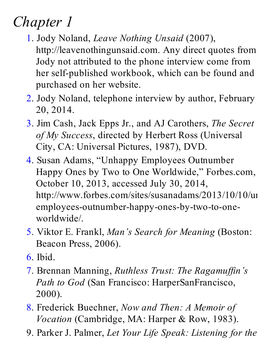#### *Chapter 1*

- 1. Jody Noland, *Leave Nothing Unsaid* (2007), http://leavenothingunsaid.com. Any direct quotes from Jody not attributed to the phone interview come from her self-published workbook, which can be found and purchased on her website.
- [2.](#page-41-0) Jody Noland, telephone interview by author, February 20, 2014.
- [3.](#page-52-0) Jim Cash, Jack Epps Jr., and AJ Carothers, *The Secret of My Success*, directed by Herbert Ross (Universal City, CA: Universal Pictures, 1987), DVD.
- [4.](#page-54-0) Susan Adams, "Unhappy Employees Outnumber Happy Ones by Two to One Worldwide," Forbes.com, October 10, 2013, accessed July 30, 2014, http://www.forbes.com/sites/susanadams/2013/10/10/u employees-outnumber-happy-ones-by-two-to-oneworldwide/.
- 5. Viktor E. Frankl, *Man's Search for Meaning* (Boston: Beacon Press, 2006).
- 6. Ibid.
- 7. Brennan Manning, *Ruthless Trust: The Ragamuffin's Path to God* (San Francisco: HarperSanFrancisco, 2000).
- 8. Frederick Buechner, *Now and Then: A Memoir of Vocation* (Cambridge, MA: Harper & Row, 1983).
- 9. Parker J. Palmer, *Let Your Life Speak: Listening for the*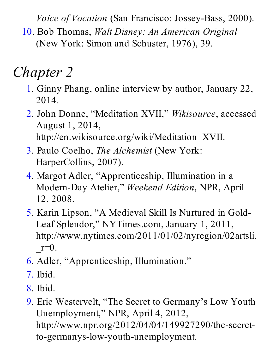*Voice of Vocation* (San Francisco: Jossey-Bass, 2000).

[10](#page-82-0). Bob Thomas, *Walt Disney: An American Original* (New York: Simon and Schuster, 1976), 39.

### *C[ha](#page-82-1)pter 2*

- 1. Ginny Phang, online interview by author, January 22, 2014.
- [2](#page-82-2)[.](#page-83-0) John Donne, "Meditation XVII," *Wikisource*, accessed August 1, 2014, http://en.wikisource.org/wiki/Meditation\_XVII.
- [3.](#page-84-0) Paulo Coelho, *The Alchemist* (New York: HarperCollins, 2007).
- 4. Margot Adler, "Apprenticeship, Illumination in a Modern-Day Atelier," *Weekend Edition*, NPR, April 12, 2008.
- 5. Karin Lipson, "A Medieval Skill Is Nurtured in Gold-Leaf Splendor," NYTimes.com, January 1, 2011, http://www.nytimes.com/2011/01/02/nyregion/02artsli.  $r=0$ .
- 6. Adler, "Apprenticeship, Illumination."
- 7. Ibid.
- 8. Ibid.
- 9. Eric Westervelt, "The Secret to Germany's Low Youth Unemployment," NPR, April 4, 2012, http://www.npr.org/2012/04/04/149927290/the-secretto-germanys-low-youth-unemployment.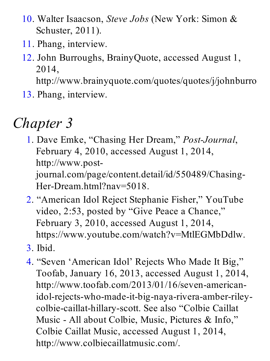- 10. Walter Isaacson, *Steve Jobs* (New York: Simon & Schuster, 2011).
- [11](#page-94-0). Phang, interview.
- 12. John Burroughs, BrainyQuote, accessed August 1, 2014,

http://www.brainyquote.com/quotes/quotes/j/johnburro

[13](#page-96-0). Phang, interview.

### *Chapter 3*

1. Dave Emke, "Chasing Her Dream," *Post-Journal*, February 4, 2010, accessed August 1, 2014, http://www.postjournal.com/page/content.detail/id/550489/Chasing-Her-Dream.html?nav=5018.

- 2. "American Idol Reject Stephanie Fisher," YouTube video, 2:53, posted by "Give Peace a Chance," February 3, 2010, accessed August 1, 2014, https://www.youtube.com/watch?v=MtlEGMbDdlw.
- 3. Ibid.
- 4. "Seven 'American Idol' Rejects Who Made It Big," Toofab, January 16, 2013, accessed August 1, 2014, http://www.toofab.com/2013/01/16/seven-americanidol-rejects-who-made-it-big-naya-rivera-amber-rileycolbie-caillat-hillary-scott. See also "Colbie Caillat Music - All about Colbie, Music, Pictures & Info," Colbie Caillat Music, accessed August 1, 2014, http://www.colbiecaillatmusic.com/.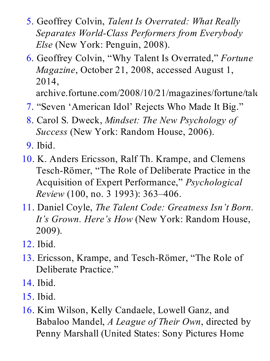- 5. Geoffrey Colvin, *Talent Is Overrated: What Really Separates World-Class Performers from Everybody Else* (New York: Penguin, 2008).
- [6.](#page-102-0) Geoffrey Colvin, "Why Talent Is Overrated," *Fortune Magazine*, October 21, 2008, accessed August 1, 2014,
	- archive.fortune.com/2008/10/21/magazines/fortune/talent
- [7.](#page-102-1) "Seven 'American Idol' Rejects Who Made It Big."
- 8. Carol S. Dweck, *Mindset: The New Psychology of Success* (New York: Random House, 2006).
- [9.](#page-104-0) Ibid.
- [10.](#page-104-1) K. Anders Ericsson, Ralf Th. Krampe, and Clemens Tesch-Römer, "The Role of Deliberate Practice in the Acquisition of Expert Performance," *Psychological Review* (100, no. 3 1993): 363–406.
- 11. Daniel Coyle, *The Talent Code: Greatness Isn't Born. It's Grown. Here's How* (New York: Random House, 2009).
- 12. Ibid.
- 13. Ericsson, Krampe, and Tesch-Römer, "The Role of Deliberate Practice"
- 14. Ibid.
- 15. Ibid.
- 16. Kim Wilson, Kelly Candaele, Lowell Ganz, and Babaloo Mandel, *A League of Their Own*, directed by Penny Marshall (United States: Sony Pictures Home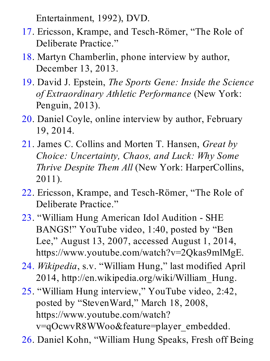Entertainment, 1992), DVD.

- [17.](#page-115-0) Ericsson, Krampe, and Tesch-Römer, "The Role of Deliberate Practice."
- [18.](#page-116-0) Martyn Chamberlin, phone interview by author, December 13, 2013.
- 19. David J. Epstein, *The Sports Gene: Inside the Science of Extraordinary Athletic Performance* (New York: Penguin, 2013).
- [20.](#page-118-0) Daniel Coyle, online interview by author, February 19, 2014.
- [21.](#page-118-1) James C. Collins and Morten T. Hansen, *Great by Choice: Uncertainty, Chaos, and Luck: Why Some Thrive Despite Them All* (New York: HarperCollins, 2011).
- [22.](#page-118-2) Ericsson, Krampe, and Tesch-Römer, "The Role of Deliberate Practice."
- 23. "William Hung American Idol Audition SHE BANGS!" YouTube video, 1:40, posted by "Ben Lee," August 13, 2007, accessed August 1, 2014, https://www.youtube.com/watch?v=2Qkas9mlMgE.
- 24. *Wikipedia*, s.v. "William Hung," last modified April 2014, http://en.wikipedia.org/wiki/William\_Hung.
- 25. "William Hung interview," YouTube video, 2:42, posted by "StevenWard," March 18, 2008, https://www.youtube.com/watch? v=qOcwvR8WWoo&feature=player\_embedded.
- 26. Daniel Kohn, "William Hung Speaks, Fresh off Being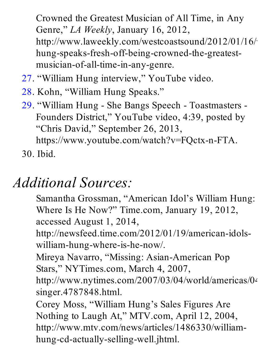Crowned the Greatest Musician of All Time, in Any Genre," *LA Weekly*, January 16, 2012, http://www.laweekly.com/westcoastsound/2012/01/16/ hung-speaks-fresh-off-being-crowned-the-greatestmusician-of-all-time-in-any-genre.

- 27. "William Hung interview," YouTube video.
- 28. Kohn, "William Hung Speaks."
- 29. "William Hung She Bangs Speech Toastmasters Founders District," YouTube video, 4:39, posted by "Chris David," September 26, 2013, https://www.youtube.com/watch?v=FQctx-n-FTA.
- 30. Ibid.

## *Additional Sources:*

Samantha Grossman, "American Idol's William Hung: Where Is He Now?" Time.com, January 19, 2012, accessed August 1, 2014, http://newsfeed.time.com/2012/01/19/american-idolswilliam-hung-where-is-he-now/. Mireya Navarro, "Missing: Asian-American Pop Stars," NYTimes.com, March 4, 2007, http://www.nytimes.com/2007/03/04/world/americas/04 singer.4787848.html. Corey Moss, "William Hung's Sales Figures Are Nothing to Laugh At," MTV.com, April 12, 2004, http://www.mtv.com/news/articles/1486330/william-

hung-cd-actually-selling-well.jhtml.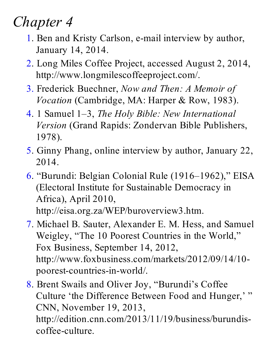#### *C[ha](#page-142-0)pter 4*

- 1. Ben and Kristy Carlson, e-mail interview by author, January 14, 2014.
- [2.](#page-142-1) Long Miles Coffee Project, accessed August 2, 2014, http://www.longmilescoffeeproject.com/.
- 3. Frederick Buechner, *Now and Then: A Memoir of Vocation* (Cambridge, MA: Harper & Row, 1983).
- 4. 1 Samuel 1–3, *The Holy Bible: New International Version* (Grand Rapids: Zondervan Bible Publishers, 1978).
- 5. Ginny Phang, online interview by author, January 22, 2014.
- 6. "Burundi: Belgian Colonial Rule (1916–1962)," EISA (Electoral Institute for Sustainable Democracy in Africa), April 2010, http://eisa.org.za/WEP/buroverview3.htm.
- 7. Michael B. Sauter, Alexander E. M. Hess, and Samuel Weigley, "The 10 Poorest Countries in the World," Fox Business, September 14, 2012, http://www.foxbusiness.com/markets/2012/09/14/10 poorest-countries-in-world/.
- 8. Brent Swails and Oliver Joy, "Burundi's Coffee Culture 'the Difference Between Food and Hunger,'" CNN, November 19, 2013, http://edition.cnn.com/2013/11/19/business/burundiscoffee-culture.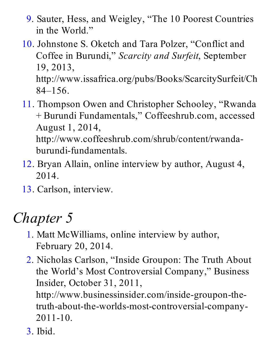- [9.](#page-145-0) Sauter, Hess, and Weigley, "The 10 Poorest Countries in the World."
- [10.](#page-148-0) Johnstone S. Oketch and Tara Polzer, "Conflict and Coffee in Burundi," *Scarcity and Surfeit*, September 19, 2013, http://www.issafrica.org/pubs/Books/ScarcitySurfeit/Ch 84–156.
- [11](#page-159-0). Thompson Owen and Christopher Schooley, "Rwanda + Burundi Fundamentals," Coffeeshrub.com, accessed August 1, 2014,

http://www.coffeeshrub.com/shrub/content/rwandaburundi-fundamentals.

- 12. Bryan Allain, online interview by author, August 4, 2014.
- [13](#page-159-1). Carlson, interview.

# *Chapter 5*

- 1. Matt McWilliams, online interview by author, February 20, 2014.
- 2. Nicholas Carlson, "Inside Groupon: The Truth About the World's Most Controversial Company," Business Insider, October 31, 2011,

http://www.businessinsider.com/inside-groupon-thetruth-about-the-worlds-most-controversial-company-2011-10.

3. Ibid.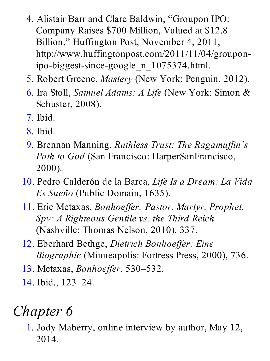- 4. Alistair Barr and Clare Baldwin, "Groupon IPO: Company Raises \$700 Million, Valued at \$12.8 Billion," Huffington Post, November 4, 2011, http://www.huffingtonpost.com/2011/11/04/grouponipo-biggest-since-google\_n\_1075374.html.
- 5. Robert Greene, *Mastery* (New York: Penguin, 2012).
- [6.](#page-170-0) Ira Stoll, *Samuel Adams: A Life* (New York: Simon & Schuster, 2008).
- [7.](#page-171-0) Ibid.
- [8.](#page-171-1) Ibid.
- 9. Brennan Manning, *Ruthless Trust: The Ragamuffin's Path to God* (San Francisco: HarperSanFrancisco, 2000).
- [10](#page-173-0). Pedro Calderón de la Barca, *Life Is a Dream: La Vida Es Sueño* (Public Domain, 1635).
- 11. Eric Metaxas, *Bonhoeffer: Pastor, Martyr, Prophet, Spy: A Righteous Gentile vs. the Third Reich* (Nashville: Thomas Nelson, 2010), 337.
- 12. Eberhard Bethge, *Dietrich Bonhoeffer: Eine Biographie* (Minneapolis: Fortress Press, 2000), 736.
- 13. Metaxas, *Bonhoeffer*, 530–532.
- 14. Ibid., 123–24.

## *Chapter 6*

1. Jody Maberry, online interview by author, May 12, 2014.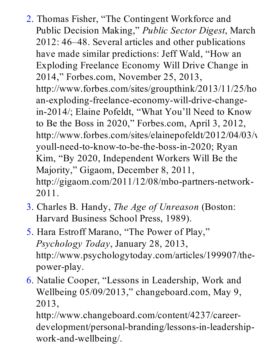- 2. Thomas Fisher, "The Contingent Workforce and Public Decision Making," *Public Sector Digest*, March 2012: 46–48. Several articles and other publications have made similar predictions: Jeff Wald, "How an Exploding Freelance Economy Will Drive Change in 2014," Forbes.com, November 25, 2013, http://www.forbes.com/sites/groupthink/2013/11/25/ho an-exploding-freelance-economy-will-drive-changein-2014/; Elaine Pofeldt, "What You'll Need to Know to Be the Boss in 2020," Forbes.com, April 3, 2012, http://www.forbes.com/sites/elainepofeldt/2012/04/03/v youll-need-to-know-to-be-the-boss-in-2020; Ryan Kim, "By 2020, Independent Workers Will Be the Majority," Gigaom, December 8, 2011, http://gigaom.com/2011/12/08/mbo-partners-network-2011.
- 3. Charles B. Handy, *The Age of Unreason* (Boston: Harvard Business School Press, 1989).
- 5. Hara Estroff Marano, "The Power of Play," *Psychology Today*, January 28, 2013, http://www.psychologytoday.com/articles/199907/thepower-play.

6. Natalie Cooper, "Lessons in Leadership, Work and Wellbeing 05/09/2013," changeboard.com, May 9, 2013,

http://www.changeboard.com/content/4237/careerdevelopment/personal-branding/lessons-in-leadershipwork-and-wellbeing/.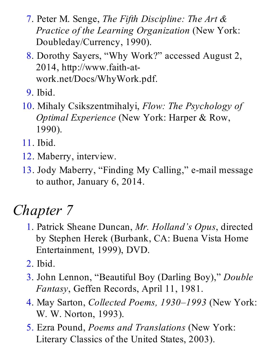- [7.](#page-196-0) Peter M. Senge, *The Fifth Discipline: The Art & Practice of the Learning Organization* (New York: Doubleday/Currency, 1990).
- 8. Dorothy Sayers, "Why Work?" accessed August 2, 2014, http://www.faith-atwork.net/Docs/WhyWork.pdf.
- 9. Ibid.
- [10](#page-208-0). Mihaly Csikszentmihalyi, *Flow: The Psychology of Optimal Experience* (New York: Harper & Row, 1990).
- 11. Ibid.
- [12](#page-210-0). Maberry, interview.
- [13.](#page-211-0) Jody Maberry, "Finding My Calling," e-mail message to author, January 6, 2014.

#### *Chapter 7*

- 1. Patrick Sheane Duncan, *Mr. Holland's Opus*, directed by Stephen Herek (Burbank, CA: Buena Vista Home Entertainment, 1999), DVD.
- 2. Ibid.
- 3. John Lennon, "Beautiful Boy (Darling Boy)," *Double Fantasy*, Geffen Records, April 11, 1981.
- 4. May Sarton, *Collected Poems, 1930–1993* (New York: W. W. Norton, 1993).
- 5. Ezra Pound, *Poems and Translations* (New York: Literary Classics of the United States, 2003).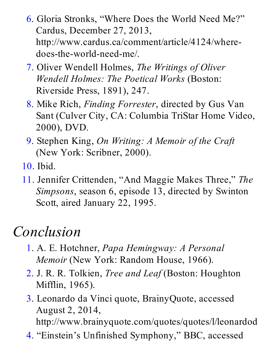- [6.](#page-216-0) Gloria Stronks, "Where Does the World Need Me?" Cardus, December 27, 2013, http://www.cardus.ca/comment/article/4124/wheredoes-the-world-need-me/.
- 7. Oliver Wendell Holmes, *The Writings of Oliver Wendell Holmes: The Poetical Works* (Boston: Riverside Press, 1891), 247.
- [8.](#page-226-0) Mike Rich, *Finding Forrester*, directed by Gus Van Sant (Culver City, CA: Columbia TriStar Home Video, 2000), DVD.
- [9.](#page-229-0) Stephen King, *On Writing: A Memoir of the Craft* (New York: Scribner, 2000).
- 10. Ibid.
- [11](#page-229-1). Jennifer Crittenden, "And Maggie Makes Three," *The Simpsons*, season 6, episode 13, directed by Swinton Scott, aired January 22, 1995.

## *Conclusion*

- 1. A. E. Hotchner, *Papa Hemingway: A Personal Memoir* (New York: Random House, 1966).
- 2. J. R. R. Tolkien, *Tree and Leaf* (Boston: Houghton Mifflin, 1965).
- 3. Leonardo da Vinci quote, BrainyQuote, accessed August 2, 2014, http://www.brainyquote.com/quotes/quotes/l/leonardod
- 4. "Einstein's Unfinished Symphony," BBC, accessed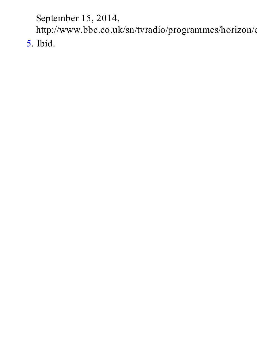September 15, 2014, http://www.bbc.co.uk/sn/tvradio/programmes/horizon/ $\epsilon$ 

5. Ibid.